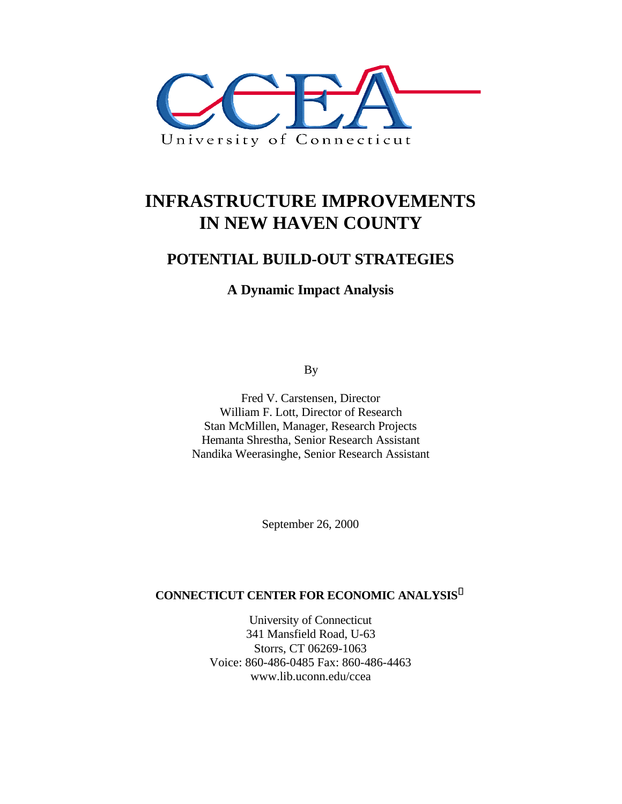

# **INFRASTRUCTURE IMPROVEMENTS IN NEW HAVEN COUNTY**

# **POTENTIAL BUILD-OUT STRATEGIES**

# **A Dynamic Impact Analysis**

By

Fred V. Carstensen, Director William F. Lott, Director of Research Stan McMillen, Manager, Research Projects Hemanta Shrestha, Senior Research Assistant Nandika Weerasinghe, Senior Research Assistant

September 26, 2000

## **CONNECTICUT CENTER FOR ECONOMIC ANALYSIS<sup>ã</sup>**

University of Connecticut 341 Mansfield Road, U-63 Storrs, CT 06269-1063 Voice: 860-486-0485 Fax: 860-486-4463 www.lib.uconn.edu/ccea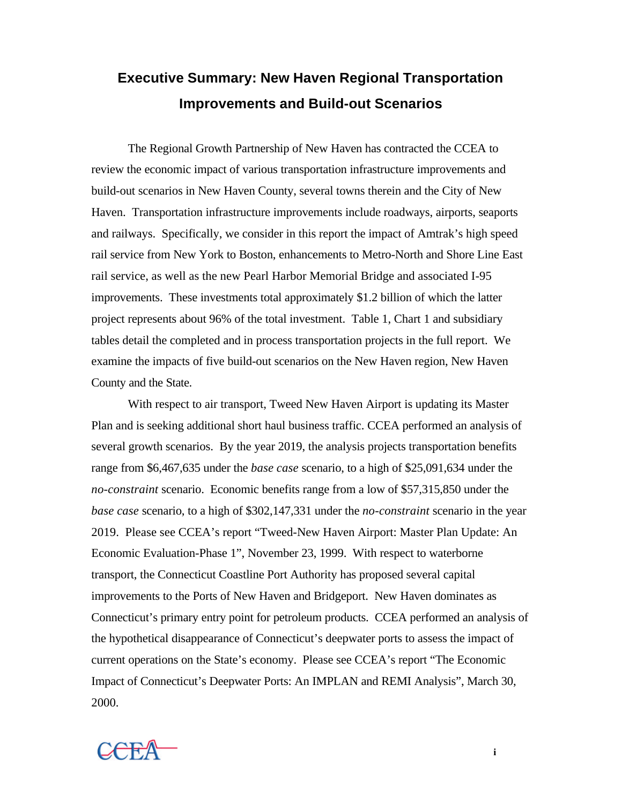# **Executive Summary: New Haven Regional Transportation Improvements and Build-out Scenarios**

The Regional Growth Partnership of New Haven has contracted the CCEA to review the economic impact of various transportation infrastructure improvements and build-out scenarios in New Haven County, several towns therein and the City of New Haven. Transportation infrastructure improvements include roadways, airports, seaports and railways. Specifically, we consider in this report the impact of Amtrak's high speed rail service from New York to Boston, enhancements to Metro-North and Shore Line East rail service, as well as the new Pearl Harbor Memorial Bridge and associated I-95 improvements. These investments total approximately \$1.2 billion of which the latter project represents about 96% of the total investment. Table 1, Chart 1 and subsidiary tables detail the completed and in process transportation projects in the full report. We examine the impacts of five build-out scenarios on the New Haven region, New Haven County and the State.

With respect to air transport, Tweed New Haven Airport is updating its Master Plan and is seeking additional short haul business traffic. CCEA performed an analysis of several growth scenarios. By the year 2019, the analysis projects transportation benefits range from \$6,467,635 under the *base case* scenario, to a high of \$25,091,634 under the *no-constraint* scenario. Economic benefits range from a low of \$57,315,850 under the *base case* scenario, to a high of \$302,147,331 under the *no-constraint* scenario in the year 2019. Please see CCEA's report "Tweed-New Haven Airport: Master Plan Update: An Economic Evaluation-Phase 1", November 23, 1999. With respect to waterborne transport, the Connecticut Coastline Port Authority has proposed several capital improvements to the Ports of New Haven and Bridgeport. New Haven dominates as Connecticut's primary entry point for petroleum products. CCEA performed an analysis of the hypothetical disappearance of Connecticut's deepwater ports to assess the impact of current operations on the State's economy. Please see CCEA's report "The Economic Impact of Connecticut's Deepwater Ports: An IMPLAN and REMI Analysis", March 30, 2000.

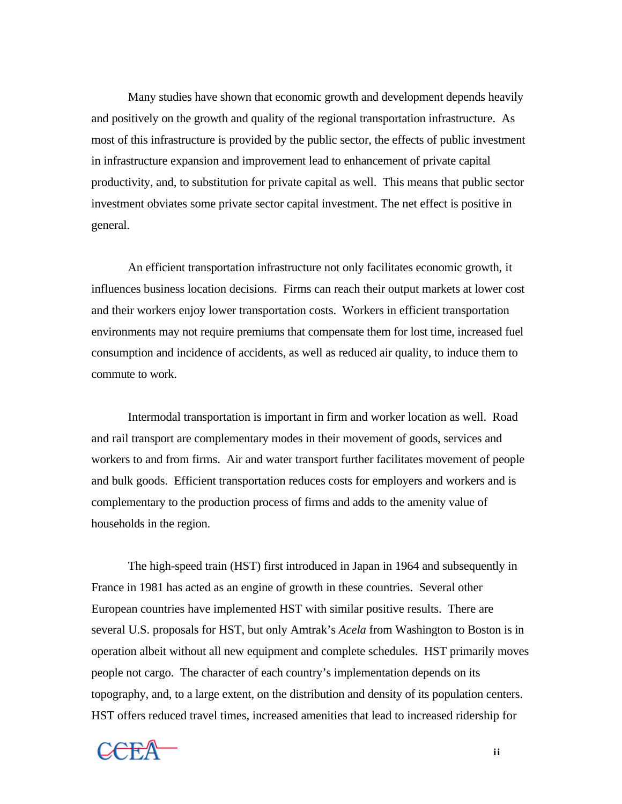Many studies have shown that economic growth and development depends heavily and positively on the growth and quality of the regional transportation infrastructure. As most of this infrastructure is provided by the public sector, the effects of public investment in infrastructure expansion and improvement lead to enhancement of private capital productivity, and, to substitution for private capital as well. This means that public sector investment obviates some private sector capital investment. The net effect is positive in general.

An efficient transportation infrastructure not only facilitates economic growth, it influences business location decisions. Firms can reach their output markets at lower cost and their workers enjoy lower transportation costs. Workers in efficient transportation environments may not require premiums that compensate them for lost time, increased fuel consumption and incidence of accidents, as well as reduced air quality, to induce them to commute to work.

Intermodal transportation is important in firm and worker location as well. Road and rail transport are complementary modes in their movement of goods, services and workers to and from firms. Air and water transport further facilitates movement of people and bulk goods. Efficient transportation reduces costs for employers and workers and is complementary to the production process of firms and adds to the amenity value of households in the region.

The high-speed train (HST) first introduced in Japan in 1964 and subsequently in France in 1981 has acted as an engine of growth in these countries. Several other European countries have implemented HST with similar positive results. There are several U.S. proposals for HST, but only Amtrak's *Acela* from Washington to Boston is in operation albeit without all new equipment and complete schedules. HST primarily moves people not cargo. The character of each country's implementation depends on its topography, and, to a large extent, on the distribution and density of its population centers. HST offers reduced travel times, increased amenities that lead to increased ridership for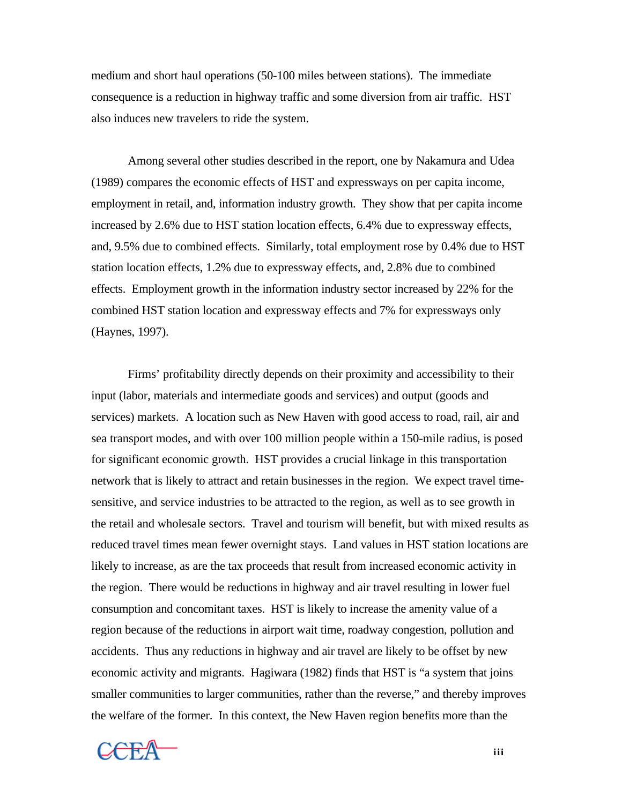medium and short haul operations (50-100 miles between stations). The immediate consequence is a reduction in highway traffic and some diversion from air traffic. HST also induces new travelers to ride the system.

Among several other studies described in the report, one by Nakamura and Udea (1989) compares the economic effects of HST and expressways on per capita income, employment in retail, and, information industry growth. They show that per capita income increased by 2.6% due to HST station location effects, 6.4% due to expressway effects, and, 9.5% due to combined effects. Similarly, total employment rose by 0.4% due to HST station location effects, 1.2% due to expressway effects, and, 2.8% due to combined effects. Employment growth in the information industry sector increased by 22% for the combined HST station location and expressway effects and 7% for expressways only (Haynes, 1997).

Firms' profitability directly depends on their proximity and accessibility to their input (labor, materials and intermediate goods and services) and output (goods and services) markets. A location such as New Haven with good access to road, rail, air and sea transport modes, and with over 100 million people within a 150-mile radius, is posed for significant economic growth. HST provides a crucial linkage in this transportation network that is likely to attract and retain businesses in the region. We expect travel timesensitive, and service industries to be attracted to the region, as well as to see growth in the retail and wholesale sectors. Travel and tourism will benefit, but with mixed results as reduced travel times mean fewer overnight stays. Land values in HST station locations are likely to increase, as are the tax proceeds that result from increased economic activity in the region. There would be reductions in highway and air travel resulting in lower fuel consumption and concomitant taxes. HST is likely to increase the amenity value of a region because of the reductions in airport wait time, roadway congestion, pollution and accidents. Thus any reductions in highway and air travel are likely to be offset by new economic activity and migrants. Hagiwara (1982) finds that HST is "a system that joins smaller communities to larger communities, rather than the reverse," and thereby improves the welfare of the former. In this context, the New Haven region benefits more than the



**iii**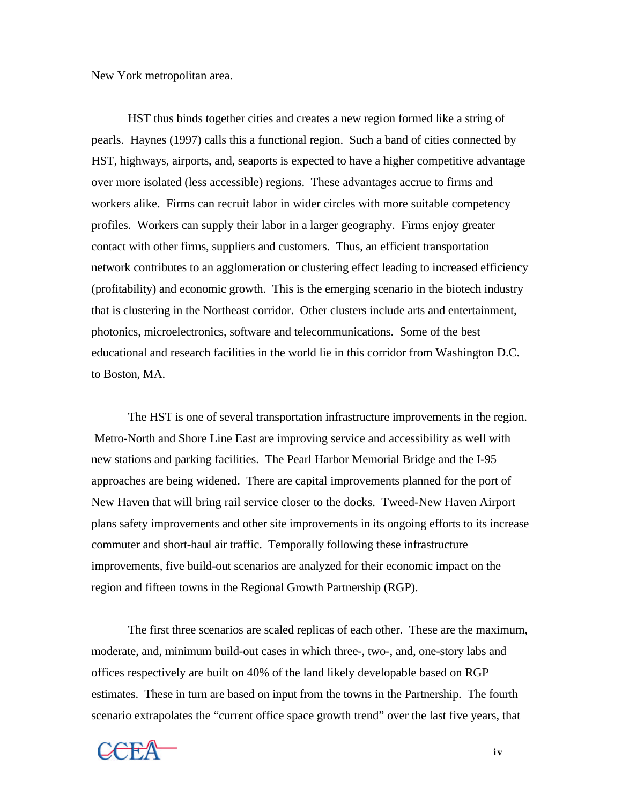New York metropolitan area.

HST thus binds together cities and creates a new region formed like a string of pearls. Haynes (1997) calls this a functional region. Such a band of cities connected by HST, highways, airports, and, seaports is expected to have a higher competitive advantage over more isolated (less accessible) regions. These advantages accrue to firms and workers alike. Firms can recruit labor in wider circles with more suitable competency profiles. Workers can supply their labor in a larger geography. Firms enjoy greater contact with other firms, suppliers and customers. Thus, an efficient transportation network contributes to an agglomeration or clustering effect leading to increased efficiency (profitability) and economic growth. This is the emerging scenario in the biotech industry that is clustering in the Northeast corridor. Other clusters include arts and entertainment, photonics, microelectronics, software and telecommunications. Some of the best educational and research facilities in the world lie in this corridor from Washington D.C. to Boston, MA.

The HST is one of several transportation infrastructure improvements in the region. Metro-North and Shore Line East are improving service and accessibility as well with new stations and parking facilities. The Pearl Harbor Memorial Bridge and the I-95 approaches are being widened. There are capital improvements planned for the port of New Haven that will bring rail service closer to the docks. Tweed-New Haven Airport plans safety improvements and other site improvements in its ongoing efforts to its increase commuter and short-haul air traffic. Temporally following these infrastructure improvements, five build-out scenarios are analyzed for their economic impact on the region and fifteen towns in the Regional Growth Partnership (RGP).

The first three scenarios are scaled replicas of each other. These are the maximum, moderate, and, minimum build-out cases in which three-, two-, and, one-story labs and offices respectively are built on 40% of the land likely developable based on RGP estimates. These in turn are based on input from the towns in the Partnership. The fourth scenario extrapolates the "current office space growth trend" over the last five years, that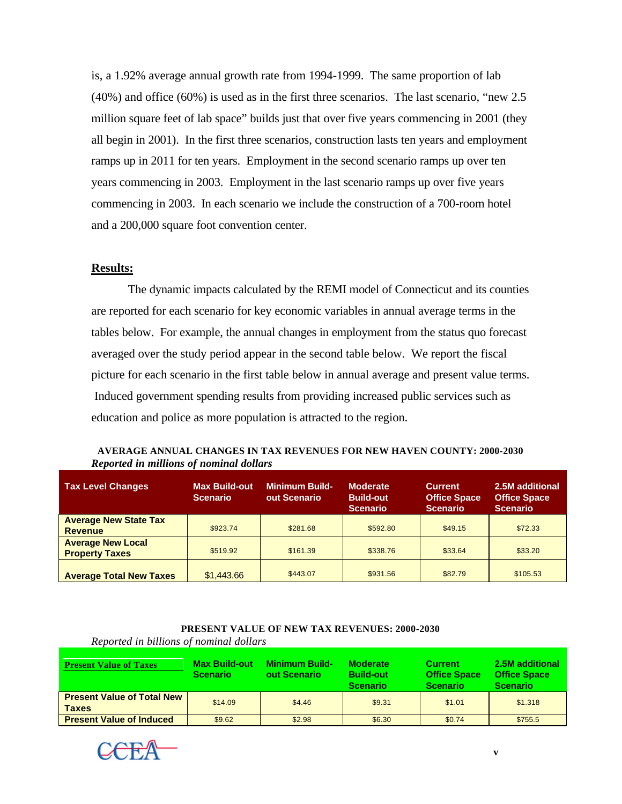is, a 1.92% average annual growth rate from 1994-1999. The same proportion of lab (40%) and office (60%) is used as in the first three scenarios. The last scenario, "new 2.5 million square feet of lab space" builds just that over five years commencing in 2001 (they all begin in 2001). In the first three scenarios, construction lasts ten years and employment ramps up in 2011 for ten years. Employment in the second scenario ramps up over ten years commencing in 2003. Employment in the last scenario ramps up over five years commencing in 2003. In each scenario we include the construction of a 700-room hotel and a 200,000 square foot convention center.

## **Results:**

The dynamic impacts calculated by the REMI model of Connecticut and its counties are reported for each scenario for key economic variables in annual average terms in the tables below. For example, the annual changes in employment from the status quo forecast averaged over the study period appear in the second table below. We report the fiscal picture for each scenario in the first table below in annual average and present value terms. Induced government spending results from providing increased public services such as education and police as more population is attracted to the region.

| AVERAGE ANNUAL CHANGES IN TAX REVENUES FOR NEW HAVEN COUNTY: 2000-2030 |  |  |
|------------------------------------------------------------------------|--|--|
| Reported in millions of nominal dollars                                |  |  |

| <b>Tax Level Changes</b>                          | <b>Max Build-out</b><br><b>Scenario</b> | <b>Minimum Build-</b><br>out Scenario | <b>Moderate</b><br><b>Build-out</b><br><b>Scenario</b> | <b>Current</b><br><b>Office Space</b><br><b>Scenario</b> | 2.5M additional<br><b>Office Space</b><br><b>Scenario</b> |
|---------------------------------------------------|-----------------------------------------|---------------------------------------|--------------------------------------------------------|----------------------------------------------------------|-----------------------------------------------------------|
| <b>Average New State Tax</b><br><b>Revenue</b>    | \$923.74                                | \$281.68                              | \$592.80                                               | \$49.15                                                  | \$72.33                                                   |
| <b>Average New Local</b><br><b>Property Taxes</b> | \$519.92                                | \$161.39                              | \$338.76                                               | \$33.64                                                  | \$33.20                                                   |
| <b>Average Total New Taxes</b>                    | \$1,443.66                              | \$443.07                              | \$931.56                                               | \$82.79                                                  | \$105.53                                                  |

#### **PRESENT VALUE OF NEW TAX REVENUES: 2000-2030**

| <b>Present Value of Taxes</b>                     | <b>Max Build-out</b><br><b>Scenario</b> | <b>Minimum Build-</b><br>out Scenario | <b>Moderate</b><br><b>Build-out</b><br><b>Scenario</b> | <b>Current</b><br><b>Office Space</b><br><b>Scenario</b> | 2.5M additional<br><b>Office Space</b><br><b>Scenario</b> |
|---------------------------------------------------|-----------------------------------------|---------------------------------------|--------------------------------------------------------|----------------------------------------------------------|-----------------------------------------------------------|
| <b>Present Value of Total New</b><br><b>Taxes</b> | \$14.09                                 | \$4.46                                | \$9.31                                                 | \$1.01                                                   | \$1.318                                                   |
| <b>Present Value of Induced</b>                   | \$9.62                                  | \$2.98                                | \$6.30                                                 | \$0.74                                                   | \$755.5                                                   |

*Reported in billions of nominal dollars*

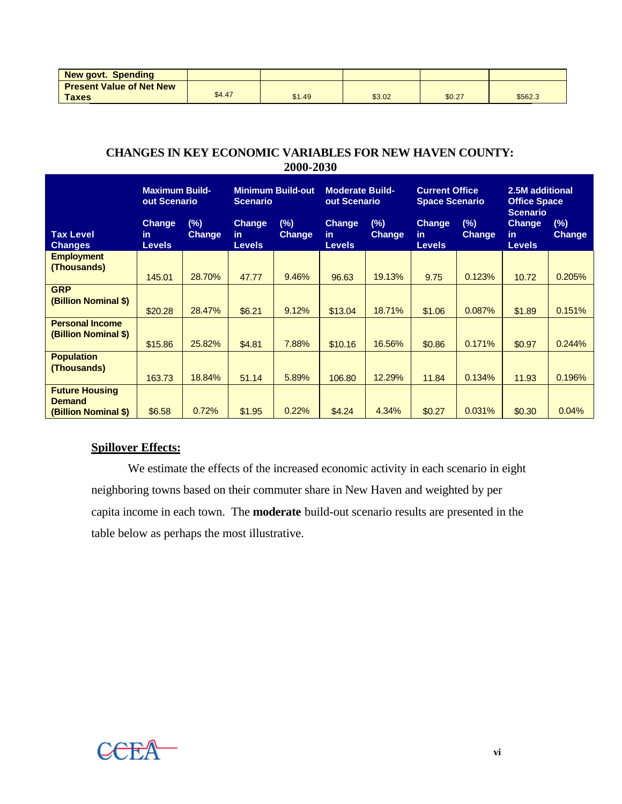| <b>New govt. Spending</b>       |        |        |        |        |         |
|---------------------------------|--------|--------|--------|--------|---------|
| <b>Present Value of Net New</b> |        |        |        |        |         |
| <b>Taxes</b>                    | \$4.47 | \$1.49 | \$3.02 | \$0.27 | \$562.3 |

# **CHANGES IN KEY ECONOMIC VARIABLES FOR NEW HAVEN COUNTY: 2000-2030**

|                                                                | <b>Maximum Build-</b><br><b>Minimum Build-out</b><br>out Scenario<br><b>Scenario</b> |                         | <b>Moderate Build-</b><br>out Scenario |                         |                                       | <b>Current Office</b><br><b>Space Scenario</b> |                                       | 2.5M additional<br><b>Office Space</b> |                                                          |                  |
|----------------------------------------------------------------|--------------------------------------------------------------------------------------|-------------------------|----------------------------------------|-------------------------|---------------------------------------|------------------------------------------------|---------------------------------------|----------------------------------------|----------------------------------------------------------|------------------|
| <b>Tax Level</b><br><b>Changes</b>                             | <b>Change</b><br>in.<br><b>Levels</b>                                                | $(\%)$<br><b>Change</b> | Change<br>in.<br><b>Levels</b>         | $(\%)$<br><b>Change</b> | <b>Change</b><br>in.<br><b>Levels</b> | (%)<br><b>Change</b>                           | <b>Change</b><br>in.<br><b>Levels</b> | $(\%)$<br><b>Change</b>                | <b>Scenario</b><br><b>Change</b><br>in.<br><b>Levels</b> | $(\%)$<br>Change |
| <b>Employment</b><br>(Thousands)                               | 145.01                                                                               | 28.70%                  | 47.77                                  | 9.46%                   | 96.63                                 | 19.13%                                         | 9.75                                  | 0.123%                                 | 10.72                                                    | 0.205%           |
| <b>GRP</b><br>(Billion Nominal \$)                             | \$20.28                                                                              | 28.47%                  | \$6.21                                 | 9.12%                   | \$13.04                               | 18.71%                                         | \$1.06                                | 0.087%                                 | \$1.89                                                   | 0.151%           |
| <b>Personal Income</b><br>(Billion Nominal \$)                 | \$15.86                                                                              | 25.82%                  | \$4.81                                 | 7.88%                   | \$10.16                               | 16.56%                                         | \$0.86                                | 0.171%                                 | \$0.97                                                   | 0.244%           |
| <b>Population</b><br>(Thousands)                               | 163.73                                                                               | 18.84%                  | 51.14                                  | 5.89%                   | 106.80                                | 12.29%                                         | 11.84                                 | 0.134%                                 | 11.93                                                    | 0.196%           |
| <b>Future Housing</b><br><b>Demand</b><br>(Billion Nominal \$) | \$6.58                                                                               | 0.72%                   | \$1.95                                 | 0.22%                   | \$4.24                                | 4.34%                                          | \$0.27                                | 0.031%                                 | \$0.30                                                   | 0.04%            |

# **Spillover Effects:**

We estimate the effects of the increased economic activity in each scenario in eight neighboring towns based on their commuter share in New Haven and weighted by per capita income in each town. The **moderate** build-out scenario results are presented in the table below as perhaps the most illustrative.

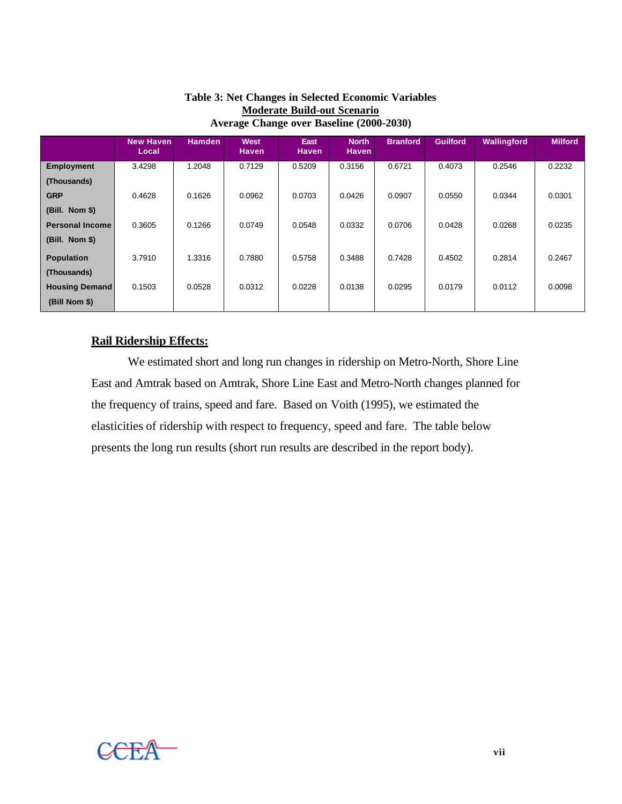|                        | <b>New Haven</b><br>Local | <b>Hamden</b> | West<br><b>Haven</b> | East<br><b>Haven</b> | <b>North</b><br><b>Haven</b> | <b>Branford</b> | <b>Guilford</b> | Wallingford | <b>Milford</b> |
|------------------------|---------------------------|---------------|----------------------|----------------------|------------------------------|-----------------|-----------------|-------------|----------------|
| <b>Employment</b>      | 3.4298                    | 1.2048        | 0.7129               | 0.5209               | 0.3156                       | 0.6721          | 0.4073          | 0.2546      | 0.2232         |
| (Thousands)            |                           |               |                      |                      |                              |                 |                 |             |                |
| <b>GRP</b>             | 0.4628                    | 0.1626        | 0.0962               | 0.0703               | 0.0426                       | 0.0907          | 0.0550          | 0.0344      | 0.0301         |
| $(Bill. Nom §)$        |                           |               |                      |                      |                              |                 |                 |             |                |
| <b>Personal Income</b> | 0.3605                    | 0.1266        | 0.0749               | 0.0548               | 0.0332                       | 0.0706          | 0.0428          | 0.0268      | 0.0235         |
| $(Bill.$ Nom \$)       |                           |               |                      |                      |                              |                 |                 |             |                |
| <b>Population</b>      | 3.7910                    | 1.3316        | 0.7880               | 0.5758               | 0.3488                       | 0.7428          | 0.4502          | 0.2814      | 0.2467         |
| (Thousands)            |                           |               |                      |                      |                              |                 |                 |             |                |
| <b>Housing Demand</b>  | 0.1503                    | 0.0528        | 0.0312               | 0.0228               | 0.0138                       | 0.0295          | 0.0179          | 0.0112      | 0.0098         |
| (Bill Nom \$)          |                           |               |                      |                      |                              |                 |                 |             |                |

## **Table 3: Net Changes in Selected Economic Variables Moderate Build-out Scenario Average Change over Baseline (2000-2030)**

# **Rail Ridership Effects:**

We estimated short and long run changes in ridership on Metro-North, Shore Line East and Amtrak based on Amtrak, Shore Line East and Metro-North changes planned for the frequency of trains, speed and fare. Based on Voith (1995), we estimated the elasticities of ridership with respect to frequency, speed and fare. The table below presents the long run results (short run results are described in the report body).

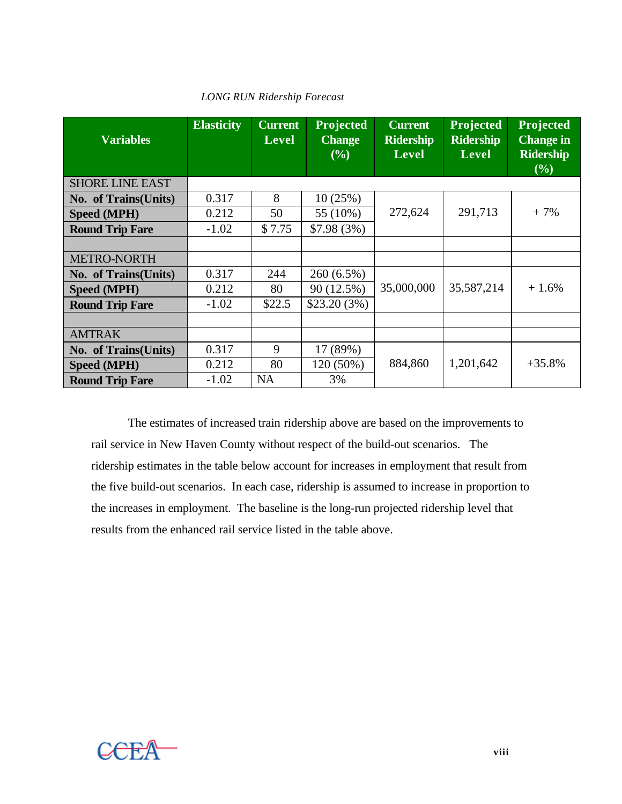| <b>Variables</b>       | <b>Elasticity</b> | <b>Current</b><br><b>Level</b> | Projected<br><b>Change</b><br>(%) | <b>Current</b><br><b>Ridership</b><br>Level | Projected<br><b>Ridership</b><br><b>Level</b> | Projected<br><b>Change in</b><br><b>Ridership</b><br>(%) |
|------------------------|-------------------|--------------------------------|-----------------------------------|---------------------------------------------|-----------------------------------------------|----------------------------------------------------------|
| <b>SHORE LINE EAST</b> |                   |                                |                                   |                                             |                                               |                                                          |
| No. of Trains(Units)   | 0.317             | 8                              | 10(25%)                           |                                             |                                               |                                                          |
| Speed (MPH)            | 0.212             | 50                             | 55 (10%)                          | 272,624                                     | 291,713                                       | $+7%$                                                    |
| <b>Round Trip Fare</b> | $-1.02$           | \$7.75                         | $$7.98(3\%)$                      |                                             |                                               |                                                          |
|                        |                   |                                |                                   |                                             |                                               |                                                          |
| <b>METRO-NORTH</b>     |                   |                                |                                   |                                             |                                               |                                                          |
| No. of Trains(Units)   | 0.317             | 244                            | 260 (6.5%)                        |                                             |                                               |                                                          |
| Speed (MPH)            | 0.212             | 80                             | 90 (12.5%)                        | 35,000,000                                  | 35,587,214                                    | $+1.6%$                                                  |
| <b>Round Trip Fare</b> | $-1.02$           | \$22.5                         | \$23.20(3%)                       |                                             |                                               |                                                          |
|                        |                   |                                |                                   |                                             |                                               |                                                          |
| <b>AMTRAK</b>          |                   |                                |                                   |                                             |                                               |                                                          |
| No. of Trains(Units)   | 0.317             | 9                              | 17 (89%)                          |                                             |                                               |                                                          |
| Speed (MPH)            | 0.212             | 80                             | 120 (50%)                         | 884,860                                     | 1,201,642                                     | $+35.8%$                                                 |
| <b>Round Trip Fare</b> | $-1.02$           | <b>NA</b>                      | 3%                                |                                             |                                               |                                                          |

## *LONG RUN Ridership Forecast*

The estimates of increased train ridership above are based on the improvements to rail service in New Haven County without respect of the build-out scenarios. The ridership estimates in the table below account for increases in employment that result from the five build-out scenarios. In each case, ridership is assumed to increase in proportion to the increases in employment. The baseline is the long-run projected ridership level that results from the enhanced rail service listed in the table above.

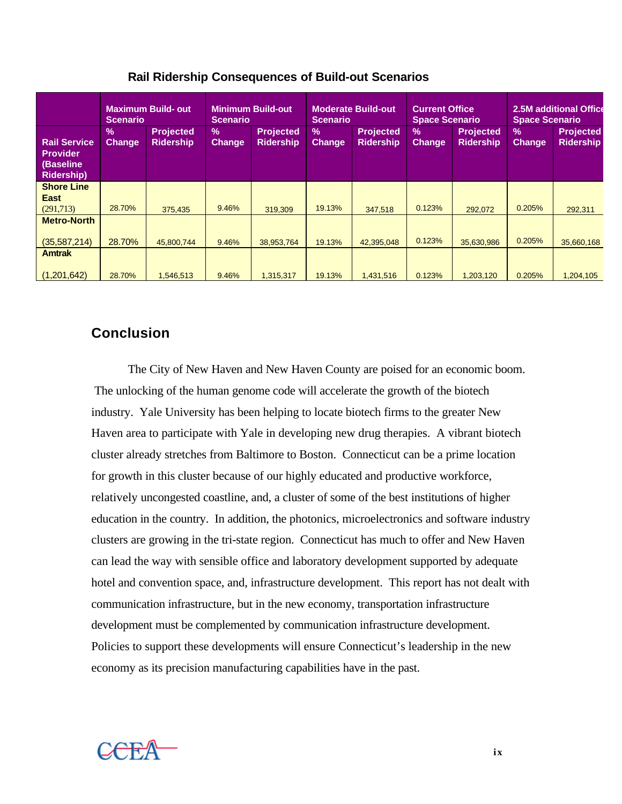|                                                                          | <b>Maximum Build-out</b><br><b>Scenario</b> |                                      | <b>Minimum Build-out</b><br><b>Scenario</b> |                                      | <b>Moderate Build-out</b><br><b>Scenario</b> |                                      | <b>Current Office</b><br><b>Space Scenario</b> |                                      | 2.5M additional Office<br><b>Space Scenario</b> |                                      |
|--------------------------------------------------------------------------|---------------------------------------------|--------------------------------------|---------------------------------------------|--------------------------------------|----------------------------------------------|--------------------------------------|------------------------------------------------|--------------------------------------|-------------------------------------------------|--------------------------------------|
| <b>Rail Service</b><br><b>Provider</b><br>(Baseline<br><b>Ridership)</b> | $\%$<br><b>Change</b>                       | <b>Projected</b><br><b>Ridership</b> | $\frac{9}{6}$<br><b>Change</b>              | <b>Projected</b><br><b>Ridership</b> | $\%$<br><b>Change</b>                        | <b>Projected</b><br><b>Ridership</b> | $\frac{9}{6}$<br><b>Change</b>                 | <b>Projected</b><br><b>Ridership</b> | $\%$<br><b>Change</b>                           | <b>Projected</b><br><b>Ridership</b> |
| <b>Shore Line</b><br><b>East</b>                                         |                                             |                                      |                                             |                                      |                                              |                                      |                                                |                                      |                                                 |                                      |
| (291,713)                                                                | 28.70%                                      | 375,435                              | 9.46%                                       | 319.309                              | 19.13%                                       | 347.518                              | 0.123%                                         | 292.072                              | 0.205%                                          | 292,311                              |
| <b>Metro-North</b>                                                       |                                             |                                      |                                             |                                      |                                              |                                      | 0.123%                                         |                                      | 0.205%                                          |                                      |
| (35, 587, 214)<br><b>Amtrak</b>                                          | 28.70%                                      | 45,800,744                           | 9.46%                                       | 38,953,764                           | 19.13%                                       | 42,395,048                           |                                                | 35.630.986                           |                                                 | 35,660,168                           |
|                                                                          |                                             |                                      |                                             |                                      |                                              |                                      |                                                |                                      |                                                 |                                      |
| (1,201,642)                                                              | 28.70%                                      | 1,546,513                            | 9.46%                                       | 1,315,317                            | 19.13%                                       | 1,431,516                            | 0.123%                                         | 1,203,120                            | 0.205%                                          | 1,204,105                            |

## **Rail Ridership Consequences of Build-out Scenarios**

# **Conclusion**

The City of New Haven and New Haven County are poised for an economic boom. The unlocking of the human genome code will accelerate the growth of the biotech industry. Yale University has been helping to locate biotech firms to the greater New Haven area to participate with Yale in developing new drug therapies. A vibrant biotech cluster already stretches from Baltimore to Boston. Connecticut can be a prime location for growth in this cluster because of our highly educated and productive workforce, relatively uncongested coastline, and, a cluster of some of the best institutions of higher education in the country. In addition, the photonics, microelectronics and software industry clusters are growing in the tri-state region. Connecticut has much to offer and New Haven can lead the way with sensible office and laboratory development supported by adequate hotel and convention space, and, infrastructure development. This report has not dealt with communication infrastructure, but in the new economy, transportation infrastructure development must be complemented by communication infrastructure development. Policies to support these developments will ensure Connecticut's leadership in the new economy as its precision manufacturing capabilities have in the past.

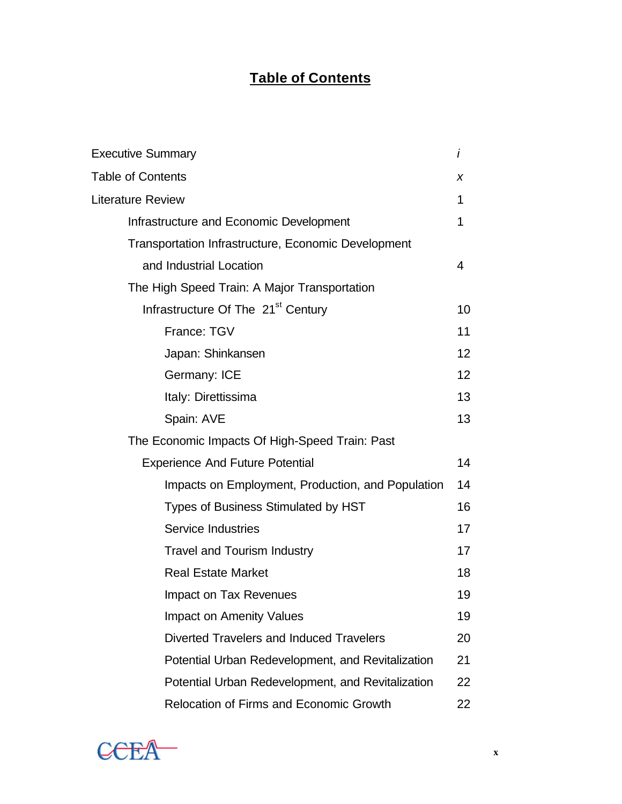# **Table of Contents**

| <b>Executive Summary</b>                            | İ               |
|-----------------------------------------------------|-----------------|
| <b>Table of Contents</b>                            | X               |
| <b>Literature Review</b>                            | 1               |
| Infrastructure and Economic Development             | 1               |
| Transportation Infrastructure, Economic Development |                 |
| and Industrial Location                             | 4               |
| The High Speed Train: A Major Transportation        |                 |
| Infrastructure Of The 21 <sup>st</sup> Century      | 10              |
| France: TGV                                         | 11              |
| Japan: Shinkansen                                   | 12 <sub>2</sub> |
| Germany: ICE                                        | 12 <sub>2</sub> |
| Italy: Direttissima                                 | 13              |
| Spain: AVE                                          | 13              |
| The Economic Impacts Of High-Speed Train: Past      |                 |
| <b>Experience And Future Potential</b>              | 14              |
| Impacts on Employment, Production, and Population   | 14              |
| Types of Business Stimulated by HST                 | 16              |
| <b>Service Industries</b>                           | 17              |
| <b>Travel and Tourism Industry</b>                  | 17              |
| <b>Real Estate Market</b>                           | 18              |
| <b>Impact on Tax Revenues</b>                       | 19              |
| <b>Impact on Amenity Values</b>                     | 19              |
| Diverted Travelers and Induced Travelers            | 20              |
| Potential Urban Redevelopment, and Revitalization   | 21              |
| Potential Urban Redevelopment, and Revitalization   | 22              |
| <b>Relocation of Firms and Economic Growth</b>      | 22              |

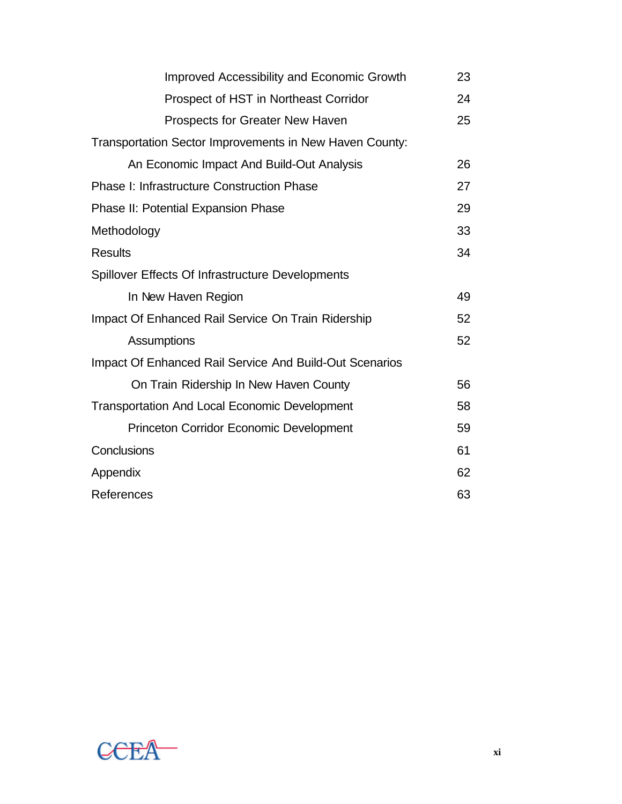| Improved Accessibility and Economic Growth              | 23 |
|---------------------------------------------------------|----|
| Prospect of HST in Northeast Corridor                   | 24 |
| Prospects for Greater New Haven                         | 25 |
| Transportation Sector Improvements in New Haven County: |    |
| An Economic Impact And Build-Out Analysis               | 26 |
| <b>Phase I: Infrastructure Construction Phase</b>       | 27 |
| <b>Phase II: Potential Expansion Phase</b>              | 29 |
| Methodology                                             | 33 |
| <b>Results</b>                                          | 34 |
| Spillover Effects Of Infrastructure Developments        |    |
| In New Haven Region                                     | 49 |
| Impact Of Enhanced Rail Service On Train Ridership      | 52 |
| Assumptions                                             | 52 |
| Impact Of Enhanced Rail Service And Build-Out Scenarios |    |
| On Train Ridership In New Haven County                  | 56 |
| <b>Transportation And Local Economic Development</b>    | 58 |
| <b>Princeton Corridor Economic Development</b>          | 59 |
| Conclusions                                             | 61 |
| Appendix                                                | 62 |
| References                                              | 63 |

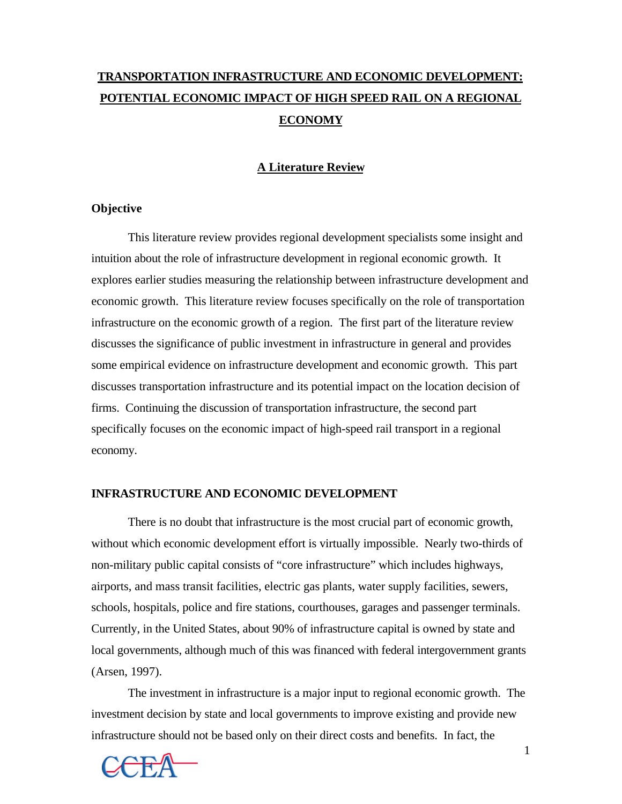# **TRANSPORTATION INFRASTRUCTURE AND ECONOMIC DEVELOPMENT: POTENTIAL ECONOMIC IMPACT OF HIGH SPEED RAIL ON A REGIONAL ECONOMY**

## **A Literature Review**

### **Objective**

This literature review provides regional development specialists some insight and intuition about the role of infrastructure development in regional economic growth. It explores earlier studies measuring the relationship between infrastructure development and economic growth. This literature review focuses specifically on the role of transportation infrastructure on the economic growth of a region. The first part of the literature review discusses the significance of public investment in infrastructure in general and provides some empirical evidence on infrastructure development and economic growth. This part discusses transportation infrastructure and its potential impact on the location decision of firms. Continuing the discussion of transportation infrastructure, the second part specifically focuses on the economic impact of high-speed rail transport in a regional economy.

#### **INFRASTRUCTURE AND ECONOMIC DEVELOPMENT**

There is no doubt that infrastructure is the most crucial part of economic growth, without which economic development effort is virtually impossible. Nearly two-thirds of non-military public capital consists of "core infrastructure" which includes highways, airports, and mass transit facilities, electric gas plants, water supply facilities, sewers, schools, hospitals, police and fire stations, courthouses, garages and passenger terminals. Currently, in the United States, about 90% of infrastructure capital is owned by state and local governments, although much of this was financed with federal intergovernment grants (Arsen, 1997).

The investment in infrastructure is a major input to regional economic growth. The investment decision by state and local governments to improve existing and provide new infrastructure should not be based only on their direct costs and benefits. In fact, the

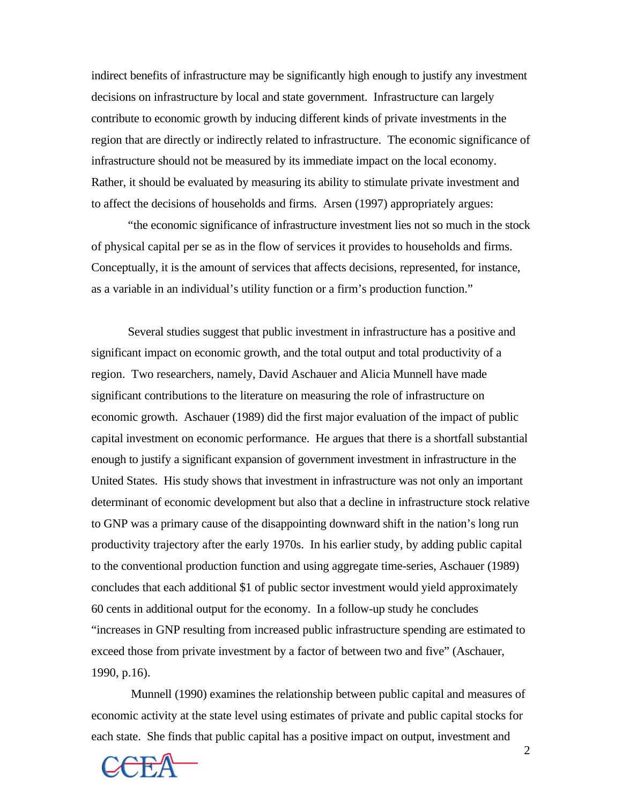indirect benefits of infrastructure may be significantly high enough to justify any investment decisions on infrastructure by local and state government. Infrastructure can largely contribute to economic growth by inducing different kinds of private investments in the region that are directly or indirectly related to infrastructure. The economic significance of infrastructure should not be measured by its immediate impact on the local economy. Rather, it should be evaluated by measuring its ability to stimulate private investment and to affect the decisions of households and firms. Arsen (1997) appropriately argues:

"the economic significance of infrastructure investment lies not so much in the stock of physical capital per se as in the flow of services it provides to households and firms. Conceptually, it is the amount of services that affects decisions, represented, for instance, as a variable in an individual's utility function or a firm's production function."

Several studies suggest that public investment in infrastructure has a positive and significant impact on economic growth, and the total output and total productivity of a region. Two researchers, namely, David Aschauer and Alicia Munnell have made significant contributions to the literature on measuring the role of infrastructure on economic growth. Aschauer (1989) did the first major evaluation of the impact of public capital investment on economic performance. He argues that there is a shortfall substantial enough to justify a significant expansion of government investment in infrastructure in the United States. His study shows that investment in infrastructure was not only an important determinant of economic development but also that a decline in infrastructure stock relative to GNP was a primary cause of the disappointing downward shift in the nation's long run productivity trajectory after the early 1970s. In his earlier study, by adding public capital to the conventional production function and using aggregate time-series, Aschauer (1989) concludes that each additional \$1 of public sector investment would yield approximately 60 cents in additional output for the economy. In a follow-up study he concludes "increases in GNP resulting from increased public infrastructure spending are estimated to exceed those from private investment by a factor of between two and five" (Aschauer, 1990, p.16).

Munnell (1990) examines the relationship between public capital and measures of economic activity at the state level using estimates of private and public capital stocks for each state. She finds that public capital has a positive impact on output, investment and

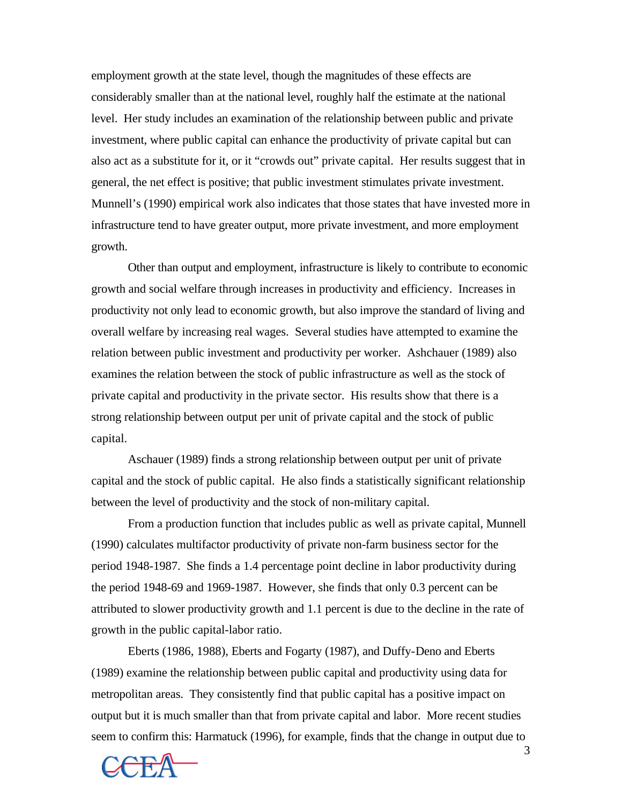employment growth at the state level, though the magnitudes of these effects are considerably smaller than at the national level, roughly half the estimate at the national level. Her study includes an examination of the relationship between public and private investment, where public capital can enhance the productivity of private capital but can also act as a substitute for it, or it "crowds out" private capital. Her results suggest that in general, the net effect is positive; that public investment stimulates private investment. Munnell's (1990) empirical work also indicates that those states that have invested more in infrastructure tend to have greater output, more private investment, and more employment growth.

Other than output and employment, infrastructure is likely to contribute to economic growth and social welfare through increases in productivity and efficiency. Increases in productivity not only lead to economic growth, but also improve the standard of living and overall welfare by increasing real wages. Several studies have attempted to examine the relation between public investment and productivity per worker. Ashchauer (1989) also examines the relation between the stock of public infrastructure as well as the stock of private capital and productivity in the private sector. His results show that there is a strong relationship between output per unit of private capital and the stock of public capital.

Aschauer (1989) finds a strong relationship between output per unit of private capital and the stock of public capital. He also finds a statistically significant relationship between the level of productivity and the stock of non-military capital.

From a production function that includes public as well as private capital, Munnell (1990) calculates multifactor productivity of private non-farm business sector for the period 1948-1987. She finds a 1.4 percentage point decline in labor productivity during the period 1948-69 and 1969-1987. However, she finds that only 0.3 percent can be attributed to slower productivity growth and 1.1 percent is due to the decline in the rate of growth in the public capital-labor ratio.

Eberts (1986, 1988), Eberts and Fogarty (1987), and Duffy-Deno and Eberts (1989) examine the relationship between public capital and productivity using data for metropolitan areas. They consistently find that public capital has a positive impact on output but it is much smaller than that from private capital and labor. More recent studies seem to confirm this: Harmatuck (1996), for example, finds that the change in output due to



3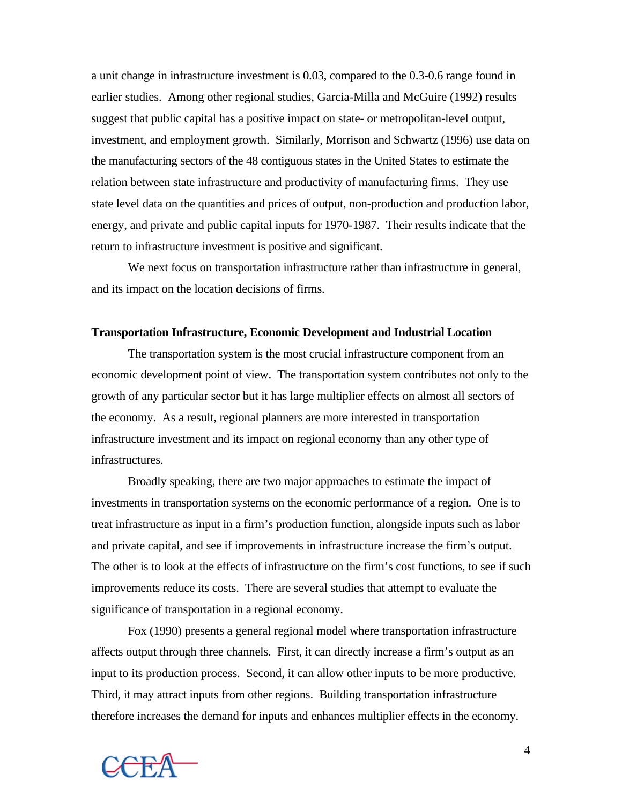a unit change in infrastructure investment is 0.03, compared to the 0.3-0.6 range found in earlier studies. Among other regional studies, Garcia-Milla and McGuire (1992) results suggest that public capital has a positive impact on state- or metropolitan-level output, investment, and employment growth. Similarly, Morrison and Schwartz (1996) use data on the manufacturing sectors of the 48 contiguous states in the United States to estimate the relation between state infrastructure and productivity of manufacturing firms. They use state level data on the quantities and prices of output, non-production and production labor, energy, and private and public capital inputs for 1970-1987. Their results indicate that the return to infrastructure investment is positive and significant.

We next focus on transportation infrastructure rather than infrastructure in general, and its impact on the location decisions of firms.

#### **Transportation Infrastructure, Economic Development and Industrial Location**

The transportation system is the most crucial infrastructure component from an economic development point of view. The transportation system contributes not only to the growth of any particular sector but it has large multiplier effects on almost all sectors of the economy. As a result, regional planners are more interested in transportation infrastructure investment and its impact on regional economy than any other type of infrastructures.

Broadly speaking, there are two major approaches to estimate the impact of investments in transportation systems on the economic performance of a region. One is to treat infrastructure as input in a firm's production function, alongside inputs such as labor and private capital, and see if improvements in infrastructure increase the firm's output. The other is to look at the effects of infrastructure on the firm's cost functions, to see if such improvements reduce its costs. There are several studies that attempt to evaluate the significance of transportation in a regional economy.

Fox (1990) presents a general regional model where transportation infrastructure affects output through three channels. First, it can directly increase a firm's output as an input to its production process. Second, it can allow other inputs to be more productive. Third, it may attract inputs from other regions. Building transportation infrastructure therefore increases the demand for inputs and enhances multiplier effects in the economy.

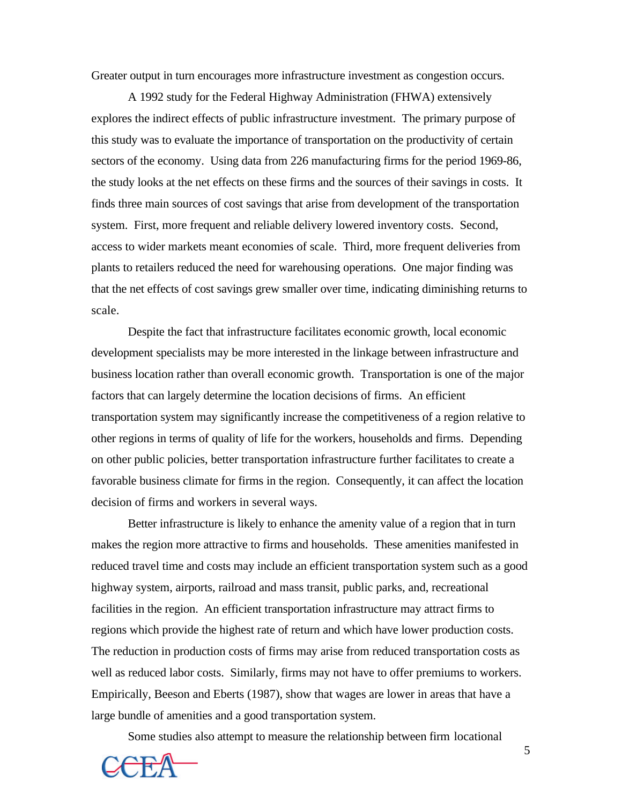Greater output in turn encourages more infrastructure investment as congestion occurs.

A 1992 study for the Federal Highway Administration (FHWA) extensively explores the indirect effects of public infrastructure investment. The primary purpose of this study was to evaluate the importance of transportation on the productivity of certain sectors of the economy. Using data from 226 manufacturing firms for the period 1969-86, the study looks at the net effects on these firms and the sources of their savings in costs. It finds three main sources of cost savings that arise from development of the transportation system. First, more frequent and reliable delivery lowered inventory costs. Second, access to wider markets meant economies of scale. Third, more frequent deliveries from plants to retailers reduced the need for warehousing operations. One major finding was that the net effects of cost savings grew smaller over time, indicating diminishing returns to scale.

Despite the fact that infrastructure facilitates economic growth, local economic development specialists may be more interested in the linkage between infrastructure and business location rather than overall economic growth. Transportation is one of the major factors that can largely determine the location decisions of firms. An efficient transportation system may significantly increase the competitiveness of a region relative to other regions in terms of quality of life for the workers, households and firms. Depending on other public policies, better transportation infrastructure further facilitates to create a favorable business climate for firms in the region. Consequently, it can affect the location decision of firms and workers in several ways.

Better infrastructure is likely to enhance the amenity value of a region that in turn makes the region more attractive to firms and households. These amenities manifested in reduced travel time and costs may include an efficient transportation system such as a good highway system, airports, railroad and mass transit, public parks, and, recreational facilities in the region. An efficient transportation infrastructure may attract firms to regions which provide the highest rate of return and which have lower production costs. The reduction in production costs of firms may arise from reduced transportation costs as well as reduced labor costs. Similarly, firms may not have to offer premiums to workers. Empirically, Beeson and Eberts (1987), show that wages are lower in areas that have a large bundle of amenities and a good transportation system.

Some studies also attempt to measure the relationship between firm locational

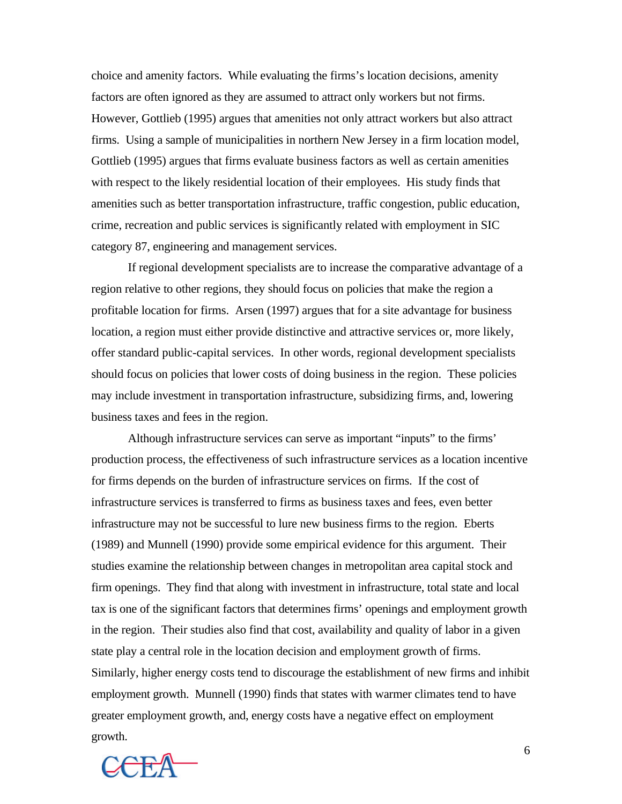choice and amenity factors. While evaluating the firms's location decisions, amenity factors are often ignored as they are assumed to attract only workers but not firms. However, Gottlieb (1995) argues that amenities not only attract workers but also attract firms. Using a sample of municipalities in northern New Jersey in a firm location model, Gottlieb (1995) argues that firms evaluate business factors as well as certain amenities with respect to the likely residential location of their employees. His study finds that amenities such as better transportation infrastructure, traffic congestion, public education, crime, recreation and public services is significantly related with employment in SIC category 87, engineering and management services.

If regional development specialists are to increase the comparative advantage of a region relative to other regions, they should focus on policies that make the region a profitable location for firms. Arsen (1997) argues that for a site advantage for business location, a region must either provide distinctive and attractive services or, more likely, offer standard public-capital services. In other words, regional development specialists should focus on policies that lower costs of doing business in the region. These policies may include investment in transportation infrastructure, subsidizing firms, and, lowering business taxes and fees in the region.

Although infrastructure services can serve as important "inputs" to the firms' production process, the effectiveness of such infrastructure services as a location incentive for firms depends on the burden of infrastructure services on firms. If the cost of infrastructure services is transferred to firms as business taxes and fees, even better infrastructure may not be successful to lure new business firms to the region. Eberts (1989) and Munnell (1990) provide some empirical evidence for this argument. Their studies examine the relationship between changes in metropolitan area capital stock and firm openings. They find that along with investment in infrastructure, total state and local tax is one of the significant factors that determines firms' openings and employment growth in the region. Their studies also find that cost, availability and quality of labor in a given state play a central role in the location decision and employment growth of firms. Similarly, higher energy costs tend to discourage the establishment of new firms and inhibit employment growth. Munnell (1990) finds that states with warmer climates tend to have greater employment growth, and, energy costs have a negative effect on employment growth.

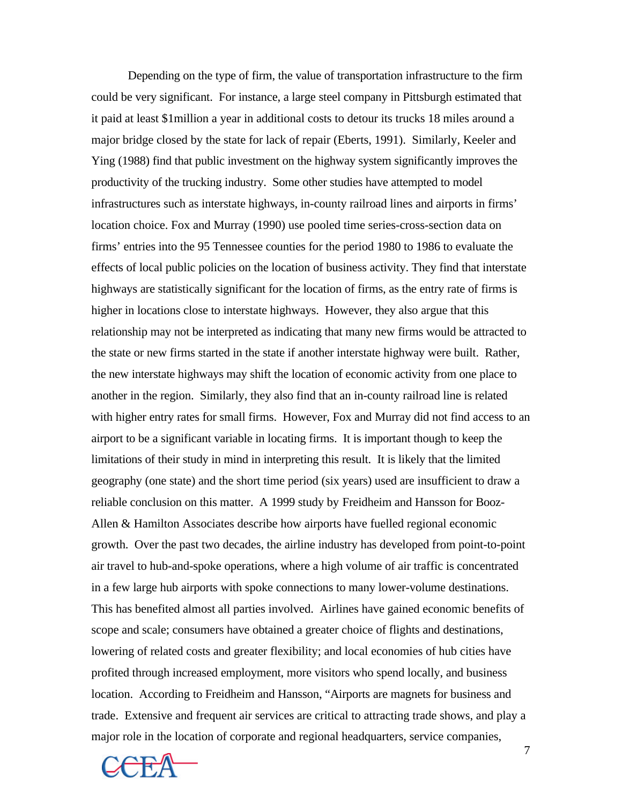Depending on the type of firm, the value of transportation infrastructure to the firm could be very significant. For instance, a large steel company in Pittsburgh estimated that it paid at least \$1million a year in additional costs to detour its trucks 18 miles around a major bridge closed by the state for lack of repair (Eberts, 1991). Similarly, Keeler and Ying (1988) find that public investment on the highway system significantly improves the productivity of the trucking industry. Some other studies have attempted to model infrastructures such as interstate highways, in-county railroad lines and airports in firms' location choice. Fox and Murray (1990) use pooled time series-cross-section data on firms' entries into the 95 Tennessee counties for the period 1980 to 1986 to evaluate the effects of local public policies on the location of business activity. They find that interstate highways are statistically significant for the location of firms, as the entry rate of firms is higher in locations close to interstate highways. However, they also argue that this relationship may not be interpreted as indicating that many new firms would be attracted to the state or new firms started in the state if another interstate highway were built. Rather, the new interstate highways may shift the location of economic activity from one place to another in the region. Similarly, they also find that an in-county railroad line is related with higher entry rates for small firms. However, Fox and Murray did not find access to an airport to be a significant variable in locating firms. It is important though to keep the limitations of their study in mind in interpreting this result. It is likely that the limited geography (one state) and the short time period (six years) used are insufficient to draw a reliable conclusion on this matter. A 1999 study by Freidheim and Hansson for Booz-Allen & Hamilton Associates describe how airports have fuelled regional economic growth. Over the past two decades, the airline industry has developed from point-to-point air travel to hub-and-spoke operations, where a high volume of air traffic is concentrated in a few large hub airports with spoke connections to many lower-volume destinations. This has benefited almost all parties involved. Airlines have gained economic benefits of scope and scale; consumers have obtained a greater choice of flights and destinations, lowering of related costs and greater flexibility; and local economies of hub cities have profited through increased employment, more visitors who spend locally, and business location. According to Freidheim and Hansson, "Airports are magnets for business and trade. Extensive and frequent air services are critical to attracting trade shows, and play a major role in the location of corporate and regional headquarters, service companies,

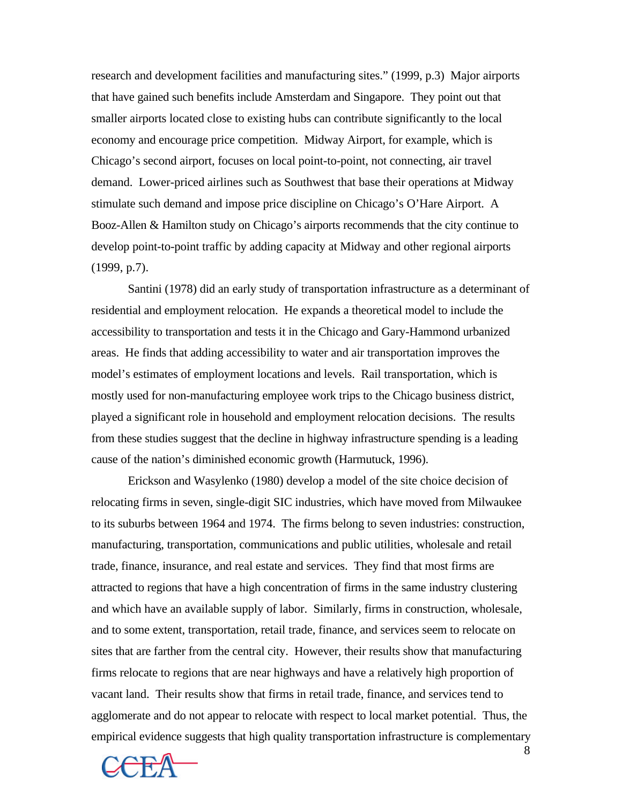research and development facilities and manufacturing sites." (1999, p.3) Major airports that have gained such benefits include Amsterdam and Singapore. They point out that smaller airports located close to existing hubs can contribute significantly to the local economy and encourage price competition. Midway Airport, for example, which is Chicago's second airport, focuses on local point-to-point, not connecting, air travel demand. Lower-priced airlines such as Southwest that base their operations at Midway stimulate such demand and impose price discipline on Chicago's O'Hare Airport. A Booz-Allen & Hamilton study on Chicago's airports recommends that the city continue to develop point-to-point traffic by adding capacity at Midway and other regional airports (1999, p.7).

Santini (1978) did an early study of transportation infrastructure as a determinant of residential and employment relocation. He expands a theoretical model to include the accessibility to transportation and tests it in the Chicago and Gary-Hammond urbanized areas. He finds that adding accessibility to water and air transportation improves the model's estimates of employment locations and levels. Rail transportation, which is mostly used for non-manufacturing employee work trips to the Chicago business district, played a significant role in household and employment relocation decisions. The results from these studies suggest that the decline in highway infrastructure spending is a leading cause of the nation's diminished economic growth (Harmutuck, 1996).

Erickson and Wasylenko (1980) develop a model of the site choice decision of relocating firms in seven, single-digit SIC industries, which have moved from Milwaukee to its suburbs between 1964 and 1974. The firms belong to seven industries: construction, manufacturing, transportation, communications and public utilities, wholesale and retail trade, finance, insurance, and real estate and services. They find that most firms are attracted to regions that have a high concentration of firms in the same industry clustering and which have an available supply of labor. Similarly, firms in construction, wholesale, and to some extent, transportation, retail trade, finance, and services seem to relocate on sites that are farther from the central city. However, their results show that manufacturing firms relocate to regions that are near highways and have a relatively high proportion of vacant land. Their results show that firms in retail trade, finance, and services tend to agglomerate and do not appear to relocate with respect to local market potential. Thus, the empirical evidence suggests that high quality transportation infrastructure is complementary

8

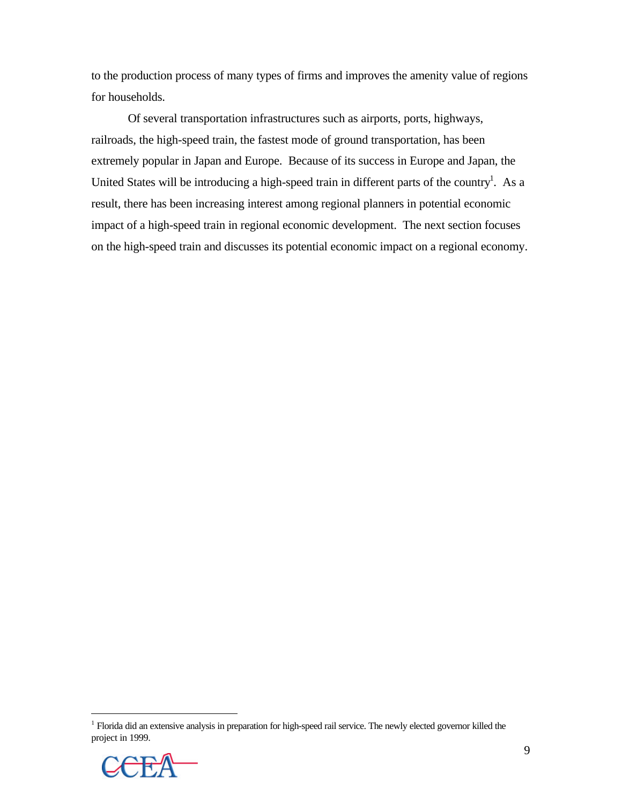to the production process of many types of firms and improves the amenity value of regions for households.

Of several transportation infrastructures such as airports, ports, highways, railroads, the high-speed train, the fastest mode of ground transportation, has been extremely popular in Japan and Europe. Because of its success in Europe and Japan, the United States will be introducing a high-speed train in different parts of the country<sup>1</sup>. As a result, there has been increasing interest among regional planners in potential economic impact of a high-speed train in regional economic development. The next section focuses on the high-speed train and discusses its potential economic impact on a regional economy.

<sup>&</sup>lt;sup>1</sup> Florida did an extensive analysis in preparation for high-speed rail service. The newly elected governor killed the project in 1999.



 $\overline{a}$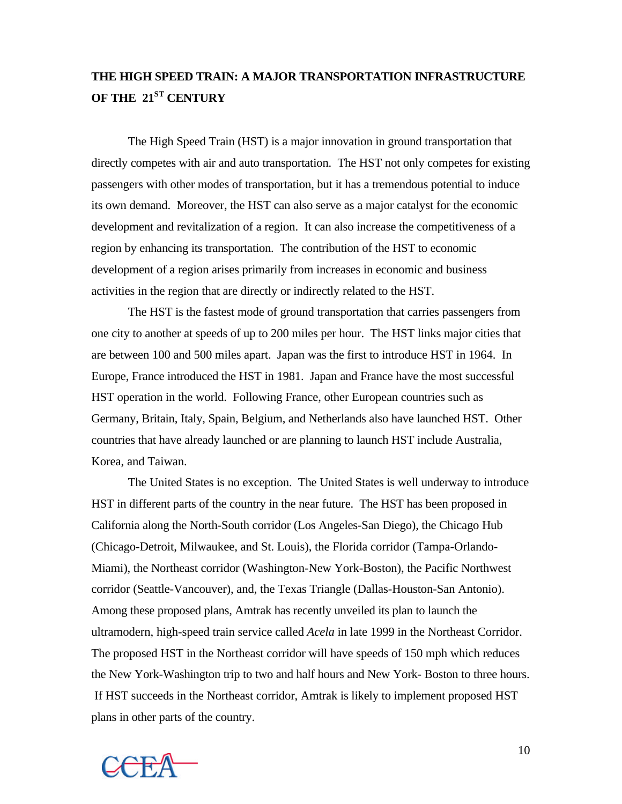# **THE HIGH SPEED TRAIN: A MAJOR TRANSPORTATION INFRASTRUCTURE OF THE 21ST CENTURY**

The High Speed Train (HST) is a major innovation in ground transportation that directly competes with air and auto transportation. The HST not only competes for existing passengers with other modes of transportation, but it has a tremendous potential to induce its own demand. Moreover, the HST can also serve as a major catalyst for the economic development and revitalization of a region. It can also increase the competitiveness of a region by enhancing its transportation. The contribution of the HST to economic development of a region arises primarily from increases in economic and business activities in the region that are directly or indirectly related to the HST.

The HST is the fastest mode of ground transportation that carries passengers from one city to another at speeds of up to 200 miles per hour. The HST links major cities that are between 100 and 500 miles apart. Japan was the first to introduce HST in 1964. In Europe, France introduced the HST in 1981. Japan and France have the most successful HST operation in the world. Following France, other European countries such as Germany, Britain, Italy, Spain, Belgium, and Netherlands also have launched HST. Other countries that have already launched or are planning to launch HST include Australia, Korea, and Taiwan.

The United States is no exception. The United States is well underway to introduce HST in different parts of the country in the near future. The HST has been proposed in California along the North-South corridor (Los Angeles-San Diego), the Chicago Hub (Chicago-Detroit, Milwaukee, and St. Louis), the Florida corridor (Tampa-Orlando-Miami), the Northeast corridor (Washington-New York-Boston), the Pacific Northwest corridor (Seattle-Vancouver), and, the Texas Triangle (Dallas-Houston-San Antonio). Among these proposed plans, Amtrak has recently unveiled its plan to launch the ultramodern, high-speed train service called *Acela* in late 1999 in the Northeast Corridor. The proposed HST in the Northeast corridor will have speeds of 150 mph which reduces the New York-Washington trip to two and half hours and New York- Boston to three hours. If HST succeeds in the Northeast corridor, Amtrak is likely to implement proposed HST plans in other parts of the country.



10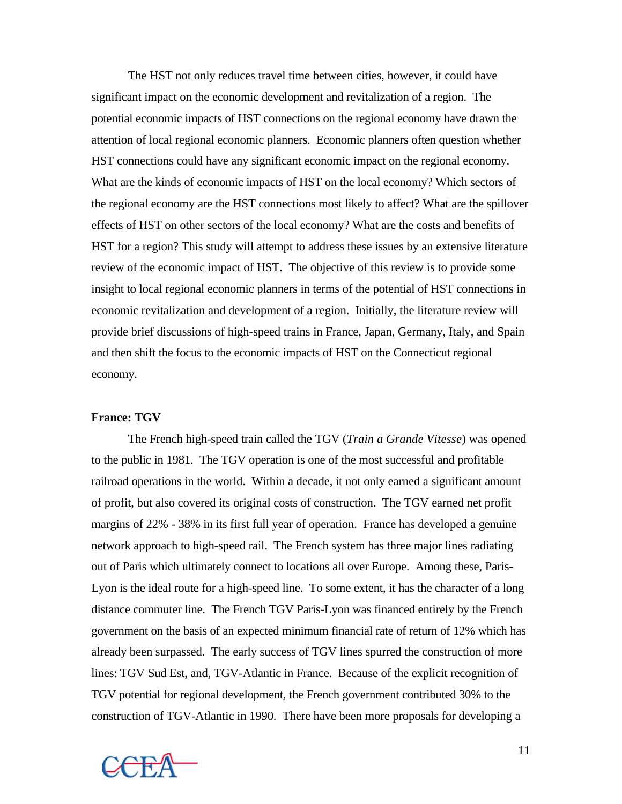The HST not only reduces travel time between cities, however, it could have significant impact on the economic development and revitalization of a region. The potential economic impacts of HST connections on the regional economy have drawn the attention of local regional economic planners. Economic planners often question whether HST connections could have any significant economic impact on the regional economy. What are the kinds of economic impacts of HST on the local economy? Which sectors of the regional economy are the HST connections most likely to affect? What are the spillover effects of HST on other sectors of the local economy? What are the costs and benefits of HST for a region? This study will attempt to address these issues by an extensive literature review of the economic impact of HST. The objective of this review is to provide some insight to local regional economic planners in terms of the potential of HST connections in economic revitalization and development of a region. Initially, the literature review will provide brief discussions of high-speed trains in France, Japan, Germany, Italy, and Spain and then shift the focus to the economic impacts of HST on the Connecticut regional economy.

### **France: TGV**

The French high-speed train called the TGV (*Train a Grande Vitesse*) was opened to the public in 1981. The TGV operation is one of the most successful and profitable railroad operations in the world. Within a decade, it not only earned a significant amount of profit, but also covered its original costs of construction. The TGV earned net profit margins of 22% - 38% in its first full year of operation. France has developed a genuine network approach to high-speed rail. The French system has three major lines radiating out of Paris which ultimately connect to locations all over Europe. Among these, Paris-Lyon is the ideal route for a high-speed line. To some extent, it has the character of a long distance commuter line. The French TGV Paris-Lyon was financed entirely by the French government on the basis of an expected minimum financial rate of return of 12% which has already been surpassed. The early success of TGV lines spurred the construction of more lines: TGV Sud Est, and, TGV-Atlantic in France. Because of the explicit recognition of TGV potential for regional development, the French government contributed 30% to the construction of TGV-Atlantic in 1990. There have been more proposals for developing a

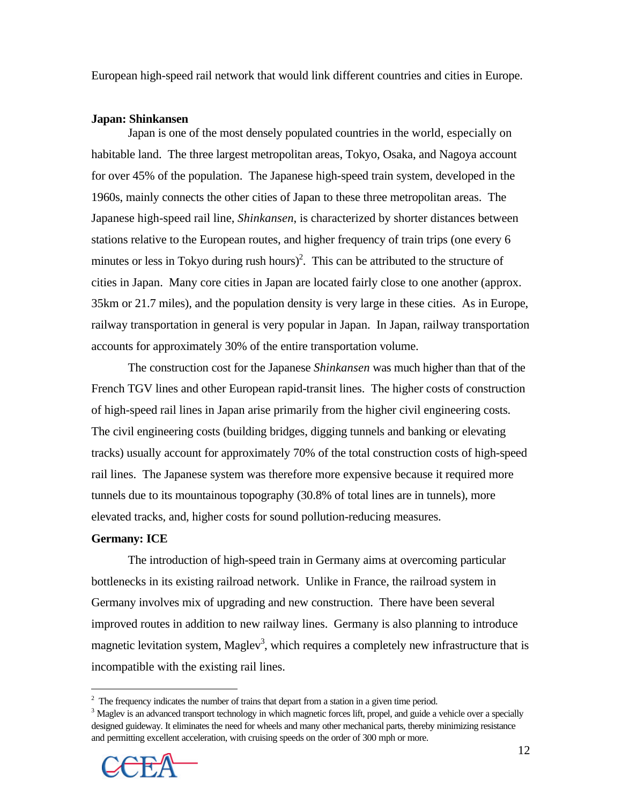European high-speed rail network that would link different countries and cities in Europe.

#### **Japan: Shinkansen**

Japan is one of the most densely populated countries in the world, especially on habitable land. The three largest metropolitan areas, Tokyo, Osaka, and Nagoya account for over 45% of the population. The Japanese high-speed train system, developed in the 1960s, mainly connects the other cities of Japan to these three metropolitan areas. The Japanese high-speed rail line, *Shinkansen*, is characterized by shorter distances between stations relative to the European routes, and higher frequency of train trips (one every 6 minutes or less in Tokyo during rush hours)<sup>2</sup>. This can be attributed to the structure of cities in Japan. Many core cities in Japan are located fairly close to one another (approx. 35km or 21.7 miles), and the population density is very large in these cities. As in Europe, railway transportation in general is very popular in Japan. In Japan, railway transportation accounts for approximately 30% of the entire transportation volume.

The construction cost for the Japanese *Shinkansen* was much higher than that of the French TGV lines and other European rapid-transit lines. The higher costs of construction of high-speed rail lines in Japan arise primarily from the higher civil engineering costs. The civil engineering costs (building bridges, digging tunnels and banking or elevating tracks) usually account for approximately 70% of the total construction costs of high-speed rail lines. The Japanese system was therefore more expensive because it required more tunnels due to its mountainous topography (30.8% of total lines are in tunnels), more elevated tracks, and, higher costs for sound pollution-reducing measures.

#### **Germany: ICE**

 $\overline{a}$ 

The introduction of high-speed train in Germany aims at overcoming particular bottlenecks in its existing railroad network. Unlike in France, the railroad system in Germany involves mix of upgrading and new construction. There have been several improved routes in addition to new railway lines. Germany is also planning to introduce magnetic levitation system, Maglev<sup>3</sup>, which requires a completely new infrastructure that is incompatible with the existing rail lines.

 $2$  The frequency indicates the number of trains that depart from a station in a given time period.

<sup>&</sup>lt;sup>3</sup> Maglev is an advanced transport technology in which magnetic forces lift, propel, and guide a vehicle over a specially designed guideway. It eliminates the need for wheels and many other mechanical parts, thereby minimizing resistance and permitting excellent acceleration, with cruising speeds on the order of 300 mph or more.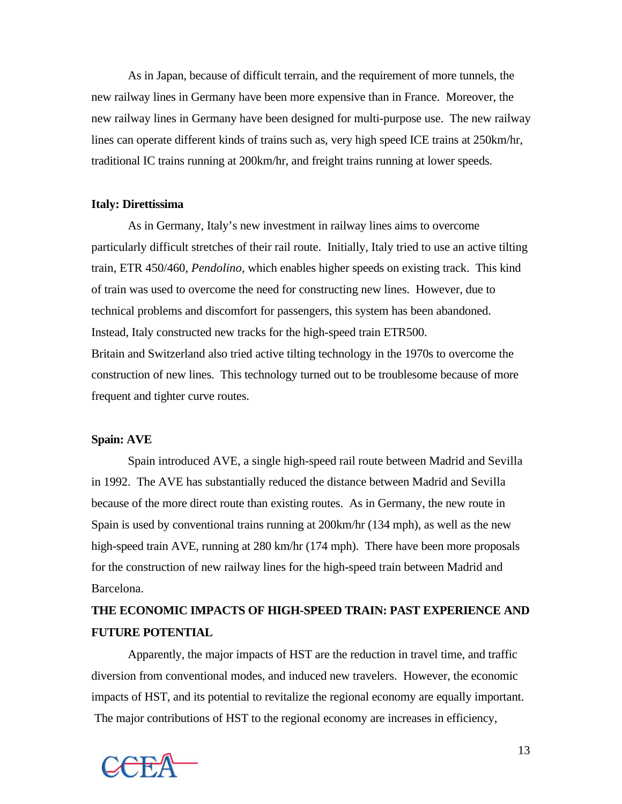As in Japan, because of difficult terrain, and the requirement of more tunnels, the new railway lines in Germany have been more expensive than in France. Moreover, the new railway lines in Germany have been designed for multi-purpose use. The new railway lines can operate different kinds of trains such as, very high speed ICE trains at 250km/hr, traditional IC trains running at 200km/hr, and freight trains running at lower speeds.

### **Italy: Direttissima**

As in Germany, Italy's new investment in railway lines aims to overcome particularly difficult stretches of their rail route. Initially, Italy tried to use an active tilting train, ETR 450/460, *Pendolino*, which enables higher speeds on existing track. This kind of train was used to overcome the need for constructing new lines. However, due to technical problems and discomfort for passengers, this system has been abandoned. Instead, Italy constructed new tracks for the high-speed train ETR500. Britain and Switzerland also tried active tilting technology in the 1970s to overcome the construction of new lines. This technology turned out to be troublesome because of more frequent and tighter curve routes.

### **Spain: AVE**

Spain introduced AVE, a single high-speed rail route between Madrid and Sevilla in 1992. The AVE has substantially reduced the distance between Madrid and Sevilla because of the more direct route than existing routes. As in Germany, the new route in Spain is used by conventional trains running at 200km/hr (134 mph), as well as the new high-speed train AVE, running at 280 km/hr (174 mph). There have been more proposals for the construction of new railway lines for the high-speed train between Madrid and Barcelona.

# **THE ECONOMIC IMPACTS OF HIGH-SPEED TRAIN: PAST EXPERIENCE AND FUTURE POTENTIAL**

Apparently, the major impacts of HST are the reduction in travel time, and traffic diversion from conventional modes, and induced new travelers. However, the economic impacts of HST, and its potential to revitalize the regional economy are equally important. The major contributions of HST to the regional economy are increases in efficiency,

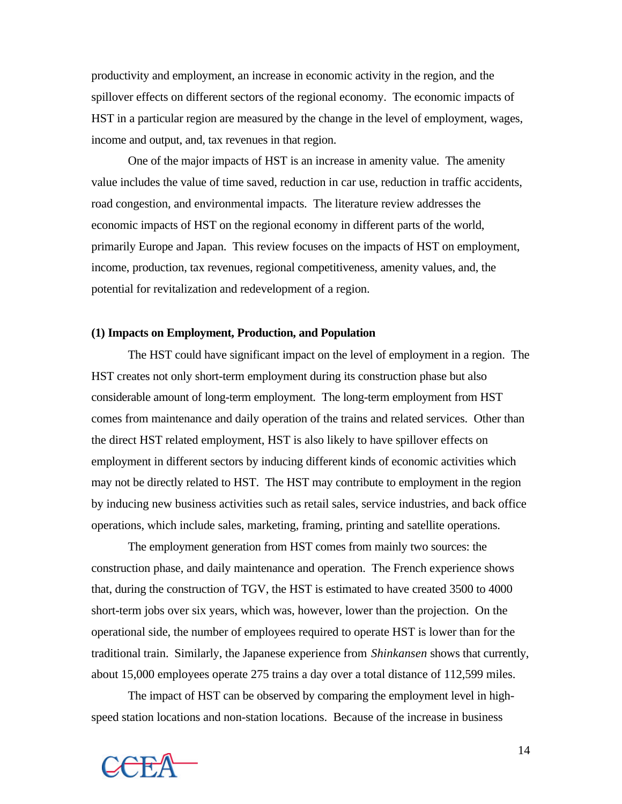productivity and employment, an increase in economic activity in the region, and the spillover effects on different sectors of the regional economy. The economic impacts of HST in a particular region are measured by the change in the level of employment, wages, income and output, and, tax revenues in that region.

One of the major impacts of HST is an increase in amenity value. The amenity value includes the value of time saved, reduction in car use, reduction in traffic accidents, road congestion, and environmental impacts. The literature review addresses the economic impacts of HST on the regional economy in different parts of the world, primarily Europe and Japan. This review focuses on the impacts of HST on employment, income, production, tax revenues, regional competitiveness, amenity values, and, the potential for revitalization and redevelopment of a region.

### **(1) Impacts on Employment, Production, and Population**

The HST could have significant impact on the level of employment in a region. The HST creates not only short-term employment during its construction phase but also considerable amount of long-term employment. The long-term employment from HST comes from maintenance and daily operation of the trains and related services. Other than the direct HST related employment, HST is also likely to have spillover effects on employment in different sectors by inducing different kinds of economic activities which may not be directly related to HST. The HST may contribute to employment in the region by inducing new business activities such as retail sales, service industries, and back office operations, which include sales, marketing, framing, printing and satellite operations.

The employment generation from HST comes from mainly two sources: the construction phase, and daily maintenance and operation. The French experience shows that, during the construction of TGV, the HST is estimated to have created 3500 to 4000 short-term jobs over six years, which was, however, lower than the projection. On the operational side, the number of employees required to operate HST is lower than for the traditional train. Similarly, the Japanese experience from *Shinkansen* shows that currently, about 15,000 employees operate 275 trains a day over a total distance of 112,599 miles.

The impact of HST can be observed by comparing the employment level in highspeed station locations and non-station locations. Because of the increase in business

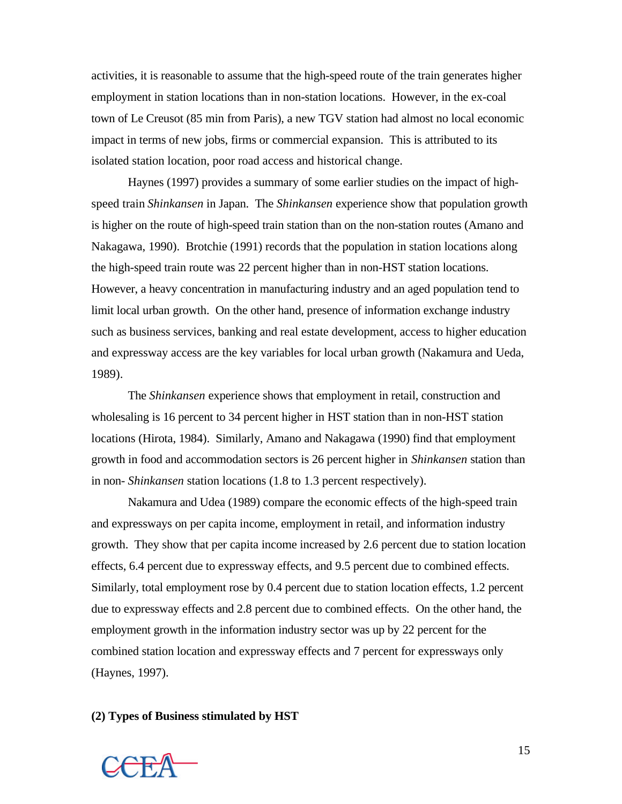activities, it is reasonable to assume that the high-speed route of the train generates higher employment in station locations than in non-station locations. However, in the ex-coal town of Le Creusot (85 min from Paris), a new TGV station had almost no local economic impact in terms of new jobs, firms or commercial expansion. This is attributed to its isolated station location, poor road access and historical change.

Haynes (1997) provides a summary of some earlier studies on the impact of highspeed train *Shinkansen* in Japan. The *Shinkansen* experience show that population growth is higher on the route of high-speed train station than on the non-station routes (Amano and Nakagawa, 1990). Brotchie (1991) records that the population in station locations along the high-speed train route was 22 percent higher than in non-HST station locations. However, a heavy concentration in manufacturing industry and an aged population tend to limit local urban growth. On the other hand, presence of information exchange industry such as business services, banking and real estate development, access to higher education and expressway access are the key variables for local urban growth (Nakamura and Ueda, 1989).

The *Shinkansen* experience shows that employment in retail, construction and wholesaling is 16 percent to 34 percent higher in HST station than in non-HST station locations (Hirota, 1984). Similarly, Amano and Nakagawa (1990) find that employment growth in food and accommodation sectors is 26 percent higher in *Shinkansen* station than in non- *Shinkansen* station locations (1.8 to 1.3 percent respectively).

 Nakamura and Udea (1989) compare the economic effects of the high-speed train and expressways on per capita income, employment in retail, and information industry growth. They show that per capita income increased by 2.6 percent due to station location effects, 6.4 percent due to expressway effects, and 9.5 percent due to combined effects. Similarly, total employment rose by 0.4 percent due to station location effects, 1.2 percent due to expressway effects and 2.8 percent due to combined effects. On the other hand, the employment growth in the information industry sector was up by 22 percent for the combined station location and expressway effects and 7 percent for expressways only (Haynes, 1997).

### **(2) Types of Business stimulated by HST**

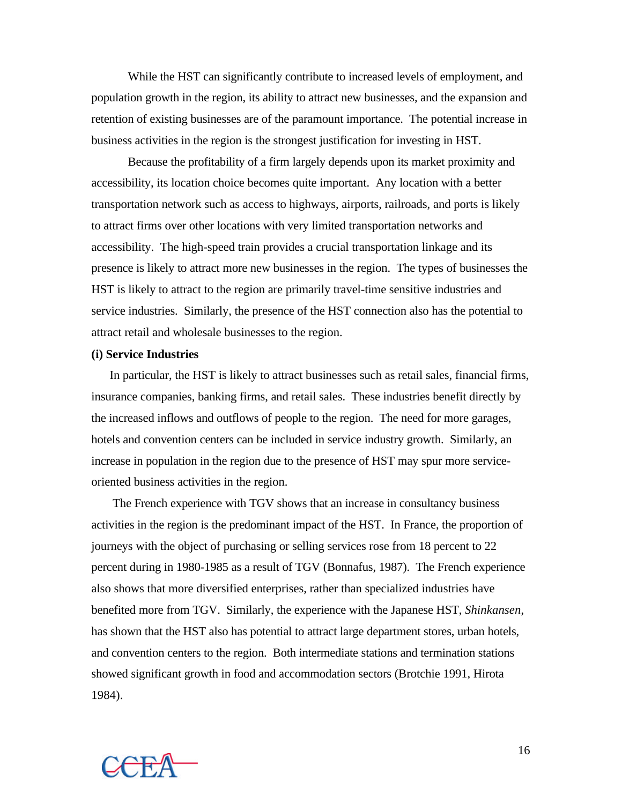While the HST can significantly contribute to increased levels of employment, and population growth in the region, its ability to attract new businesses, and the expansion and retention of existing businesses are of the paramount importance. The potential increase in business activities in the region is the strongest justification for investing in HST.

Because the profitability of a firm largely depends upon its market proximity and accessibility, its location choice becomes quite important. Any location with a better transportation network such as access to highways, airports, railroads, and ports is likely to attract firms over other locations with very limited transportation networks and accessibility. The high-speed train provides a crucial transportation linkage and its presence is likely to attract more new businesses in the region. The types of businesses the HST is likely to attract to the region are primarily travel-time sensitive industries and service industries. Similarly, the presence of the HST connection also has the potential to attract retail and wholesale businesses to the region.

### **(i) Service Industries**

In particular, the HST is likely to attract businesses such as retail sales, financial firms, insurance companies, banking firms, and retail sales. These industries benefit directly by the increased inflows and outflows of people to the region. The need for more garages, hotels and convention centers can be included in service industry growth. Similarly, an increase in population in the region due to the presence of HST may spur more serviceoriented business activities in the region.

 The French experience with TGV shows that an increase in consultancy business activities in the region is the predominant impact of the HST. In France, the proportion of journeys with the object of purchasing or selling services rose from 18 percent to 22 percent during in 1980-1985 as a result of TGV (Bonnafus, 1987). The French experience also shows that more diversified enterprises, rather than specialized industries have benefited more from TGV. Similarly, the experience with the Japanese HST, *Shinkansen*, has shown that the HST also has potential to attract large department stores, urban hotels, and convention centers to the region. Both intermediate stations and termination stations showed significant growth in food and accommodation sectors (Brotchie 1991, Hirota 1984).



16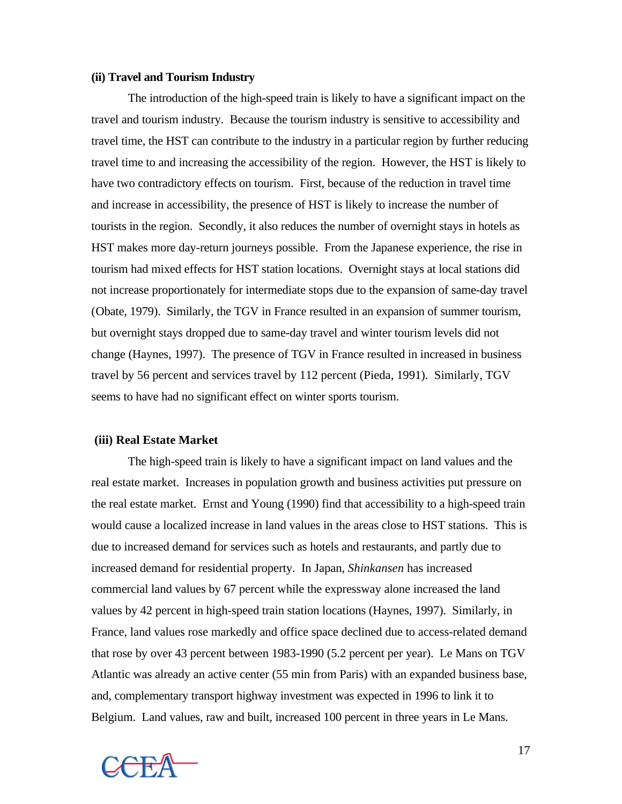#### **(ii) Travel and Tourism Industry**

The introduction of the high-speed train is likely to have a significant impact on the travel and tourism industry. Because the tourism industry is sensitive to accessibility and travel time, the HST can contribute to the industry in a particular region by further reducing travel time to and increasing the accessibility of the region. However, the HST is likely to have two contradictory effects on tourism. First, because of the reduction in travel time and increase in accessibility, the presence of HST is likely to increase the number of tourists in the region. Secondly, it also reduces the number of overnight stays in hotels as HST makes more day-return journeys possible. From the Japanese experience, the rise in tourism had mixed effects for HST station locations. Overnight stays at local stations did not increase proportionately for intermediate stops due to the expansion of same-day travel (Obate, 1979). Similarly, the TGV in France resulted in an expansion of summer tourism, but overnight stays dropped due to same-day travel and winter tourism levels did not change (Haynes, 1997). The presence of TGV in France resulted in increased in business travel by 56 percent and services travel by 112 percent (Pieda, 1991). Similarly, TGV seems to have had no significant effect on winter sports tourism.

### **(iii) Real Estate Market**

The high-speed train is likely to have a significant impact on land values and the real estate market. Increases in population growth and business activities put pressure on the real estate market. Ernst and Young (1990) find that accessibility to a high-speed train would cause a localized increase in land values in the areas close to HST stations. This is due to increased demand for services such as hotels and restaurants, and partly due to increased demand for residential property. In Japan, *Shinkansen* has increased commercial land values by 67 percent while the expressway alone increased the land values by 42 percent in high-speed train station locations (Haynes, 1997). Similarly, in France, land values rose markedly and office space declined due to access-related demand that rose by over 43 percent between 1983-1990 (5.2 percent per year). Le Mans on TGV Atlantic was already an active center (55 min from Paris) with an expanded business base, and, complementary transport highway investment was expected in 1996 to link it to Belgium. Land values, raw and built, increased 100 percent in three years in Le Mans.

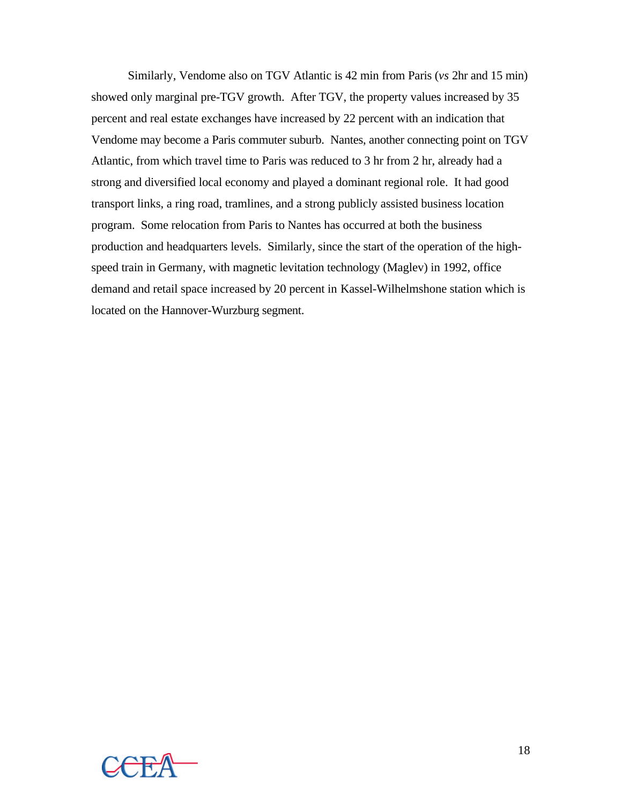Similarly, Vendome also on TGV Atlantic is 42 min from Paris (*vs* 2hr and 15 min) showed only marginal pre-TGV growth. After TGV, the property values increased by 35 percent and real estate exchanges have increased by 22 percent with an indication that Vendome may become a Paris commuter suburb. Nantes, another connecting point on TGV Atlantic, from which travel time to Paris was reduced to 3 hr from 2 hr, already had a strong and diversified local economy and played a dominant regional role. It had good transport links, a ring road, tramlines, and a strong publicly assisted business location program. Some relocation from Paris to Nantes has occurred at both the business production and headquarters levels. Similarly, since the start of the operation of the highspeed train in Germany, with magnetic levitation technology (Maglev) in 1992, office demand and retail space increased by 20 percent in Kassel-Wilhelmshone station which is located on the Hannover-Wurzburg segment.

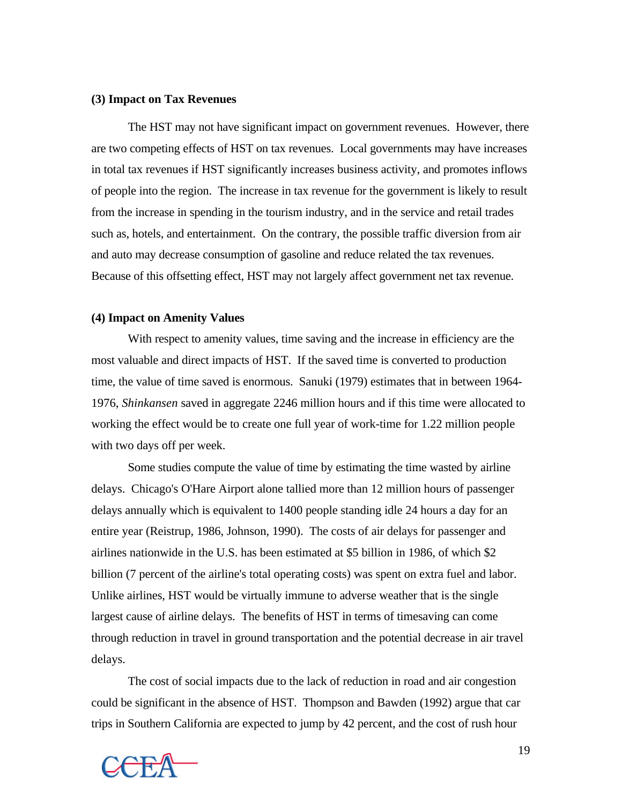#### **(3) Impact on Tax Revenues**

The HST may not have significant impact on government revenues. However, there are two competing effects of HST on tax revenues. Local governments may have increases in total tax revenues if HST significantly increases business activity, and promotes inflows of people into the region. The increase in tax revenue for the government is likely to result from the increase in spending in the tourism industry, and in the service and retail trades such as, hotels, and entertainment. On the contrary, the possible traffic diversion from air and auto may decrease consumption of gasoline and reduce related the tax revenues. Because of this offsetting effect, HST may not largely affect government net tax revenue.

### **(4) Impact on Amenity Values**

With respect to amenity values, time saving and the increase in efficiency are the most valuable and direct impacts of HST. If the saved time is converted to production time, the value of time saved is enormous. Sanuki (1979) estimates that in between 1964- 1976, *Shinkansen* saved in aggregate 2246 million hours and if this time were allocated to working the effect would be to create one full year of work-time for 1.22 million people with two days off per week.

Some studies compute the value of time by estimating the time wasted by airline delays. Chicago's O'Hare Airport alone tallied more than 12 million hours of passenger delays annually which is equivalent to 1400 people standing idle 24 hours a day for an entire year (Reistrup, 1986, Johnson, 1990). The costs of air delays for passenger and airlines nationwide in the U.S. has been estimated at \$5 billion in 1986, of which \$2 billion (7 percent of the airline's total operating costs) was spent on extra fuel and labor. Unlike airlines, HST would be virtually immune to adverse weather that is the single largest cause of airline delays. The benefits of HST in terms of timesaving can come through reduction in travel in ground transportation and the potential decrease in air travel delays.

The cost of social impacts due to the lack of reduction in road and air congestion could be significant in the absence of HST. Thompson and Bawden (1992) argue that car trips in Southern California are expected to jump by 42 percent, and the cost of rush hour

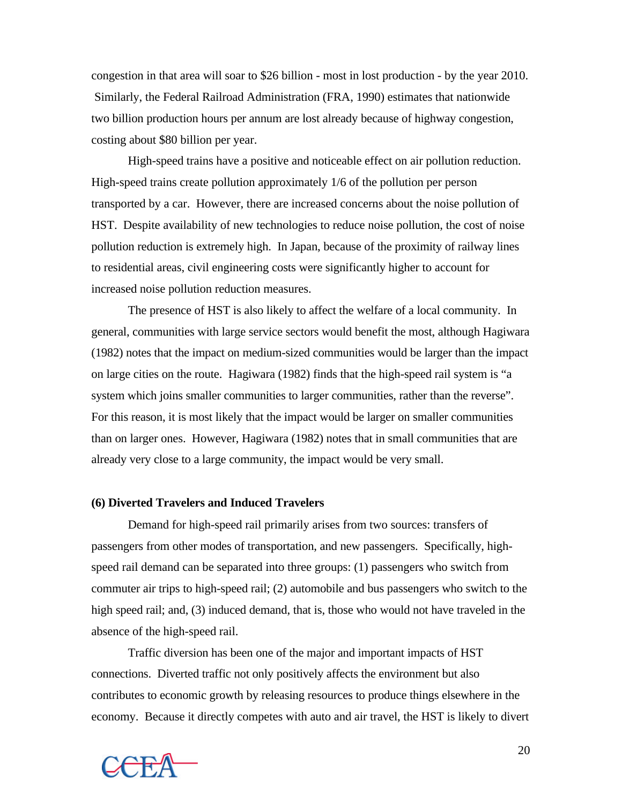congestion in that area will soar to \$26 billion - most in lost production - by the year 2010. Similarly, the Federal Railroad Administration (FRA, 1990) estimates that nationwide two billion production hours per annum are lost already because of highway congestion, costing about \$80 billion per year.

High-speed trains have a positive and noticeable effect on air pollution reduction. High-speed trains create pollution approximately 1/6 of the pollution per person transported by a car. However, there are increased concerns about the noise pollution of HST. Despite availability of new technologies to reduce noise pollution, the cost of noise pollution reduction is extremely high. In Japan, because of the proximity of railway lines to residential areas, civil engineering costs were significantly higher to account for increased noise pollution reduction measures.

The presence of HST is also likely to affect the welfare of a local community. In general, communities with large service sectors would benefit the most, although Hagiwara (1982) notes that the impact on medium-sized communities would be larger than the impact on large cities on the route. Hagiwara (1982) finds that the high-speed rail system is "a system which joins smaller communities to larger communities, rather than the reverse". For this reason, it is most likely that the impact would be larger on smaller communities than on larger ones. However, Hagiwara (1982) notes that in small communities that are already very close to a large community, the impact would be very small.

#### **(6) Diverted Travelers and Induced Travelers**

Demand for high-speed rail primarily arises from two sources: transfers of passengers from other modes of transportation, and new passengers. Specifically, highspeed rail demand can be separated into three groups: (1) passengers who switch from commuter air trips to high-speed rail; (2) automobile and bus passengers who switch to the high speed rail; and, (3) induced demand, that is, those who would not have traveled in the absence of the high-speed rail.

Traffic diversion has been one of the major and important impacts of HST connections. Diverted traffic not only positively affects the environment but also contributes to economic growth by releasing resources to produce things elsewhere in the economy. Because it directly competes with auto and air travel, the HST is likely to divert

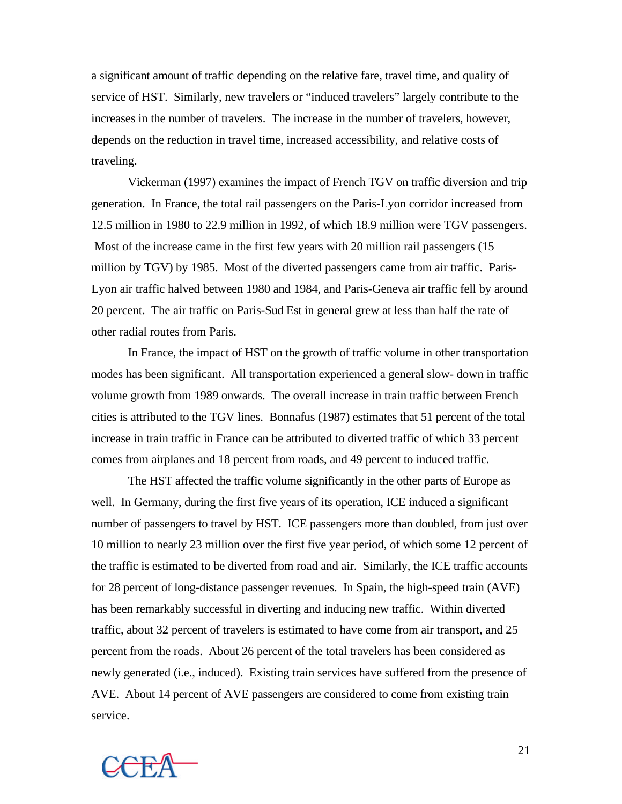a significant amount of traffic depending on the relative fare, travel time, and quality of service of HST. Similarly, new travelers or "induced travelers" largely contribute to the increases in the number of travelers. The increase in the number of travelers, however, depends on the reduction in travel time, increased accessibility, and relative costs of traveling.

Vickerman (1997) examines the impact of French TGV on traffic diversion and trip generation. In France, the total rail passengers on the Paris-Lyon corridor increased from 12.5 million in 1980 to 22.9 million in 1992, of which 18.9 million were TGV passengers. Most of the increase came in the first few years with 20 million rail passengers (15 million by TGV) by 1985. Most of the diverted passengers came from air traffic. Paris-Lyon air traffic halved between 1980 and 1984, and Paris-Geneva air traffic fell by around 20 percent. The air traffic on Paris-Sud Est in general grew at less than half the rate of other radial routes from Paris.

In France, the impact of HST on the growth of traffic volume in other transportation modes has been significant. All transportation experienced a general slow- down in traffic volume growth from 1989 onwards. The overall increase in train traffic between French cities is attributed to the TGV lines. Bonnafus (1987) estimates that 51 percent of the total increase in train traffic in France can be attributed to diverted traffic of which 33 percent comes from airplanes and 18 percent from roads, and 49 percent to induced traffic.

The HST affected the traffic volume significantly in the other parts of Europe as well. In Germany, during the first five years of its operation, ICE induced a significant number of passengers to travel by HST. ICE passengers more than doubled, from just over 10 million to nearly 23 million over the first five year period, of which some 12 percent of the traffic is estimated to be diverted from road and air. Similarly, the ICE traffic accounts for 28 percent of long-distance passenger revenues. In Spain, the high-speed train (AVE) has been remarkably successful in diverting and inducing new traffic. Within diverted traffic, about 32 percent of travelers is estimated to have come from air transport, and 25 percent from the roads. About 26 percent of the total travelers has been considered as newly generated (i.e., induced). Existing train services have suffered from the presence of AVE. About 14 percent of AVE passengers are considered to come from existing train service.



21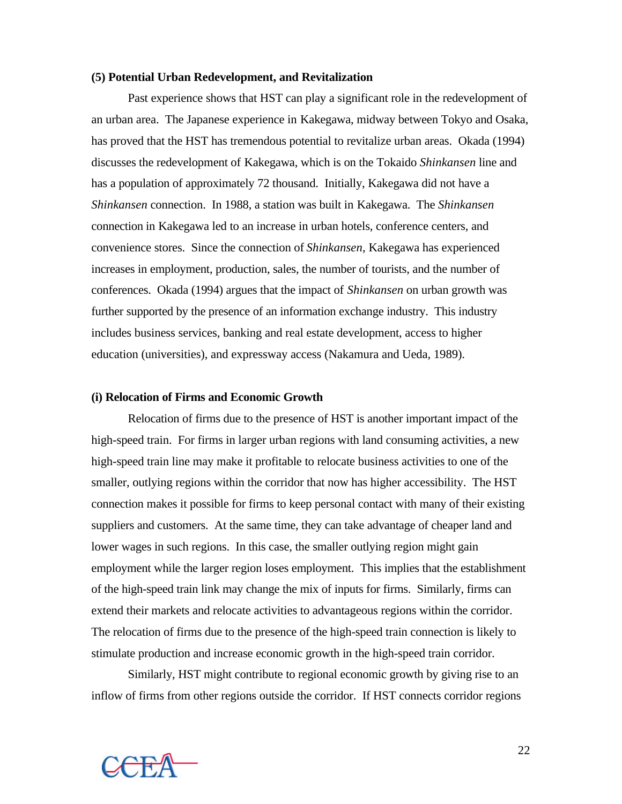#### **(5) Potential Urban Redevelopment, and Revitalization**

Past experience shows that HST can play a significant role in the redevelopment of an urban area. The Japanese experience in Kakegawa, midway between Tokyo and Osaka, has proved that the HST has tremendous potential to revitalize urban areas. Okada (1994) discusses the redevelopment of Kakegawa, which is on the Tokaido *Shinkansen* line and has a population of approximately 72 thousand. Initially, Kakegawa did not have a *Shinkansen* connection. In 1988, a station was built in Kakegawa. The *Shinkansen* connection in Kakegawa led to an increase in urban hotels, conference centers, and convenience stores. Since the connection of *Shinkansen*, Kakegawa has experienced increases in employment, production, sales, the number of tourists, and the number of conferences. Okada (1994) argues that the impact of *Shinkansen* on urban growth was further supported by the presence of an information exchange industry. This industry includes business services, banking and real estate development, access to higher education (universities), and expressway access (Nakamura and Ueda, 1989).

#### **(i) Relocation of Firms and Economic Growth**

Relocation of firms due to the presence of HST is another important impact of the high-speed train. For firms in larger urban regions with land consuming activities, a new high-speed train line may make it profitable to relocate business activities to one of the smaller, outlying regions within the corridor that now has higher accessibility. The HST connection makes it possible for firms to keep personal contact with many of their existing suppliers and customers. At the same time, they can take advantage of cheaper land and lower wages in such regions. In this case, the smaller outlying region might gain employment while the larger region loses employment. This implies that the establishment of the high-speed train link may change the mix of inputs for firms. Similarly, firms can extend their markets and relocate activities to advantageous regions within the corridor. The relocation of firms due to the presence of the high-speed train connection is likely to stimulate production and increase economic growth in the high-speed train corridor.

Similarly, HST might contribute to regional economic growth by giving rise to an inflow of firms from other regions outside the corridor. If HST connects corridor regions



22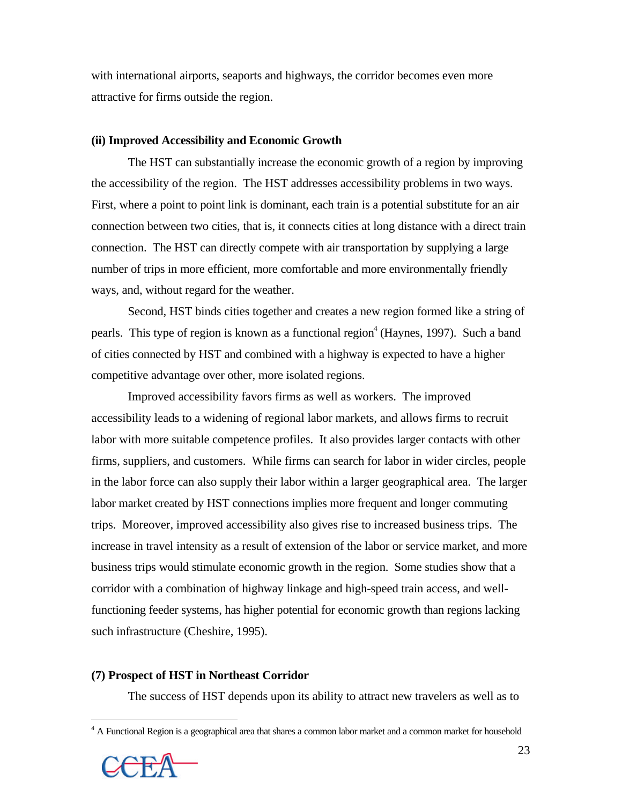with international airports, seaports and highways, the corridor becomes even more attractive for firms outside the region.

### **(ii) Improved Accessibility and Economic Growth**

The HST can substantially increase the economic growth of a region by improving the accessibility of the region. The HST addresses accessibility problems in two ways. First, where a point to point link is dominant, each train is a potential substitute for an air connection between two cities, that is, it connects cities at long distance with a direct train connection. The HST can directly compete with air transportation by supplying a large number of trips in more efficient, more comfortable and more environmentally friendly ways, and, without regard for the weather.

Second, HST binds cities together and creates a new region formed like a string of pearls. This type of region is known as a functional region<sup>4</sup> (Haynes, 1997). Such a band of cities connected by HST and combined with a highway is expected to have a higher competitive advantage over other, more isolated regions.

Improved accessibility favors firms as well as workers. The improved accessibility leads to a widening of regional labor markets, and allows firms to recruit labor with more suitable competence profiles. It also provides larger contacts with other firms, suppliers, and customers. While firms can search for labor in wider circles, people in the labor force can also supply their labor within a larger geographical area. The larger labor market created by HST connections implies more frequent and longer commuting trips. Moreover, improved accessibility also gives rise to increased business trips. The increase in travel intensity as a result of extension of the labor or service market, and more business trips would stimulate economic growth in the region. Some studies show that a corridor with a combination of highway linkage and high-speed train access, and wellfunctioning feeder systems, has higher potential for economic growth than regions lacking such infrastructure (Cheshire, 1995).

### **(7) Prospect of HST in Northeast Corridor**

The success of HST depends upon its ability to attract new travelers as well as to

<sup>&</sup>lt;sup>4</sup> A Functional Region is a geographical area that shares a common labor market and a common market for household



 $\overline{a}$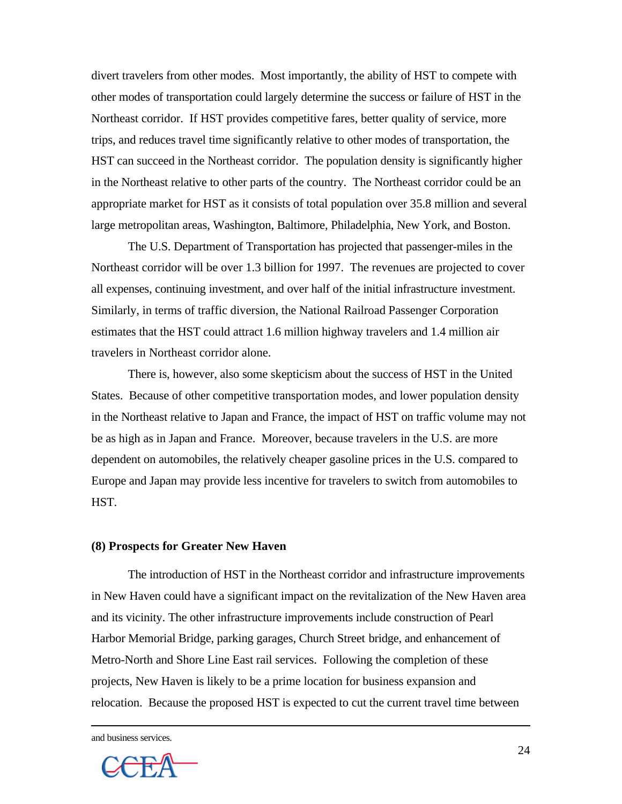divert travelers from other modes. Most importantly, the ability of HST to compete with other modes of transportation could largely determine the success or failure of HST in the Northeast corridor. If HST provides competitive fares, better quality of service, more trips, and reduces travel time significantly relative to other modes of transportation, the HST can succeed in the Northeast corridor. The population density is significantly higher in the Northeast relative to other parts of the country. The Northeast corridor could be an appropriate market for HST as it consists of total population over 35.8 million and several large metropolitan areas, Washington, Baltimore, Philadelphia, New York, and Boston.

The U.S. Department of Transportation has projected that passenger-miles in the Northeast corridor will be over 1.3 billion for 1997. The revenues are projected to cover all expenses, continuing investment, and over half of the initial infrastructure investment. Similarly, in terms of traffic diversion, the National Railroad Passenger Corporation estimates that the HST could attract 1.6 million highway travelers and 1.4 million air travelers in Northeast corridor alone.

There is, however, also some skepticism about the success of HST in the United States. Because of other competitive transportation modes, and lower population density in the Northeast relative to Japan and France, the impact of HST on traffic volume may not be as high as in Japan and France. Moreover, because travelers in the U.S. are more dependent on automobiles, the relatively cheaper gasoline prices in the U.S. compared to Europe and Japan may provide less incentive for travelers to switch from automobiles to HST.

#### **(8) Prospects for Greater New Haven**

The introduction of HST in the Northeast corridor and infrastructure improvements in New Haven could have a significant impact on the revitalization of the New Haven area and its vicinity. The other infrastructure improvements include construction of Pearl Harbor Memorial Bridge, parking garages, Church Street bridge, and enhancement of Metro-North and Shore Line East rail services. Following the completion of these projects, New Haven is likely to be a prime location for business expansion and relocation. Because the proposed HST is expected to cut the current travel time between

and business services.

 $\overline{a}$ 

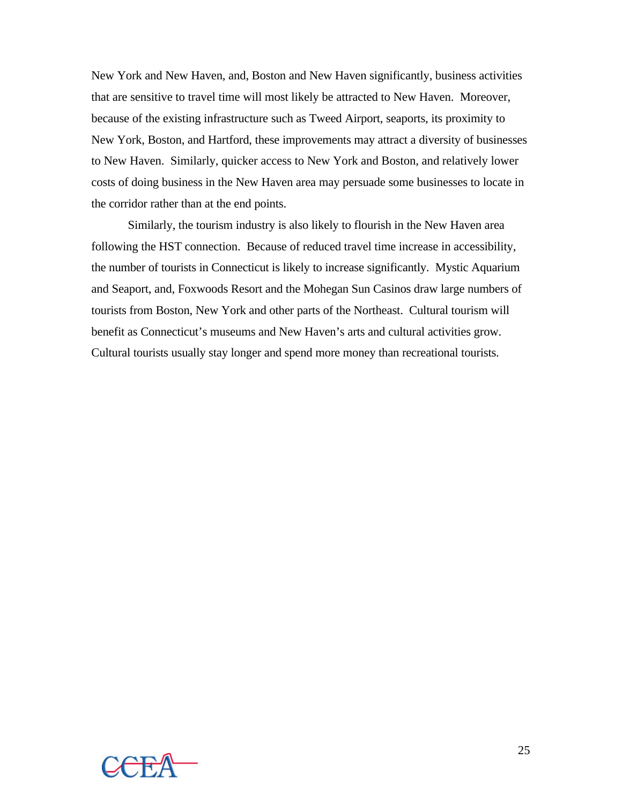New York and New Haven, and, Boston and New Haven significantly, business activities that are sensitive to travel time will most likely be attracted to New Haven. Moreover, because of the existing infrastructure such as Tweed Airport, seaports, its proximity to New York, Boston, and Hartford, these improvements may attract a diversity of businesses to New Haven. Similarly, quicker access to New York and Boston, and relatively lower costs of doing business in the New Haven area may persuade some businesses to locate in the corridor rather than at the end points.

Similarly, the tourism industry is also likely to flourish in the New Haven area following the HST connection. Because of reduced travel time increase in accessibility, the number of tourists in Connecticut is likely to increase significantly. Mystic Aquarium and Seaport, and, Foxwoods Resort and the Mohegan Sun Casinos draw large numbers of tourists from Boston, New York and other parts of the Northeast. Cultural tourism will benefit as Connecticut's museums and New Haven's arts and cultural activities grow. Cultural tourists usually stay longer and spend more money than recreational tourists.

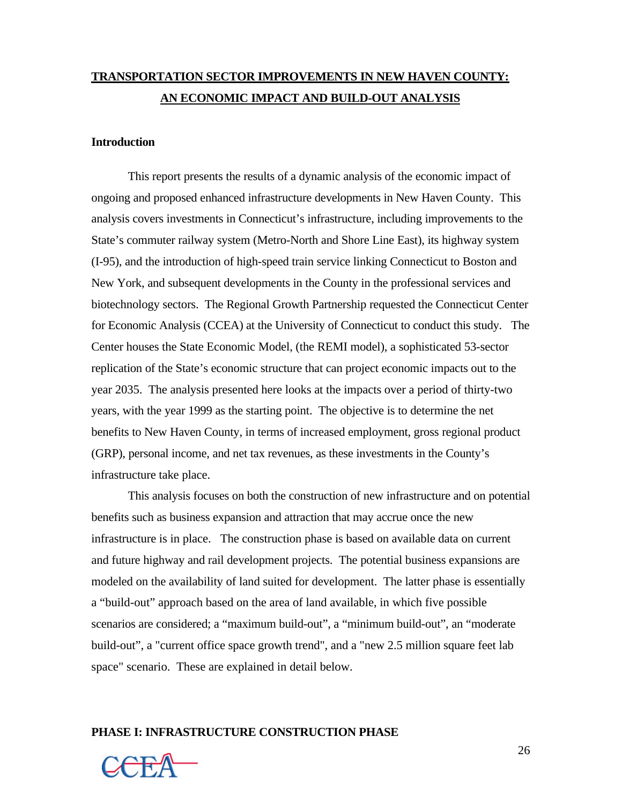# **TRANSPORTATION SECTOR IMPROVEMENTS IN NEW HAVEN COUNTY: AN ECONOMIC IMPACT AND BUILD-OUT ANALYSIS**

### **Introduction**

This report presents the results of a dynamic analysis of the economic impact of ongoing and proposed enhanced infrastructure developments in New Haven County. This analysis covers investments in Connecticut's infrastructure, including improvements to the State's commuter railway system (Metro-North and Shore Line East), its highway system (I-95), and the introduction of high-speed train service linking Connecticut to Boston and New York, and subsequent developments in the County in the professional services and biotechnology sectors. The Regional Growth Partnership requested the Connecticut Center for Economic Analysis (CCEA) at the University of Connecticut to conduct this study. The Center houses the State Economic Model, (the REMI model), a sophisticated 53-sector replication of the State's economic structure that can project economic impacts out to the year 2035. The analysis presented here looks at the impacts over a period of thirty-two years, with the year 1999 as the starting point. The objective is to determine the net benefits to New Haven County, in terms of increased employment, gross regional product (GRP), personal income, and net tax revenues, as these investments in the County's infrastructure take place.

This analysis focuses on both the construction of new infrastructure and on potential benefits such as business expansion and attraction that may accrue once the new infrastructure is in place. The construction phase is based on available data on current and future highway and rail development projects. The potential business expansions are modeled on the availability of land suited for development. The latter phase is essentially a "build-out" approach based on the area of land available, in which five possible scenarios are considered; a "maximum build-out", a "minimum build-out", an "moderate build-out", a "current office space growth trend", and a "new 2.5 million square feet lab space" scenario. These are explained in detail below.

#### **PHASE I: INFRASTRUCTURE CONSTRUCTION PHASE**

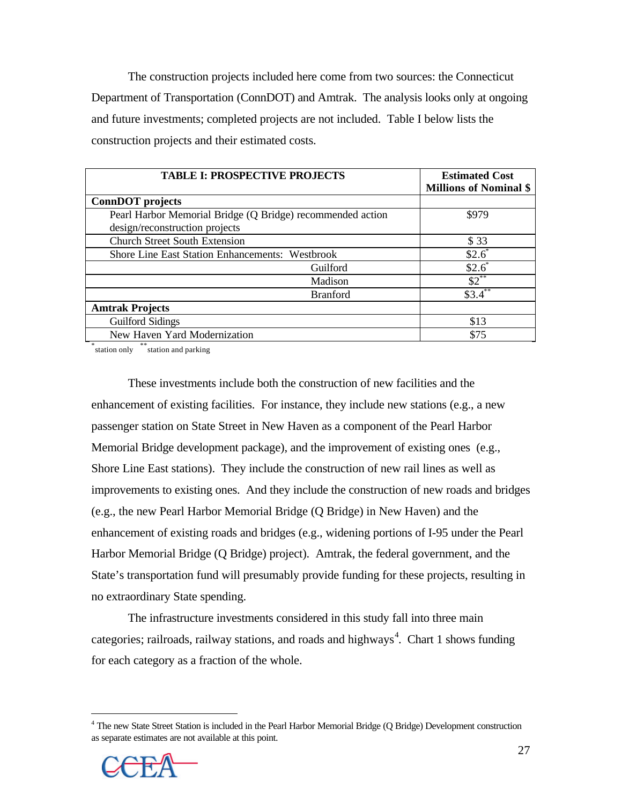The construction projects included here come from two sources: the Connecticut Department of Transportation (ConnDOT) and Amtrak. The analysis looks only at ongoing and future investments; completed projects are not included. Table I below lists the construction projects and their estimated costs.

| <b>TABLE I: PROSPECTIVE PROJECTS</b>                       | <b>Estimated Cost</b><br><b>Millions of Nominal \$</b> |
|------------------------------------------------------------|--------------------------------------------------------|
| <b>ConnDOT</b> projects                                    |                                                        |
| Pearl Harbor Memorial Bridge (Q Bridge) recommended action | \$979                                                  |
| design/reconstruction projects                             |                                                        |
| <b>Church Street South Extension</b>                       | \$ 33                                                  |
| <b>Shore Line East Station Enhancements: Westbrook</b>     | $$2.6^*$                                               |
| Guilford                                                   | $$2.6^{\degree}$                                       |
| Madison                                                    | $$2^{**}$                                              |
| <b>Branford</b>                                            | $$3.4$ **                                              |
| <b>Amtrak Projects</b>                                     |                                                        |
| <b>Guilford Sidings</b>                                    | \$13                                                   |
| New Haven Yard Modernization                               | \$75                                                   |

\*station only \*\*station and parking

These investments include both the construction of new facilities and the enhancement of existing facilities. For instance, they include new stations (e.g., a new passenger station on State Street in New Haven as a component of the Pearl Harbor Memorial Bridge development package), and the improvement of existing ones (e.g., Shore Line East stations). They include the construction of new rail lines as well as improvements to existing ones. And they include the construction of new roads and bridges (e.g., the new Pearl Harbor Memorial Bridge (Q Bridge) in New Haven) and the enhancement of existing roads and bridges (e.g., widening portions of I-95 under the Pearl Harbor Memorial Bridge (Q Bridge) project). Amtrak, the federal government, and the State's transportation fund will presumably provide funding for these projects, resulting in no extraordinary State spending.

The infrastructure investments considered in this study fall into three main categories; railroads, railway stations, and roads and highways<sup>4</sup>. Chart 1 shows funding for each category as a fraction of the whole.

<sup>&</sup>lt;sup>4</sup> The new State Street Station is included in the Pearl Harbor Memorial Bridge (Q Bridge) Development construction as separate estimates are not available at this point.



 $\overline{a}$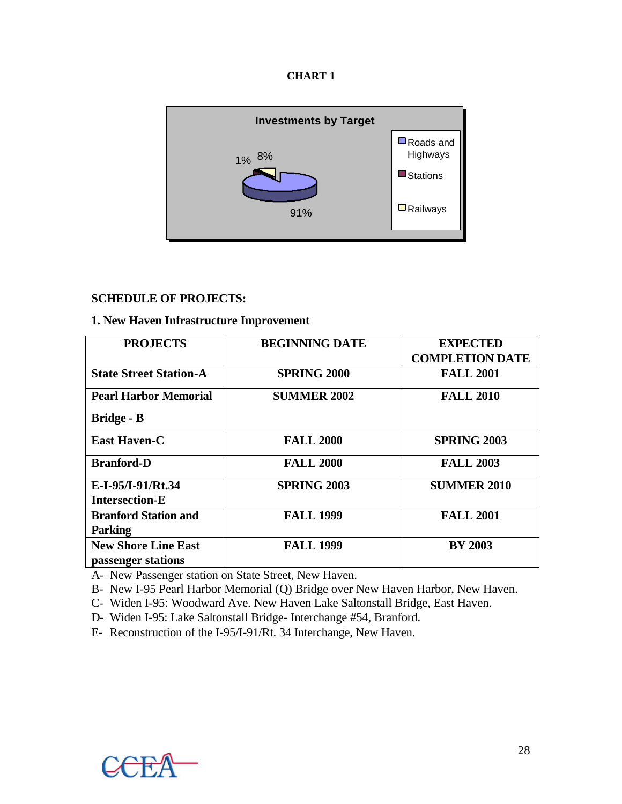| n<br>IA I<br>N<br>. . |  |
|-----------------------|--|
|-----------------------|--|



## **SCHEDULE OF PROJECTS:**

## **1. New Haven Infrastructure Improvement**

| <b>PROJECTS</b>               | <b>BEGINNING DATE</b> | <b>EXPECTED</b><br><b>COMPLETION DATE</b> |
|-------------------------------|-----------------------|-------------------------------------------|
|                               |                       |                                           |
| <b>State Street Station-A</b> | <b>SPRING 2000</b>    | <b>FALL 2001</b>                          |
| <b>Pearl Harbor Memorial</b>  | <b>SUMMER 2002</b>    | <b>FALL 2010</b>                          |
| <b>Bridge - B</b>             |                       |                                           |
| <b>East Haven-C</b>           | <b>FALL 2000</b>      | <b>SPRING 2003</b>                        |
| <b>Branford-D</b>             | <b>FALL 2000</b>      | <b>FALL 2003</b>                          |
| E-I-95/I-91/Rt.34             | <b>SPRING 2003</b>    | <b>SUMMER 2010</b>                        |
| <b>Intersection-E</b>         |                       |                                           |
| <b>Branford Station and</b>   | <b>FALL 1999</b>      | <b>FALL 2001</b>                          |
| <b>Parking</b>                |                       |                                           |
| <b>New Shore Line East</b>    | <b>FALL 1999</b>      | <b>BY 2003</b>                            |
| passenger stations            |                       |                                           |

A- New Passenger station on State Street, New Haven.

B- New I-95 Pearl Harbor Memorial (Q) Bridge over New Haven Harbor, New Haven.

C- Widen I-95: Woodward Ave. New Haven Lake Saltonstall Bridge, East Haven.

D- Widen I-95: Lake Saltonstall Bridge- Interchange #54, Branford.

E- Reconstruction of the I-95/I-91/Rt. 34 Interchange, New Haven.

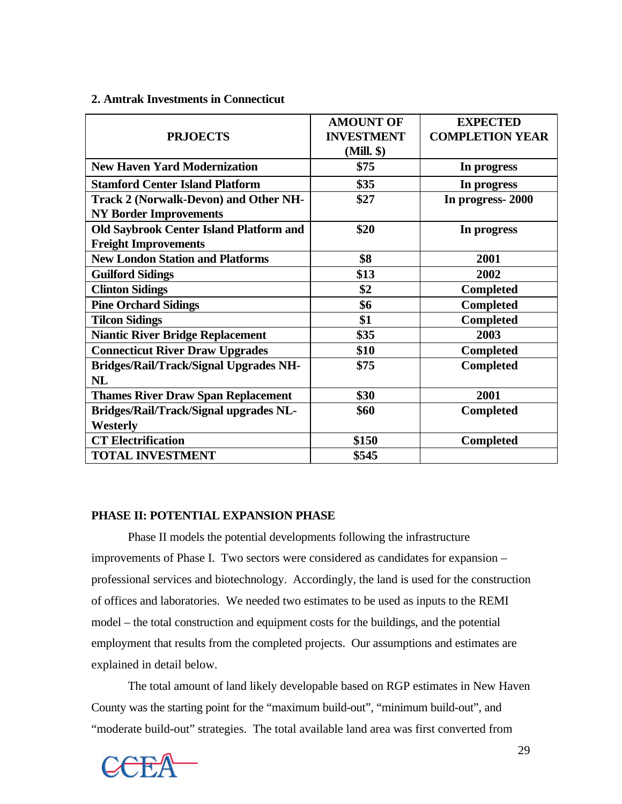#### **2. Amtrak Investments in Connecticut**

|                                                | <b>AMOUNT OF</b>  | <b>EXPECTED</b>        |
|------------------------------------------------|-------------------|------------------------|
| <b>PRJOECTS</b>                                | <b>INVESTMENT</b> | <b>COMPLETION YEAR</b> |
|                                                | (Mill. \$)        |                        |
| <b>New Haven Yard Modernization</b>            | \$75              | In progress            |
| <b>Stamford Center Island Platform</b>         | \$35              | In progress            |
| <b>Track 2 (Norwalk-Devon) and Other NH-</b>   | \$27              | In progress-2000       |
| <b>NY Border Improvements</b>                  |                   |                        |
| <b>Old Saybrook Center Island Platform and</b> | \$20              | In progress            |
| <b>Freight Improvements</b>                    |                   |                        |
| <b>New London Station and Platforms</b>        | \$8               | 2001                   |
| <b>Guilford Sidings</b>                        | \$13              | 2002                   |
| <b>Clinton Sidings</b>                         | \$2               | <b>Completed</b>       |
| <b>Pine Orchard Sidings</b>                    | \$6               | Completed              |
| <b>Tilcon Sidings</b>                          | \$1               | Completed              |
| <b>Niantic River Bridge Replacement</b>        | \$35              | 2003                   |
| <b>Connecticut River Draw Upgrades</b>         | \$10              | <b>Completed</b>       |
| <b>Bridges/Rail/Track/Signal Upgrades NH-</b>  | \$75              | <b>Completed</b>       |
| <b>NL</b>                                      |                   |                        |
| <b>Thames River Draw Span Replacement</b>      | \$30              | 2001                   |
| <b>Bridges/Rail/Track/Signal upgrades NL-</b>  | \$60              | <b>Completed</b>       |
| Westerly                                       |                   |                        |
| <b>CT</b> Electrification                      | \$150             | <b>Completed</b>       |
| <b>TOTAL INVESTMENT</b>                        | \$545             |                        |

## **PHASE II: POTENTIAL EXPANSION PHASE**

Phase II models the potential developments following the infrastructure improvements of Phase I. Two sectors were considered as candidates for expansion – professional services and biotechnology. Accordingly, the land is used for the construction of offices and laboratories. We needed two estimates to be used as inputs to the REMI model – the total construction and equipment costs for the buildings, and the potential employment that results from the completed projects. Our assumptions and estimates are explained in detail below.

The total amount of land likely developable based on RGP estimates in New Haven County was the starting point for the "maximum build-out", "minimum build-out", and "moderate build-out" strategies. The total available land area was first converted from

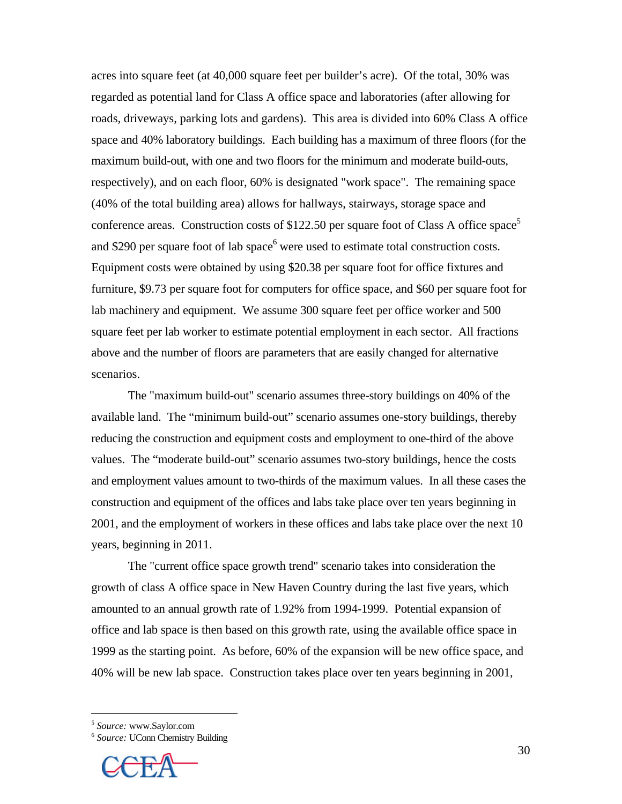acres into square feet (at 40,000 square feet per builder's acre). Of the total, 30% was regarded as potential land for Class A office space and laboratories (after allowing for roads, driveways, parking lots and gardens). This area is divided into 60% Class A office space and 40% laboratory buildings. Each building has a maximum of three floors (for the maximum build-out, with one and two floors for the minimum and moderate build-outs, respectively), and on each floor, 60% is designated "work space". The remaining space (40% of the total building area) allows for hallways, stairways, storage space and conference areas. Construction costs of \$122.50 per square foot of Class A office space<sup>5</sup> and \$290 per square foot of lab space<sup>6</sup> were used to estimate total construction costs. Equipment costs were obtained by using \$20.38 per square foot for office fixtures and furniture, \$9.73 per square foot for computers for office space, and \$60 per square foot for lab machinery and equipment. We assume 300 square feet per office worker and 500 square feet per lab worker to estimate potential employment in each sector. All fractions above and the number of floors are parameters that are easily changed for alternative scenarios.

The "maximum build-out" scenario assumes three-story buildings on 40% of the available land. The "minimum build-out" scenario assumes one-story buildings, thereby reducing the construction and equipment costs and employment to one-third of the above values. The "moderate build-out" scenario assumes two-story buildings, hence the costs and employment values amount to two-thirds of the maximum values. In all these cases the construction and equipment of the offices and labs take place over ten years beginning in 2001, and the employment of workers in these offices and labs take place over the next 10 years, beginning in 2011.

The "current office space growth trend" scenario takes into consideration the growth of class A office space in New Haven Country during the last five years, which amounted to an annual growth rate of 1.92% from 1994-1999. Potential expansion of office and lab space is then based on this growth rate, using the available office space in 1999 as the starting point. As before, 60% of the expansion will be new office space, and 40% will be new lab space. Construction takes place over ten years beginning in 2001,

5 *Source:* www.Saylor.com

 $\overline{a}$ 

<sup>6</sup> *Source:* UConn Chemistry Building

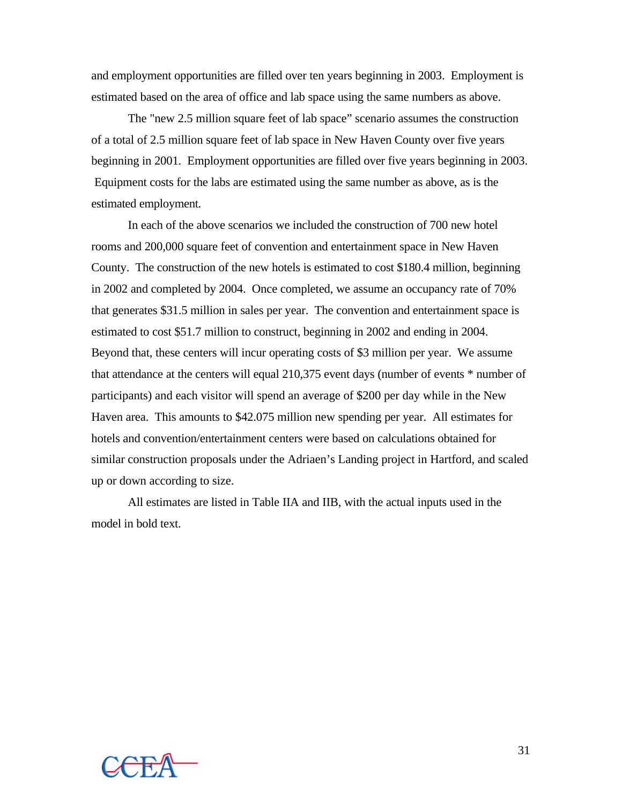and employment opportunities are filled over ten years beginning in 2003. Employment is estimated based on the area of office and lab space using the same numbers as above.

The "new 2.5 million square feet of lab space" scenario assumes the construction of a total of 2.5 million square feet of lab space in New Haven County over five years beginning in 2001. Employment opportunities are filled over five years beginning in 2003. Equipment costs for the labs are estimated using the same number as above, as is the estimated employment.

In each of the above scenarios we included the construction of 700 new hotel rooms and 200,000 square feet of convention and entertainment space in New Haven County. The construction of the new hotels is estimated to cost \$180.4 million, beginning in 2002 and completed by 2004. Once completed, we assume an occupancy rate of 70% that generates \$31.5 million in sales per year. The convention and entertainment space is estimated to cost \$51.7 million to construct, beginning in 2002 and ending in 2004. Beyond that, these centers will incur operating costs of \$3 million per year. We assume that attendance at the centers will equal 210,375 event days (number of events \* number of participants) and each visitor will spend an average of \$200 per day while in the New Haven area. This amounts to \$42.075 million new spending per year. All estimates for hotels and convention/entertainment centers were based on calculations obtained for similar construction proposals under the Adriaen's Landing project in Hartford, and scaled up or down according to size.

All estimates are listed in Table IIA and IIB, with the actual inputs used in the model in bold text.

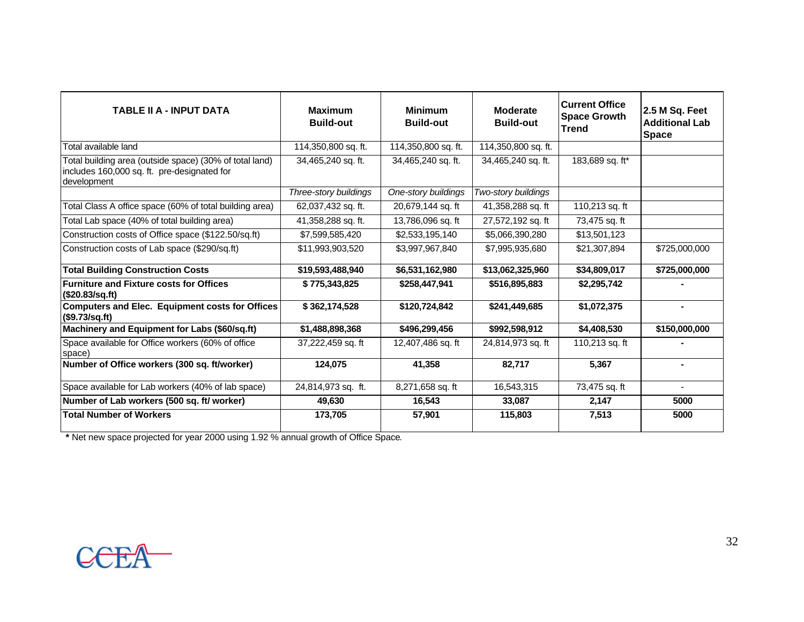| <b>TABLE II A - INPUT DATA</b>                                                                                        | <b>Maximum</b><br><b>Build-out</b> | <b>Minimum</b><br><b>Build-out</b> | <b>Moderate</b><br><b>Build-out</b> | <b>Current Office</b><br><b>Space Growth</b><br><b>Trend</b> | 2.5 M Sq. Feet<br><b>Additional Lab</b><br><b>Space</b> |
|-----------------------------------------------------------------------------------------------------------------------|------------------------------------|------------------------------------|-------------------------------------|--------------------------------------------------------------|---------------------------------------------------------|
| Total available land                                                                                                  | 114,350,800 sq. ft.                | 114,350,800 sq. ft.                | 114,350,800 sq. ft.                 |                                                              |                                                         |
| Total building area (outside space) (30% of total land)<br>includes 160,000 sq. ft. pre-designated for<br>development | 34,465,240 sq. ft.                 | 34,465,240 sq. ft.                 | 34,465,240 sq. ft.                  | 183,689 sq. ft*                                              |                                                         |
|                                                                                                                       | Three-story buildings              | One-story buildings                | Two-story buildings                 |                                                              |                                                         |
| Total Class A office space (60% of total building area)                                                               | 62,037,432 sq. ft.                 | 20,679,144 sq. ft                  | 41,358,288 sq. ft                   | 110,213 sq. ft                                               |                                                         |
| Total Lab space (40% of total building area)                                                                          | 41,358,288 sq. ft.                 | 13,786,096 sq. ft                  | 27,572,192 sq. ft                   | 73,475 sq. ft                                                |                                                         |
| Construction costs of Office space (\$122.50/sq.ft)                                                                   | \$7,599,585,420                    | \$2,533,195,140                    | \$5,066,390,280                     | \$13,501,123                                                 |                                                         |
| Construction costs of Lab space (\$290/sq.ft)                                                                         | \$11,993,903,520                   | \$3,997,967,840                    | \$7,995,935,680                     | \$21,307,894                                                 | \$725,000,000                                           |
| <b>Total Building Construction Costs</b>                                                                              | \$19,593,488,940                   | \$6,531,162,980                    | \$13,062,325,960                    | \$34,809,017                                                 | \$725,000,000                                           |
| <b>Furniture and Fixture costs for Offices</b><br>(\$20.83/sq.ft)                                                     | \$775,343,825                      | \$258,447,941                      | \$516,895,883                       | \$2,295,742                                                  |                                                         |
| <b>Computers and Elec. Equipment costs for Offices</b><br>(\$9.73/sq.fit)                                             | \$362,174,528                      | \$120,724,842                      | \$241,449,685                       | \$1,072,375                                                  |                                                         |
| Machinery and Equipment for Labs (\$60/sq.ft)                                                                         | \$1,488,898,368                    | \$496,299,456                      | \$992,598,912                       | \$4,408,530                                                  | \$150,000,000                                           |
| Space available for Office workers (60% of office<br>space)                                                           | 37,222,459 sq. ft                  | 12,407,486 sq. ft                  | 24,814,973 sq. ft                   | 110,213 sq. ft                                               |                                                         |
| Number of Office workers (300 sq. ft/worker)                                                                          | 124.075                            | 41,358                             | 82.717                              | 5.367                                                        | $\blacksquare$                                          |
| Space available for Lab workers (40% of lab space)                                                                    | 24,814,973 sq. ft.                 | 8,271,658 sq. ft                   | 16,543,315                          | 73,475 sq. ft                                                |                                                         |
| Number of Lab workers (500 sq. ft/ worker)                                                                            | 49,630                             | 16,543                             | 33,087                              | 2,147                                                        | 5000                                                    |
| <b>Total Number of Workers</b>                                                                                        | 173,705                            | 57,901                             | 115,803                             | 7,513                                                        | 5000                                                    |

**\*** Net new space projected for year 2000 using 1.92 % annual growth of Office Space.

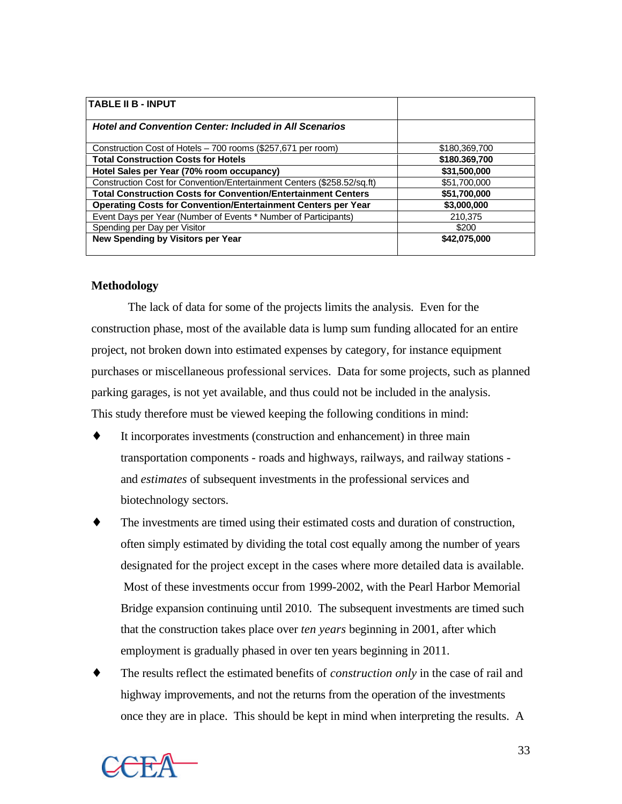| <b>TABLE II B - INPUT</b>                                               |               |
|-------------------------------------------------------------------------|---------------|
| <b>Hotel and Convention Center: Included in All Scenarios</b>           |               |
| Construction Cost of Hotels - 700 rooms (\$257,671 per room)            | \$180,369,700 |
| <b>Total Construction Costs for Hotels</b>                              | \$180.369,700 |
| Hotel Sales per Year (70% room occupancy)                               | \$31,500,000  |
| Construction Cost for Convention/Entertainment Centers (\$258.52/sq.ft) | \$51,700,000  |
| <b>Total Construction Costs for Convention/Entertainment Centers</b>    | \$51,700,000  |
| <b>Operating Costs for Convention/Entertainment Centers per Year</b>    | \$3,000,000   |
| Event Days per Year (Number of Events * Number of Participants)         | 210.375       |
| Spending per Day per Visitor                                            | \$200         |
| New Spending by Visitors per Year                                       | \$42,075,000  |

### **Methodology**

The lack of data for some of the projects limits the analysis. Even for the construction phase, most of the available data is lump sum funding allocated for an entire project, not broken down into estimated expenses by category, for instance equipment purchases or miscellaneous professional services. Data for some projects, such as planned parking garages, is not yet available, and thus could not be included in the analysis. This study therefore must be viewed keeping the following conditions in mind:

- It incorporates investments (construction and enhancement) in three main transportation components - roads and highways, railways, and railway stations and *estimates* of subsequent investments in the professional services and biotechnology sectors.
- The investments are timed using their estimated costs and duration of construction, often simply estimated by dividing the total cost equally among the number of years designated for the project except in the cases where more detailed data is available. Most of these investments occur from 1999-2002, with the Pearl Harbor Memorial Bridge expansion continuing until 2010. The subsequent investments are timed such that the construction takes place over *ten years* beginning in 2001, after which employment is gradually phased in over ten years beginning in 2011.
- The results reflect the estimated benefits of *construction only* in the case of rail and highway improvements, and not the returns from the operation of the investments once they are in place. This should be kept in mind when interpreting the results. A

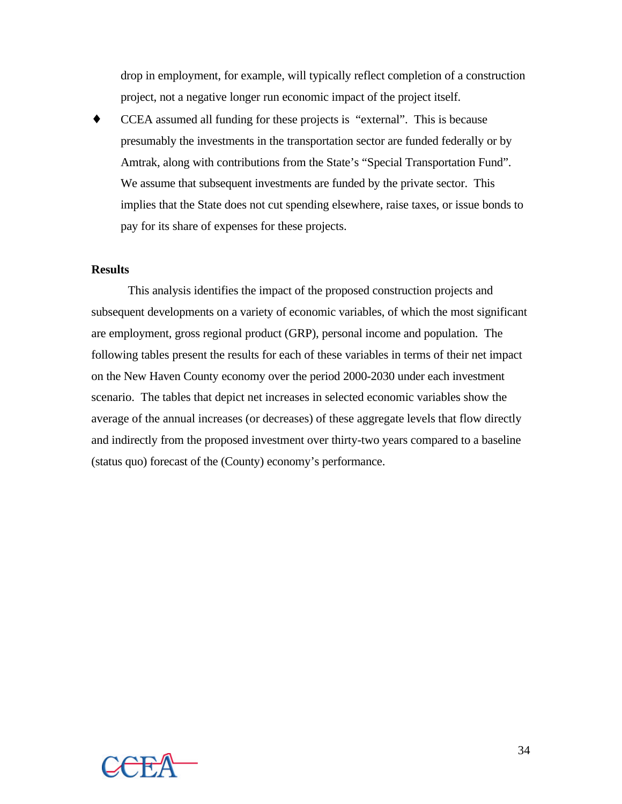drop in employment, for example, will typically reflect completion of a construction project, not a negative longer run economic impact of the project itself.

♦ CCEA assumed all funding for these projects is "external". This is because presumably the investments in the transportation sector are funded federally or by Amtrak, along with contributions from the State's "Special Transportation Fund". We assume that subsequent investments are funded by the private sector. This implies that the State does not cut spending elsewhere, raise taxes, or issue bonds to pay for its share of expenses for these projects.

#### **Results**

This analysis identifies the impact of the proposed construction projects and subsequent developments on a variety of economic variables, of which the most significant are employment, gross regional product (GRP), personal income and population. The following tables present the results for each of these variables in terms of their net impact on the New Haven County economy over the period 2000-2030 under each investment scenario. The tables that depict net increases in selected economic variables show the average of the annual increases (or decreases) of these aggregate levels that flow directly and indirectly from the proposed investment over thirty-two years compared to a baseline (status quo) forecast of the (County) economy's performance.

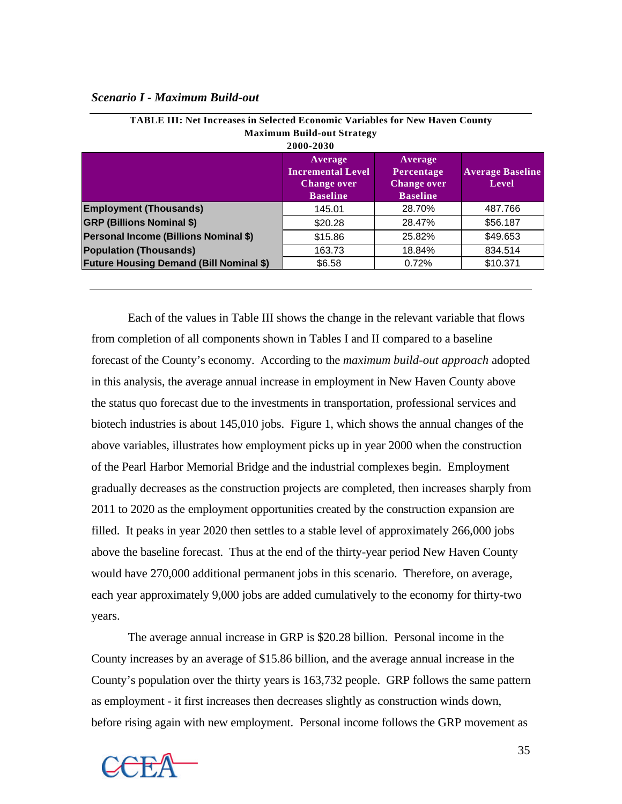## *Scenario I - Maximum Build-out*

|                                                | <b>Maximum Build-out Strategy</b><br>2000-2030                               |                                                                |                                  |
|------------------------------------------------|------------------------------------------------------------------------------|----------------------------------------------------------------|----------------------------------|
|                                                | Average<br><b>Incremental Level</b><br><b>Change over</b><br><b>Baseline</b> | Average<br>Percentage<br><b>Change over</b><br><b>Baseline</b> | <b>Average Baseline</b><br>Level |
| <b>Employment (Thousands)</b>                  | 145.01                                                                       | 28.70%                                                         | 487.766                          |
| <b>GRP (Billions Nominal \$)</b>               | \$20.28                                                                      | 28.47%                                                         | \$56.187                         |
| Personal Income (Billions Nominal \$)          | \$15.86                                                                      | 25.82%                                                         | \$49.653                         |
| <b>Population (Thousands)</b>                  | 163.73                                                                       | 18.84%                                                         | 834.514                          |
| <b>Future Housing Demand (Bill Nominal \$)</b> | \$6.58                                                                       | $0.72\%$                                                       | \$10.371                         |
|                                                |                                                                              |                                                                |                                  |

| <b>TABLE III: Net Increases in Selected Economic Variables for New Haven County</b> |
|-------------------------------------------------------------------------------------|
| <b>Maximum Build-out Strategy</b>                                                   |
| 2000-2030                                                                           |

Each of the values in Table III shows the change in the relevant variable that flows from completion of all components shown in Tables I and II compared to a baseline forecast of the County's economy. According to the *maximum build-out approach* adopted in this analysis, the average annual increase in employment in New Haven County above the status quo forecast due to the investments in transportation, professional services and biotech industries is about 145,010 jobs. Figure 1, which shows the annual changes of the above variables, illustrates how employment picks up in year 2000 when the construction of the Pearl Harbor Memorial Bridge and the industrial complexes begin. Employment gradually decreases as the construction projects are completed, then increases sharply from 2011 to 2020 as the employment opportunities created by the construction expansion are filled. It peaks in year 2020 then settles to a stable level of approximately 266,000 jobs above the baseline forecast. Thus at the end of the thirty-year period New Haven County would have 270,000 additional permanent jobs in this scenario. Therefore, on average, each year approximately 9,000 jobs are added cumulatively to the economy for thirty-two years.

The average annual increase in GRP is \$20.28 billion. Personal income in the County increases by an average of \$15.86 billion, and the average annual increase in the County's population over the thirty years is 163,732 people. GRP follows the same pattern as employment - it first increases then decreases slightly as construction winds down, before rising again with new employment. Personal income follows the GRP movement as

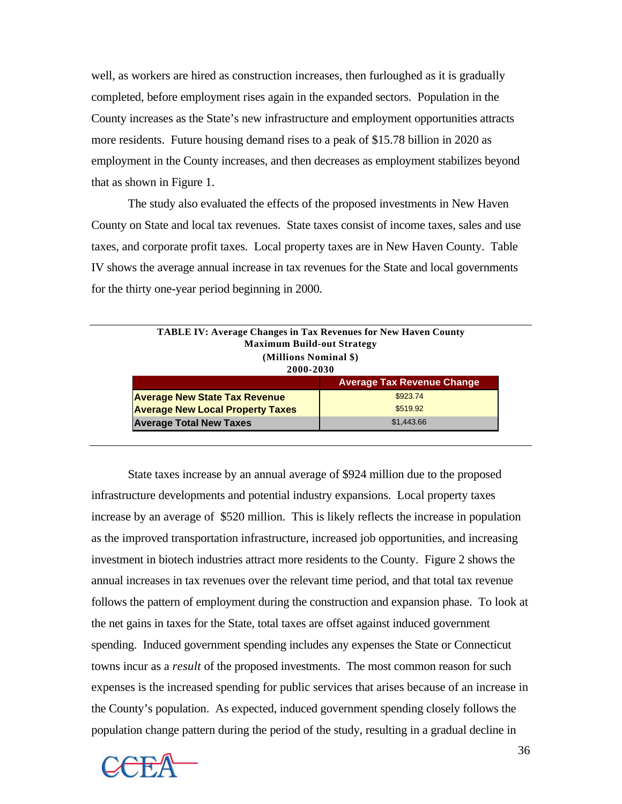well, as workers are hired as construction increases, then furloughed as it is gradually completed, before employment rises again in the expanded sectors. Population in the County increases as the State's new infrastructure and employment opportunities attracts more residents. Future housing demand rises to a peak of \$15.78 billion in 2020 as employment in the County increases, and then decreases as employment stabilizes beyond that as shown in Figure 1.

The study also evaluated the effects of the proposed investments in New Haven County on State and local tax revenues. State taxes consist of income taxes, sales and use taxes, and corporate profit taxes. Local property taxes are in New Haven County. Table IV shows the average annual increase in tax revenues for the State and local governments for the thirty one-year period beginning in 2000.

| <b>Maximum Build-out Strategy</b><br>(Millions Nominal \$)<br>2000-2030 |                                   |
|-------------------------------------------------------------------------|-----------------------------------|
|                                                                         | <b>Average Tax Revenue Change</b> |
| <b>Average New State Tax Revenue</b>                                    | \$923.74                          |
| <b>Average New Local Property Taxes</b>                                 | \$519.92                          |
| <b>Average Total New Taxes</b>                                          | \$1,443.66                        |

State taxes increase by an annual average of \$924 million due to the proposed infrastructure developments and potential industry expansions. Local property taxes increase by an average of \$520 million. This is likely reflects the increase in population as the improved transportation infrastructure, increased job opportunities, and increasing investment in biotech industries attract more residents to the County. Figure 2 shows the annual increases in tax revenues over the relevant time period, and that total tax revenue follows the pattern of employment during the construction and expansion phase. To look at the net gains in taxes for the State, total taxes are offset against induced government spending. Induced government spending includes any expenses the State or Connecticut towns incur as a *result* of the proposed investments. The most common reason for such expenses is the increased spending for public services that arises because of an increase in the County's population. As expected, induced government spending closely follows the population change pattern during the period of the study, resulting in a gradual decline in

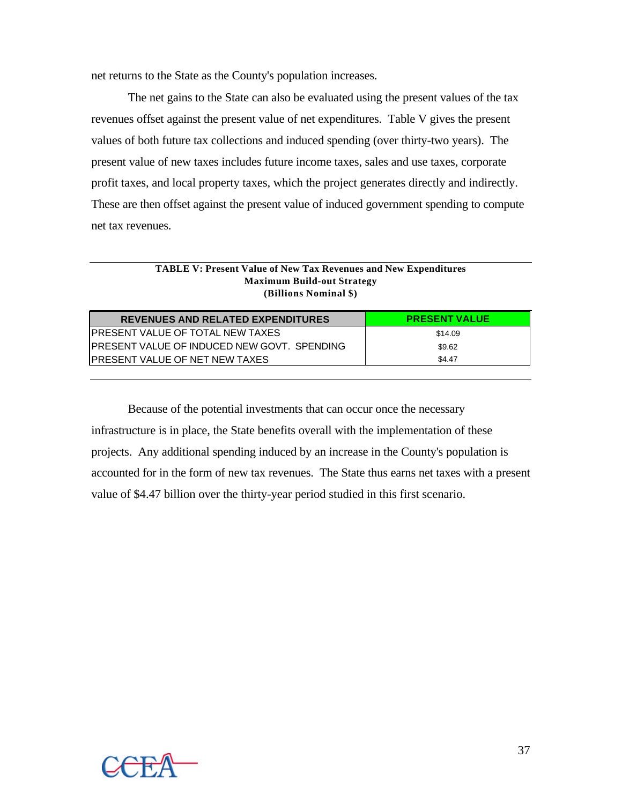net returns to the State as the County's population increases.

The net gains to the State can also be evaluated using the present values of the tax revenues offset against the present value of net expenditures. Table V gives the present values of both future tax collections and induced spending (over thirty-two years). The present value of new taxes includes future income taxes, sales and use taxes, corporate profit taxes, and local property taxes, which the project generates directly and indirectly. These are then offset against the present value of induced government spending to compute net tax revenues.

#### **TABLE V: Present Value of New Tax Revenues and New Expenditures Maximum Build-out Strategy (Billions Nominal \$)**

| <b>REVENUES AND RELATED EXPENDITURES</b>            | <b>PRESENT VALUE</b> |
|-----------------------------------------------------|----------------------|
| IPRESENT VALUE OF TOTAL NEW TAXES                   | \$14.09              |
| <b>IPRESENT VALUE OF INDUCED NEW GOVT. SPENDING</b> | \$9.62               |
| IPRESENT VALUE OF NET NEW TAXES                     | \$4.47               |

Because of the potential investments that can occur once the necessary infrastructure is in place, the State benefits overall with the implementation of these projects. Any additional spending induced by an increase in the County's population is accounted for in the form of new tax revenues. The State thus earns net taxes with a present value of \$4.47 billion over the thirty-year period studied in this first scenario.

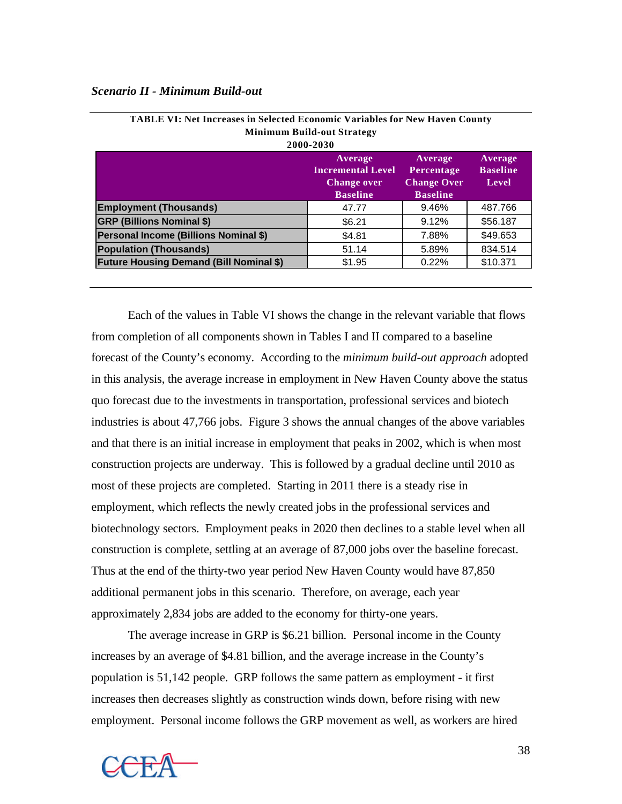#### *Scenario II - Minimum Build-out*

| 2000-2030                                      |                                                                              |                                                                |                                     |
|------------------------------------------------|------------------------------------------------------------------------------|----------------------------------------------------------------|-------------------------------------|
|                                                | Average<br><b>Incremental Level</b><br><b>Change over</b><br><b>Baseline</b> | Average<br>Percentage<br><b>Change Over</b><br><b>Baseline</b> | Average<br><b>Baseline</b><br>Level |
| <b>Employment (Thousands)</b>                  | 47.77                                                                        | 9.46%                                                          | 487.766                             |
| <b>GRP (Billions Nominal \$)</b>               | \$6.21                                                                       | 9.12%                                                          | \$56.187                            |
| Personal Income (Billions Nominal \$)          | \$4.81                                                                       | 7.88%                                                          | \$49,653                            |
| <b>Population (Thousands)</b>                  | 51.14                                                                        | 5.89%                                                          | 834.514                             |
| <b>Future Housing Demand (Bill Nominal \$)</b> | \$1.95                                                                       | 0.22%                                                          | \$10.371                            |
|                                                |                                                                              |                                                                |                                     |

| <b>TABLE VI: Net Increases in Selected Economic Variables for New Haven County</b> |
|------------------------------------------------------------------------------------|
| <b>Minimum Build-out Strategy</b>                                                  |
| anna anan                                                                          |

Each of the values in Table VI shows the change in the relevant variable that flows from completion of all components shown in Tables I and II compared to a baseline forecast of the County's economy. According to the *minimum build-out approach* adopted in this analysis, the average increase in employment in New Haven County above the status quo forecast due to the investments in transportation, professional services and biotech industries is about 47,766 jobs. Figure 3 shows the annual changes of the above variables and that there is an initial increase in employment that peaks in 2002, which is when most construction projects are underway. This is followed by a gradual decline until 2010 as most of these projects are completed. Starting in 2011 there is a steady rise in employment, which reflects the newly created jobs in the professional services and biotechnology sectors. Employment peaks in 2020 then declines to a stable level when all construction is complete, settling at an average of 87,000 jobs over the baseline forecast. Thus at the end of the thirty-two year period New Haven County would have 87,850 additional permanent jobs in this scenario. Therefore, on average, each year approximately 2,834 jobs are added to the economy for thirty-one years.

The average increase in GRP is \$6.21 billion. Personal income in the County increases by an average of \$4.81 billion, and the average increase in the County's population is 51,142 people. GRP follows the same pattern as employment - it first increases then decreases slightly as construction winds down, before rising with new employment. Personal income follows the GRP movement as well, as workers are hired

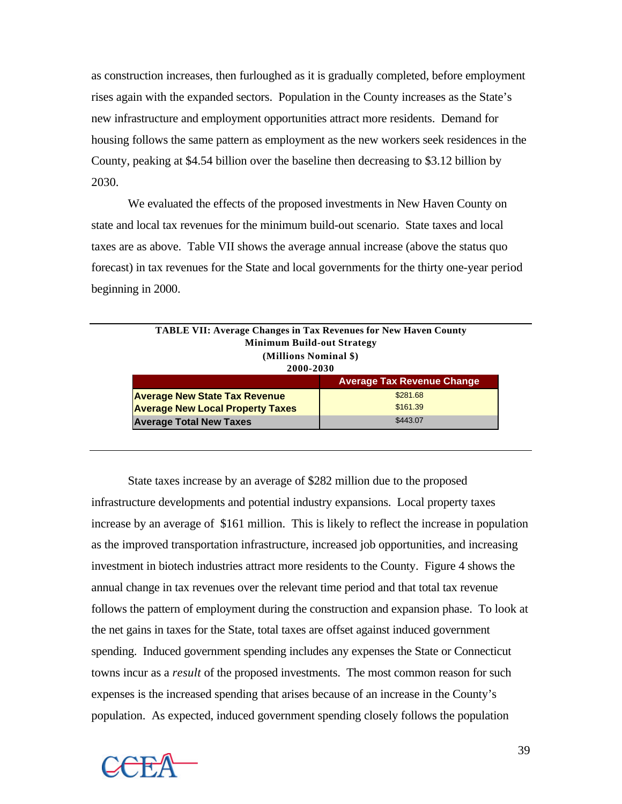as construction increases, then furloughed as it is gradually completed, before employment rises again with the expanded sectors. Population in the County increases as the State's new infrastructure and employment opportunities attract more residents. Demand for housing follows the same pattern as employment as the new workers seek residences in the County, peaking at \$4.54 billion over the baseline then decreasing to \$3.12 billion by 2030.

We evaluated the effects of the proposed investments in New Haven County on state and local tax revenues for the minimum build-out scenario. State taxes and local taxes are as above. Table VII shows the average annual increase (above the status quo forecast) in tax revenues for the State and local governments for the thirty one-year period beginning in 2000.

| <b>TABLE VII: Average Changes in Tax Revenues for New Haven County</b><br><b>Minimum Build-out Strategy</b><br>(Millions Nominal \$)<br>2000-2030 |                                   |
|---------------------------------------------------------------------------------------------------------------------------------------------------|-----------------------------------|
|                                                                                                                                                   | <b>Average Tax Revenue Change</b> |
| <b>Average New State Tax Revenue</b>                                                                                                              | \$281.68                          |
| <b>Average New Local Property Taxes</b>                                                                                                           | \$161.39                          |
| <b>Average Total New Taxes</b>                                                                                                                    | \$443.07                          |

State taxes increase by an average of \$282 million due to the proposed infrastructure developments and potential industry expansions. Local property taxes increase by an average of \$161 million. This is likely to reflect the increase in population as the improved transportation infrastructure, increased job opportunities, and increasing investment in biotech industries attract more residents to the County. Figure 4 shows the annual change in tax revenues over the relevant time period and that total tax revenue follows the pattern of employment during the construction and expansion phase. To look at the net gains in taxes for the State, total taxes are offset against induced government spending. Induced government spending includes any expenses the State or Connecticut towns incur as a *result* of the proposed investments. The most common reason for such expenses is the increased spending that arises because of an increase in the County's population. As expected, induced government spending closely follows the population

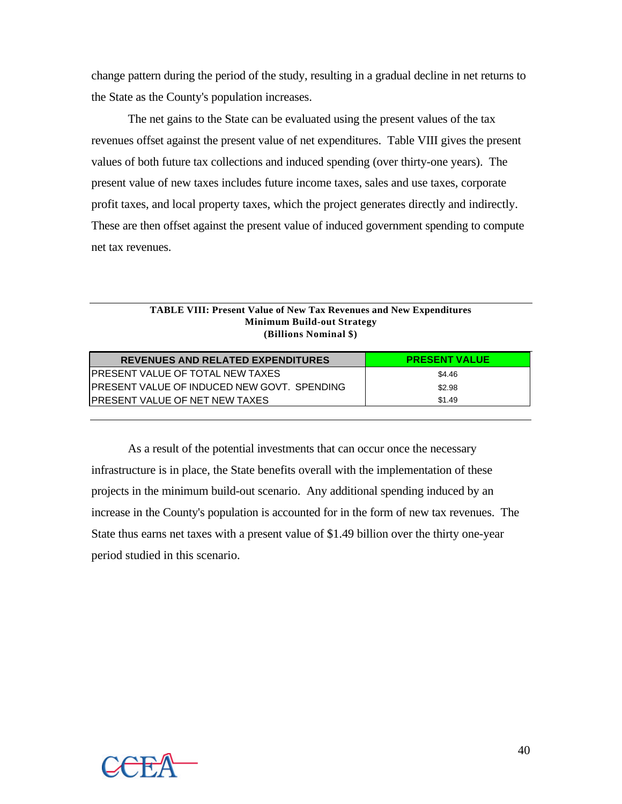change pattern during the period of the study, resulting in a gradual decline in net returns to the State as the County's population increases.

The net gains to the State can be evaluated using the present values of the tax revenues offset against the present value of net expenditures. Table VIII gives the present values of both future tax collections and induced spending (over thirty-one years). The present value of new taxes includes future income taxes, sales and use taxes, corporate profit taxes, and local property taxes, which the project generates directly and indirectly. These are then offset against the present value of induced government spending to compute net tax revenues.

#### **TABLE VIII: Present Value of New Tax Revenues and New Expenditures Minimum Build-out Strategy (Billions Nominal \$)**

| <b>REVENUES AND RELATED EXPENDITURES</b>            | <b>PRESENT VALUE</b> |
|-----------------------------------------------------|----------------------|
| IPRESENT VALUE OF TOTAL NEW TAXES                   | \$4.46               |
| <b>IPRESENT VALUE OF INDUCED NEW GOVT. SPENDING</b> | \$2.98               |
| IPRESENT VALUE OF NET NEW TAXES                     | \$1.49               |

As a result of the potential investments that can occur once the necessary infrastructure is in place, the State benefits overall with the implementation of these projects in the minimum build-out scenario. Any additional spending induced by an increase in the County's population is accounted for in the form of new tax revenues. The State thus earns net taxes with a present value of \$1.49 billion over the thirty one-year period studied in this scenario.

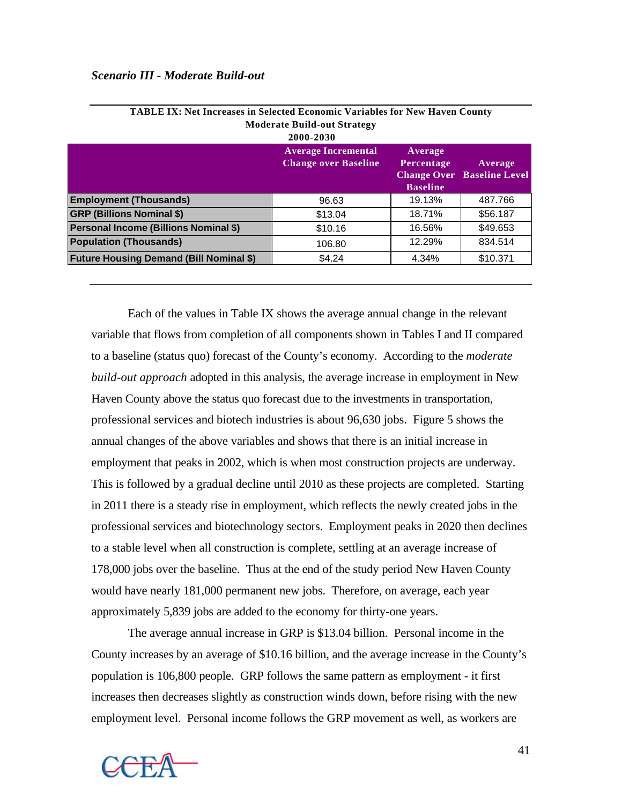|                                                | <b>Moderate Build-out Strategy</b><br>2000-2030           |                                          |                                              |
|------------------------------------------------|-----------------------------------------------------------|------------------------------------------|----------------------------------------------|
|                                                | <b>Average Incremental</b><br><b>Change over Baseline</b> | Average<br>Percentage<br><b>Baseline</b> | Average<br><b>Change Over Baseline Level</b> |
| <b>Employment (Thousands)</b>                  | 96.63                                                     | 19.13%                                   | 487.766                                      |
| <b>GRP (Billions Nominal \$)</b>               | \$13.04                                                   | 18.71%                                   | \$56.187                                     |
| <b>Personal Income (Billions Nominal \$)</b>   | \$10.16                                                   | 16.56%                                   | \$49.653                                     |
| <b>Population (Thousands)</b>                  | 106.80                                                    | 12.29%                                   | 834.514                                      |
| <b>Future Housing Demand (Bill Nominal \$)</b> | \$4.24                                                    | 4.34%                                    | \$10.371                                     |

| <b>TABLE IX: Net Increases in Selected Economic Variables for New Haven County</b> |
|------------------------------------------------------------------------------------|
| <b>Moderate Build-out Strategy</b>                                                 |
| 2000-2030                                                                          |
|                                                                                    |

Each of the values in Table IX shows the average annual change in the relevant variable that flows from completion of all components shown in Tables I and II compared to a baseline (status quo) forecast of the County's economy. According to the *moderate build-out approach* adopted in this analysis, the average increase in employment in New Haven County above the status quo forecast due to the investments in transportation, professional services and biotech industries is about 96,630 jobs. Figure 5 shows the annual changes of the above variables and shows that there is an initial increase in employment that peaks in 2002, which is when most construction projects are underway. This is followed by a gradual decline until 2010 as these projects are completed. Starting in 2011 there is a steady rise in employment, which reflects the newly created jobs in the professional services and biotechnology sectors. Employment peaks in 2020 then declines to a stable level when all construction is complete, settling at an average increase of 178,000 jobs over the baseline. Thus at the end of the study period New Haven County would have nearly 181,000 permanent new jobs. Therefore, on average, each year approximately 5,839 jobs are added to the economy for thirty-one years.

The average annual increase in GRP is \$13.04 billion. Personal income in the County increases by an average of \$10.16 billion, and the average increase in the County's population is 106,800 people. GRP follows the same pattern as employment - it first increases then decreases slightly as construction winds down, before rising with the new employment level. Personal income follows the GRP movement as well, as workers are

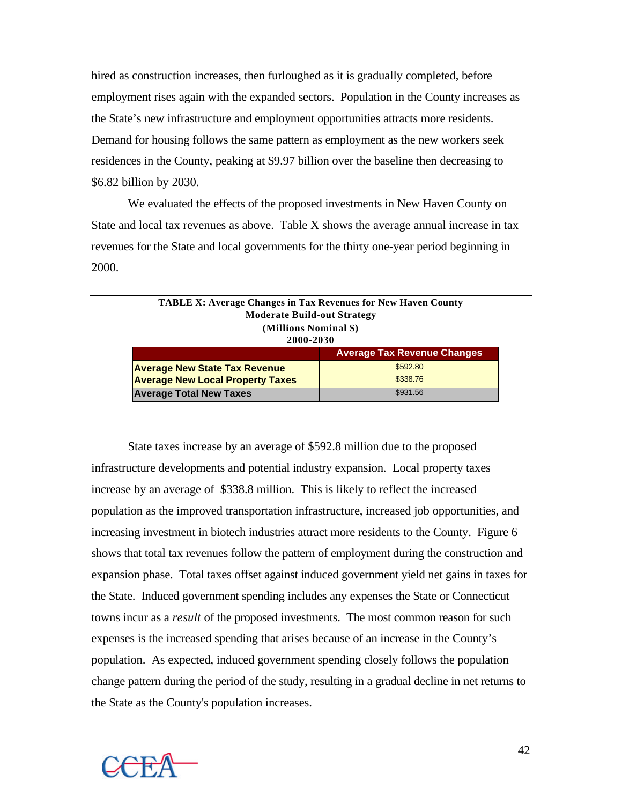hired as construction increases, then furloughed as it is gradually completed, before employment rises again with the expanded sectors. Population in the County increases as the State's new infrastructure and employment opportunities attracts more residents. Demand for housing follows the same pattern as employment as the new workers seek residences in the County, peaking at \$9.97 billion over the baseline then decreasing to \$6.82 billion by 2030.

We evaluated the effects of the proposed investments in New Haven County on State and local tax revenues as above. Table X shows the average annual increase in tax revenues for the State and local governments for the thirty one-year period beginning in 2000.

| <b>TABLE X: Average Changes in Tax Revenues for New Haven County</b><br><b>Moderate Build-out Strategy</b><br>(Millions Nominal \$) |                                    |
|-------------------------------------------------------------------------------------------------------------------------------------|------------------------------------|
| 2000-2030                                                                                                                           |                                    |
|                                                                                                                                     | <b>Average Tax Revenue Changes</b> |
| <b>Average New State Tax Revenue</b>                                                                                                | \$592.80                           |
| <b>Average New Local Property Taxes</b>                                                                                             | \$338.76                           |
| <b>Average Total New Taxes</b>                                                                                                      | \$931.56                           |

State taxes increase by an average of \$592.8 million due to the proposed infrastructure developments and potential industry expansion. Local property taxes increase by an average of \$338.8 million. This is likely to reflect the increased population as the improved transportation infrastructure, increased job opportunities, and increasing investment in biotech industries attract more residents to the County. Figure 6 shows that total tax revenues follow the pattern of employment during the construction and expansion phase. Total taxes offset against induced government yield net gains in taxes for the State. Induced government spending includes any expenses the State or Connecticut towns incur as a *result* of the proposed investments. The most common reason for such expenses is the increased spending that arises because of an increase in the County's population. As expected, induced government spending closely follows the population change pattern during the period of the study, resulting in a gradual decline in net returns to the State as the County's population increases.

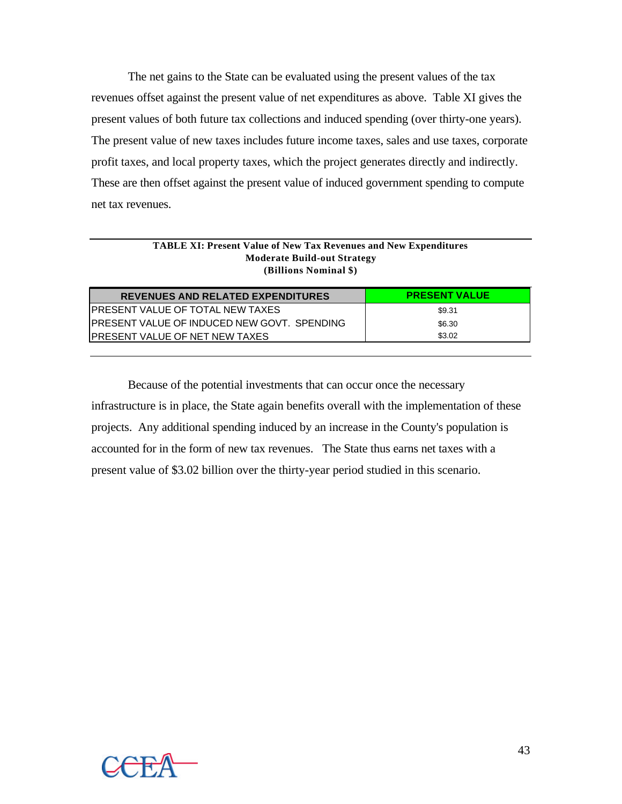The net gains to the State can be evaluated using the present values of the tax revenues offset against the present value of net expenditures as above. Table XI gives the present values of both future tax collections and induced spending (over thirty-one years). The present value of new taxes includes future income taxes, sales and use taxes, corporate profit taxes, and local property taxes, which the project generates directly and indirectly. These are then offset against the present value of induced government spending to compute net tax revenues.

#### **TABLE XI: Present Value of New Tax Revenues and New Expenditures Moderate Build-out Strategy (Billions Nominal \$)**

| <b>REVENUES AND RELATED EXPENDITURES</b>     | <b>PRESENT VALUE</b> |
|----------------------------------------------|----------------------|
| IPRESENT VALUE OF TOTAL NEW TAXES            | \$9.31               |
| IPRESENT VALUE OF INDUCED NEW GOVT. SPENDING | \$6.30               |
| IPRESENT VALUE OF NET NEW TAXES              | \$3.02               |

Because of the potential investments that can occur once the necessary infrastructure is in place, the State again benefits overall with the implementation of these projects. Any additional spending induced by an increase in the County's population is accounted for in the form of new tax revenues. The State thus earns net taxes with a present value of \$3.02 billion over the thirty-year period studied in this scenario.

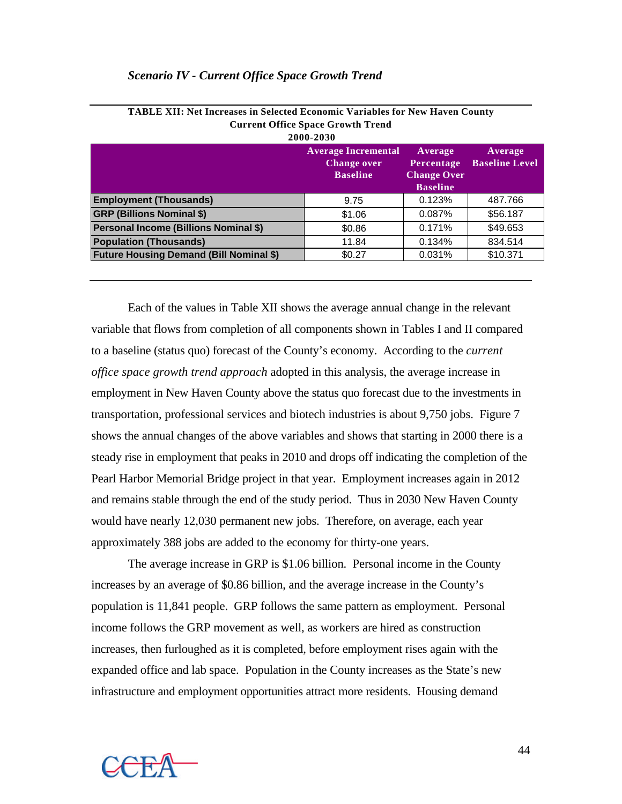#### *Scenario IV - Current Office Space Growth Trend*

|                                                | <b>Current Office Space Growth Trend</b><br>2000-2030               |                                                                |                                  |
|------------------------------------------------|---------------------------------------------------------------------|----------------------------------------------------------------|----------------------------------|
|                                                | <b>Average Incremental</b><br><b>Change over</b><br><b>Baseline</b> | Average<br>Percentage<br><b>Change Over</b><br><b>Baseline</b> | Average<br><b>Baseline Level</b> |
| <b>Employment (Thousands)</b>                  | 9.75                                                                | 0.123%                                                         | 487.766                          |
| <b>GRP (Billions Nominal \$)</b>               | \$1.06                                                              | 0.087%                                                         | \$56.187                         |
| Personal Income (Billions Nominal \$)          | \$0.86                                                              | 0.171%                                                         | \$49.653                         |
| <b>Population (Thousands)</b>                  | 11.84                                                               | 0.134%                                                         | 834.514                          |
| <b>Future Housing Demand (Bill Nominal \$)</b> | \$0.27                                                              | 0.031%                                                         | \$10.371                         |
|                                                |                                                                     |                                                                |                                  |

| <b>TABLE XII: Net Increases in Selected Economic Variables for New Haven County</b> |
|-------------------------------------------------------------------------------------|
| <b>Current Office Space Growth Trend</b>                                            |

Each of the values in Table XII shows the average annual change in the relevant variable that flows from completion of all components shown in Tables I and II compared to a baseline (status quo) forecast of the County's economy. According to the *current office space growth trend approach* adopted in this analysis, the average increase in employment in New Haven County above the status quo forecast due to the investments in transportation, professional services and biotech industries is about 9,750 jobs. Figure 7 shows the annual changes of the above variables and shows that starting in 2000 there is a steady rise in employment that peaks in 2010 and drops off indicating the completion of the Pearl Harbor Memorial Bridge project in that year. Employment increases again in 2012 and remains stable through the end of the study period. Thus in 2030 New Haven County would have nearly 12,030 permanent new jobs. Therefore, on average, each year approximately 388 jobs are added to the economy for thirty-one years.

The average increase in GRP is \$1.06 billion. Personal income in the County increases by an average of \$0.86 billion, and the average increase in the County's population is 11,841 people. GRP follows the same pattern as employment. Personal income follows the GRP movement as well, as workers are hired as construction increases, then furloughed as it is completed, before employment rises again with the expanded office and lab space. Population in the County increases as the State's new infrastructure and employment opportunities attract more residents. Housing demand

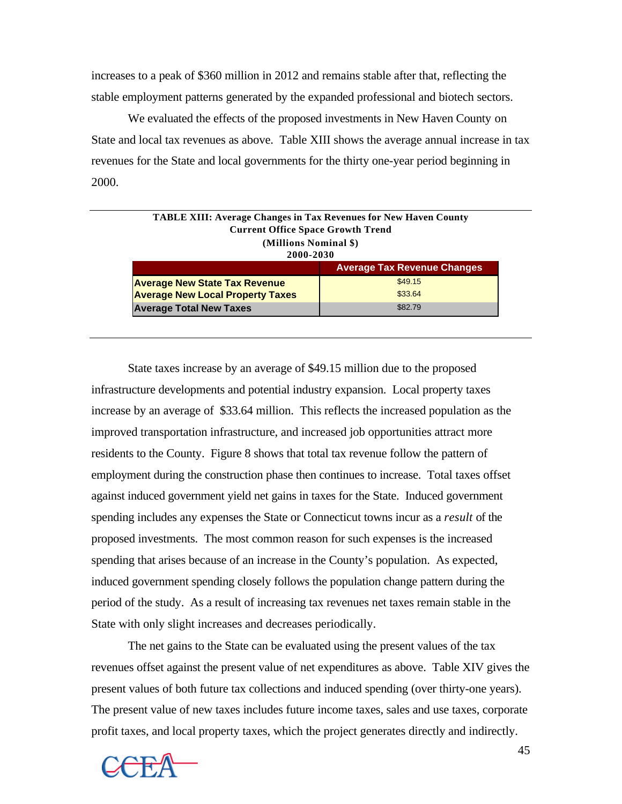increases to a peak of \$360 million in 2012 and remains stable after that, reflecting the stable employment patterns generated by the expanded professional and biotech sectors.

We evaluated the effects of the proposed investments in New Haven County on State and local tax revenues as above. Table XIII shows the average annual increase in tax revenues for the State and local governments for the thirty one-year period beginning in 2000.

| <b>TABLE XIII: Average Changes in Tax Revenues for New Haven County</b> |         |  |
|-------------------------------------------------------------------------|---------|--|
| <b>Current Office Space Growth Trend</b>                                |         |  |
| (Millions Nominal \$)                                                   |         |  |
| 2000-2030                                                               |         |  |
| <b>Average Tax Revenue Changes</b>                                      |         |  |
| <b>Average New State Tax Revenue</b>                                    | \$49.15 |  |
| \$33.64<br><b>Average New Local Property Taxes</b>                      |         |  |
| \$82.79<br><b>Average Total New Taxes</b>                               |         |  |

State taxes increase by an average of \$49.15 million due to the proposed infrastructure developments and potential industry expansion. Local property taxes increase by an average of \$33.64 million. This reflects the increased population as the improved transportation infrastructure, and increased job opportunities attract more residents to the County. Figure 8 shows that total tax revenue follow the pattern of employment during the construction phase then continues to increase. Total taxes offset against induced government yield net gains in taxes for the State. Induced government spending includes any expenses the State or Connecticut towns incur as a *result* of the proposed investments. The most common reason for such expenses is the increased spending that arises because of an increase in the County's population. As expected, induced government spending closely follows the population change pattern during the period of the study. As a result of increasing tax revenues net taxes remain stable in the State with only slight increases and decreases periodically.

The net gains to the State can be evaluated using the present values of the tax revenues offset against the present value of net expenditures as above. Table XIV gives the present values of both future tax collections and induced spending (over thirty-one years). The present value of new taxes includes future income taxes, sales and use taxes, corporate profit taxes, and local property taxes, which the project generates directly and indirectly.

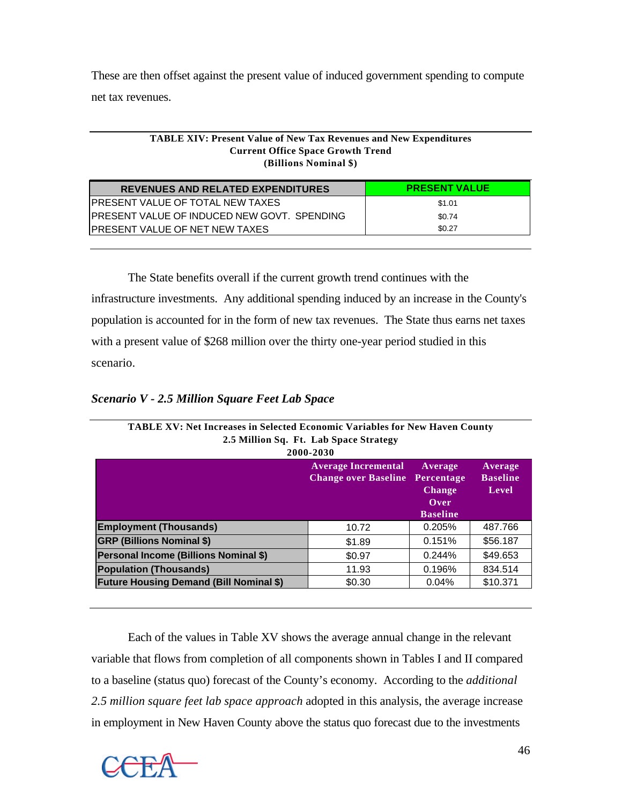These are then offset against the present value of induced government spending to compute net tax revenues.

#### **TABLE XIV: Present Value of New Tax Revenues and New Expenditures Current Office Space Growth Trend (Billions Nominal \$)**

| <b>REVENUES AND RELATED EXPENDITURES</b>     | <b>PRESENT VALUE</b> |
|----------------------------------------------|----------------------|
| IPRESENT VALUE OF TOTAL NEW TAXES            | \$1.01               |
| IPRESENT VALUE OF INDUCED NEW GOVT. SPENDING | \$0.74               |
| IPRESENT VALUE OF NET NEW TAXES              | \$0.27               |

The State benefits overall if the current growth trend continues with the infrastructure investments. Any additional spending induced by an increase in the County's population is accounted for in the form of new tax revenues. The State thus earns net taxes with a present value of \$268 million over the thirty one-year period studied in this scenario.

## *Scenario V - 2.5 Million Square Feet Lab Space*

| TABLE XV: Net Increases in Selected Economic Variables for New Haven County | 2.5 Million Sq. Ft. Lab Space Strategy<br>2000-2030       |                                                                   |                                     |
|-----------------------------------------------------------------------------|-----------------------------------------------------------|-------------------------------------------------------------------|-------------------------------------|
|                                                                             | <b>Average Incremental</b><br><b>Change over Baseline</b> | Average<br>Percentage<br><b>Change</b><br>Over<br><b>Baseline</b> | Average<br><b>Baseline</b><br>Level |
| <b>Employment (Thousands)</b>                                               | 10.72                                                     | 0.205%                                                            | 487.766                             |
| <b>GRP (Billions Nominal \$)</b>                                            | \$1.89                                                    | 0.151%                                                            | \$56,187                            |
| Personal Income (Billions Nominal \$)                                       | \$0.97                                                    | 0.244%                                                            | \$49.653                            |
| <b>Population (Thousands)</b>                                               | 11.93                                                     | 0.196%                                                            | 834.514                             |
| <b>Future Housing Demand (Bill Nominal \$)</b>                              | \$0.30                                                    | 0.04%                                                             | \$10.371                            |

Each of the values in Table XV shows the average annual change in the relevant variable that flows from completion of all components shown in Tables I and II compared to a baseline (status quo) forecast of the County's economy. According to the *additional 2.5 million square feet lab space approach* adopted in this analysis, the average increase in employment in New Haven County above the status quo forecast due to the investments

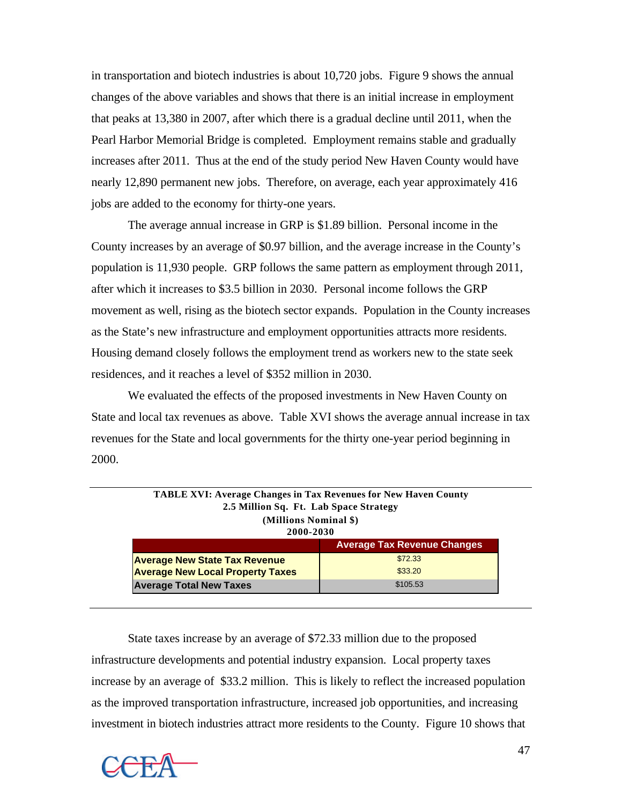in transportation and biotech industries is about 10,720 jobs. Figure 9 shows the annual changes of the above variables and shows that there is an initial increase in employment that peaks at 13,380 in 2007, after which there is a gradual decline until 2011, when the Pearl Harbor Memorial Bridge is completed. Employment remains stable and gradually increases after 2011. Thus at the end of the study period New Haven County would have nearly 12,890 permanent new jobs. Therefore, on average, each year approximately 416 jobs are added to the economy for thirty-one years.

The average annual increase in GRP is \$1.89 billion. Personal income in the County increases by an average of \$0.97 billion, and the average increase in the County's population is 11,930 people. GRP follows the same pattern as employment through 2011, after which it increases to \$3.5 billion in 2030. Personal income follows the GRP movement as well, rising as the biotech sector expands. Population in the County increases as the State's new infrastructure and employment opportunities attracts more residents. Housing demand closely follows the employment trend as workers new to the state seek residences, and it reaches a level of \$352 million in 2030.

We evaluated the effects of the proposed investments in New Haven County on State and local tax revenues as above. Table XVI shows the average annual increase in tax revenues for the State and local governments for the thirty one-year period beginning in 2000.

| <b>TABLE XVI: Average Changes in Tax Revenues for New Haven County</b><br>2.5 Million Sq. Ft. Lab Space Strategy<br>(Millions Nominal \$)<br>2000-2030 |                                    |
|--------------------------------------------------------------------------------------------------------------------------------------------------------|------------------------------------|
|                                                                                                                                                        | <b>Average Tax Revenue Changes</b> |
| <b>Average New State Tax Revenue</b>                                                                                                                   | \$72.33                            |
| <b>Average New Local Property Taxes</b>                                                                                                                | \$33.20                            |
| <b>Average Total New Taxes</b>                                                                                                                         | \$105.53                           |

State taxes increase by an average of \$72.33 million due to the proposed infrastructure developments and potential industry expansion. Local property taxes increase by an average of \$33.2 million. This is likely to reflect the increased population as the improved transportation infrastructure, increased job opportunities, and increasing investment in biotech industries attract more residents to the County. Figure 10 shows that

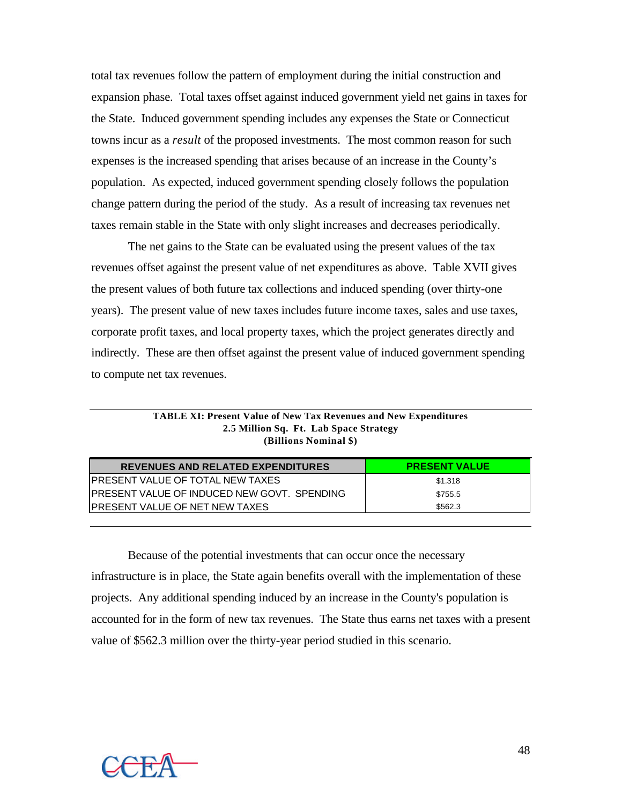total tax revenues follow the pattern of employment during the initial construction and expansion phase. Total taxes offset against induced government yield net gains in taxes for the State. Induced government spending includes any expenses the State or Connecticut towns incur as a *result* of the proposed investments. The most common reason for such expenses is the increased spending that arises because of an increase in the County's population. As expected, induced government spending closely follows the population change pattern during the period of the study. As a result of increasing tax revenues net taxes remain stable in the State with only slight increases and decreases periodically.

The net gains to the State can be evaluated using the present values of the tax revenues offset against the present value of net expenditures as above. Table XVII gives the present values of both future tax collections and induced spending (over thirty-one years). The present value of new taxes includes future income taxes, sales and use taxes, corporate profit taxes, and local property taxes, which the project generates directly and indirectly. These are then offset against the present value of induced government spending to compute net tax revenues.

| <b>REVENUES AND RELATED EXPENDITURES</b>     | <b>PRESENT VALUE</b> |
|----------------------------------------------|----------------------|
| IPRESENT VALUE OF TOTAL NEW TAXES            | \$1.318              |
| IPRESENT VALUE OF INDUCED NEW GOVT. SPENDING | \$755.5              |
| IPRESENT VALUE OF NET NEW TAXES              | \$562.3              |

**TABLE XI: Present Value of New Tax Revenues and New Expenditures 2.5 Million Sq. Ft. Lab Space Strategy (Billions Nominal \$)**

Because of the potential investments that can occur once the necessary infrastructure is in place, the State again benefits overall with the implementation of these projects. Any additional spending induced by an increase in the County's population is accounted for in the form of new tax revenues. The State thus earns net taxes with a present value of \$562.3 million over the thirty-year period studied in this scenario.

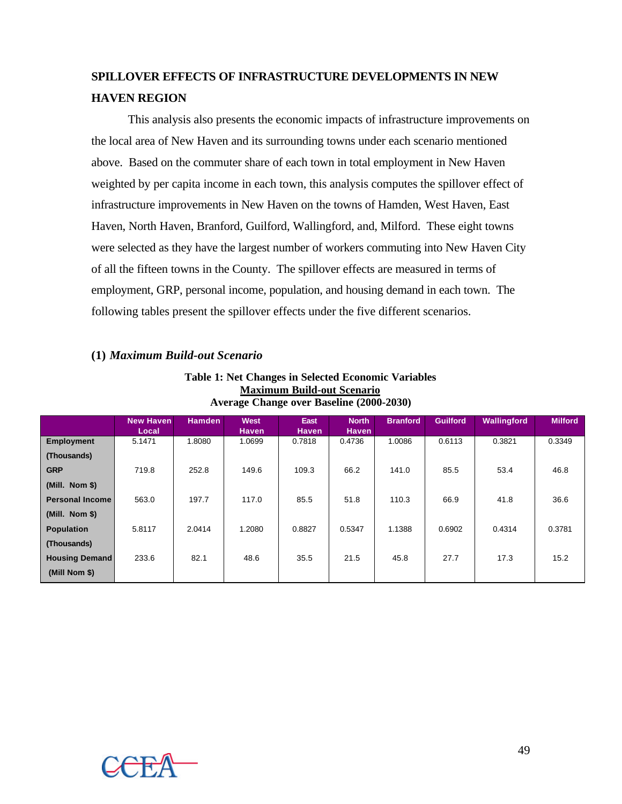# **SPILLOVER EFFECTS OF INFRASTRUCTURE DEVELOPMENTS IN NEW HAVEN REGION**

This analysis also presents the economic impacts of infrastructure improvements on the local area of New Haven and its surrounding towns under each scenario mentioned above. Based on the commuter share of each town in total employment in New Haven weighted by per capita income in each town, this analysis computes the spillover effect of infrastructure improvements in New Haven on the towns of Hamden, West Haven, East Haven, North Haven, Branford, Guilford, Wallingford, and, Milford. These eight towns were selected as they have the largest number of workers commuting into New Haven City of all the fifteen towns in the County. The spillover effects are measured in terms of employment, GRP, personal income, population, and housing demand in each town. The following tables present the spillover effects under the five different scenarios.

### **(1)** *Maximum Build-out Scenario*

| <b>Table 1: Net Changes in Selected Economic Variables</b> |
|------------------------------------------------------------|
| <b>Maximum Build-out Scenario</b>                          |
| Average Change over Baseline (2000-2030)                   |

|                        | <b>New Haven</b><br>Local | <b>Hamden</b> | <b>West</b><br><b>Haven</b> | East<br><b>Haven</b> | <b>North</b><br><b>Haven</b> | <b>Branford</b> | <b>Guilford</b> | <b>Wallingford</b> | <b>Milford</b> |
|------------------------|---------------------------|---------------|-----------------------------|----------------------|------------------------------|-----------------|-----------------|--------------------|----------------|
| <b>Employment</b>      | 5.1471                    | 1.8080        | 1.0699                      | 0.7818               | 0.4736                       | 1.0086          | 0.6113          | 0.3821             | 0.3349         |
| (Thousands)            |                           |               |                             |                      |                              |                 |                 |                    |                |
| <b>GRP</b>             | 719.8                     | 252.8         | 149.6                       | 109.3                | 66.2                         | 141.0           | 85.5            | 53.4               | 46.8           |
| (Mill. Nom \$)         |                           |               |                             |                      |                              |                 |                 |                    |                |
| <b>Personal Income</b> | 563.0                     | 197.7         | 117.0                       | 85.5                 | 51.8                         | 110.3           | 66.9            | 41.8               | 36.6           |
| (Mill. Nom \$)         |                           |               |                             |                      |                              |                 |                 |                    |                |
| <b>Population</b>      | 5.8117                    | 2.0414        | 1.2080                      | 0.8827               | 0.5347                       | 1.1388          | 0.6902          | 0.4314             | 0.3781         |
| (Thousands)            |                           |               |                             |                      |                              |                 |                 |                    |                |
| <b>Housing Demand</b>  | 233.6                     | 82.1          | 48.6                        | 35.5                 | 21.5                         | 45.8            | 27.7            | 17.3               | 15.2           |
| (Mill Nom \$)          |                           |               |                             |                      |                              |                 |                 |                    |                |

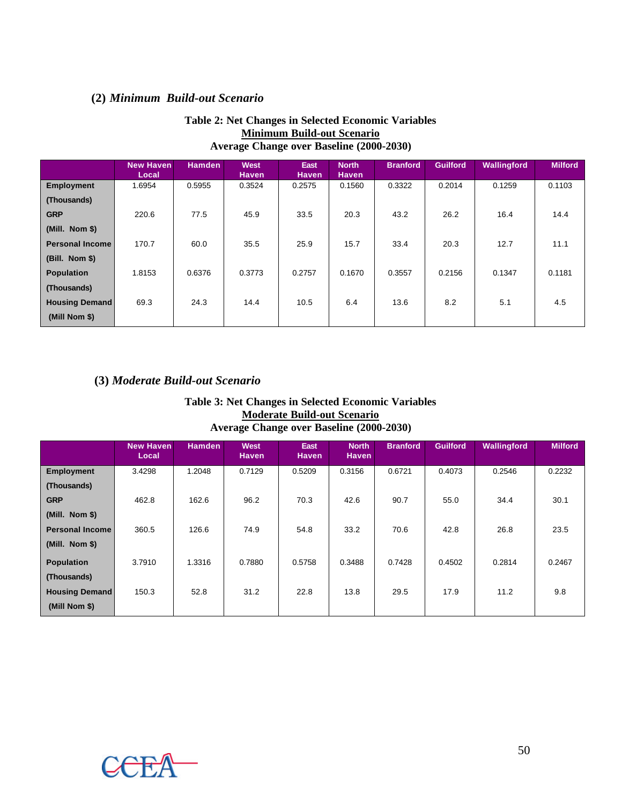# **(2)** *Minimum Build-out Scenario*

| Average Change over Baseline (2000-2030) |                           |               |                      |                      |                              |                 |                 |             |                |  |  |
|------------------------------------------|---------------------------|---------------|----------------------|----------------------|------------------------------|-----------------|-----------------|-------------|----------------|--|--|
|                                          | <b>New Haven</b><br>Local | <b>Hamden</b> | West<br><b>Haven</b> | East<br><b>Haven</b> | <b>North</b><br><b>Haven</b> | <b>Branford</b> | <b>Guilford</b> | Wallingford | <b>Milford</b> |  |  |
| <b>Employment</b>                        | 1.6954                    | 0.5955        | 0.3524               | 0.2575               | 0.1560                       | 0.3322          | 0.2014          | 0.1259      | 0.1103         |  |  |
| (Thousands)                              |                           |               |                      |                      |                              |                 |                 |             |                |  |  |
| <b>GRP</b>                               | 220.6                     | 77.5          | 45.9                 | 33.5                 | 20.3                         | 43.2            | 26.2            | 16.4        | 14.4           |  |  |
| (Mill. Nom \$)                           |                           |               |                      |                      |                              |                 |                 |             |                |  |  |
| <b>Personal Income</b>                   | 170.7                     | 60.0          | 35.5                 | 25.9                 | 15.7                         | 33.4            | 20.3            | 12.7        | 11.1           |  |  |
| $(Bill.$ Nom \$)                         |                           |               |                      |                      |                              |                 |                 |             |                |  |  |
| <b>Population</b>                        | 1.8153                    | 0.6376        | 0.3773               | 0.2757               | 0.1670                       | 0.3557          | 0.2156          | 0.1347      | 0.1181         |  |  |
| (Thousands)                              |                           |               |                      |                      |                              |                 |                 |             |                |  |  |
| <b>Housing Demand</b>                    | 69.3                      | 24.3          | 14.4                 | 10.5                 | 6.4                          | 13.6            | 8.2             | 5.1         | 4.5            |  |  |
| (Mill Nom \$)                            |                           |               |                      |                      |                              |                 |                 |             |                |  |  |

## **Table 2: Net Changes in Selected Economic Variables Minimum Build-out Scenario Average Change over Baseline (2000-2030)**

# **(3)** *Moderate Build-out Scenario*

| <b>Table 3: Net Changes in Selected Economic Variables</b> |
|------------------------------------------------------------|
| <b>Moderate Build-out Scenario</b>                         |
| Average Change over Baseline (2000-2030)                   |

|                        | <b>New Haven</b><br>Local | <b>Hamden</b> | <b>West</b><br><b>Haven</b> | East<br><b>Haven</b> | <b>North</b><br><b>Haven</b> | <b>Branford</b> | <b>Guilford</b> | <b>Wallingford</b> | <b>Milford</b> |
|------------------------|---------------------------|---------------|-----------------------------|----------------------|------------------------------|-----------------|-----------------|--------------------|----------------|
| <b>Employment</b>      | 3.4298                    | 1.2048        | 0.7129                      | 0.5209               | 0.3156                       | 0.6721          | 0.4073          | 0.2546             | 0.2232         |
| (Thousands)            |                           |               |                             |                      |                              |                 |                 |                    |                |
| <b>GRP</b>             | 462.8                     | 162.6         | 96.2                        | 70.3                 | 42.6                         | 90.7            | 55.0            | 34.4               | 30.1           |
| (Mill. Nom \$)         |                           |               |                             |                      |                              |                 |                 |                    |                |
| <b>Personal Income</b> | 360.5                     | 126.6         | 74.9                        | 54.8                 | 33.2                         | 70.6            | 42.8            | 26.8               | 23.5           |
| (Mill. Nom \$)         |                           |               |                             |                      |                              |                 |                 |                    |                |
| <b>Population</b>      | 3.7910                    | 1.3316        | 0.7880                      | 0.5758               | 0.3488                       | 0.7428          | 0.4502          | 0.2814             | 0.2467         |
| (Thousands)            |                           |               |                             |                      |                              |                 |                 |                    |                |
| <b>Housing Demand</b>  | 150.3                     | 52.8          | 31.2                        | 22.8                 | 13.8                         | 29.5            | 17.9            | 11.2               | 9.8            |
| (Mill Nom \$)          |                           |               |                             |                      |                              |                 |                 |                    |                |

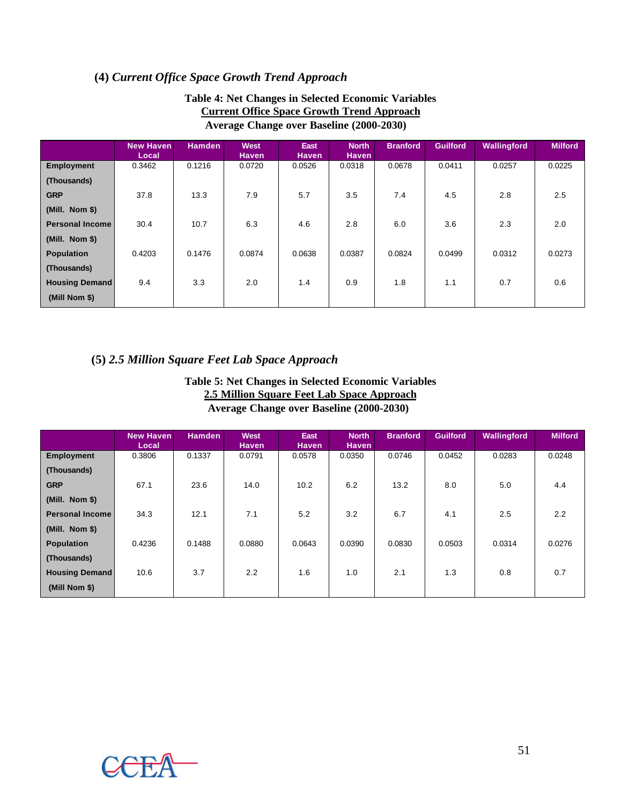# **(4)** *Current Office Space Growth Trend Approach*

|                        | <b>New Haven</b><br>Local | <b>Hamden</b> | <b>West</b><br><b>Haven</b> | <b>East</b><br><b>Haven</b> | <b>North</b><br><b>Haven</b> | <b>Branford</b> | <b>Guilford</b> | <b>Wallingford</b> | <b>Milford</b> |
|------------------------|---------------------------|---------------|-----------------------------|-----------------------------|------------------------------|-----------------|-----------------|--------------------|----------------|
| <b>Employment</b>      | 0.3462                    | 0.1216        | 0.0720                      | 0.0526                      | 0.0318                       | 0.0678          | 0.0411          | 0.0257             | 0.0225         |
| (Thousands)            |                           |               |                             |                             |                              |                 |                 |                    |                |
| <b>GRP</b>             | 37.8                      | 13.3          | 7.9                         | 5.7                         | 3.5                          | 7.4             | 4.5             | 2.8                | 2.5            |
| (Mill. Nom \$)         |                           |               |                             |                             |                              |                 |                 |                    |                |
| <b>Personal Income</b> | 30.4                      | 10.7          | 6.3                         | 4.6                         | 2.8                          | 6.0             | 3.6             | 2.3                | 2.0            |
| (Mill. Nom \$)         |                           |               |                             |                             |                              |                 |                 |                    |                |
| <b>Population</b>      | 0.4203                    | 0.1476        | 0.0874                      | 0.0638                      | 0.0387                       | 0.0824          | 0.0499          | 0.0312             | 0.0273         |
| (Thousands)            |                           |               |                             |                             |                              |                 |                 |                    |                |
| <b>Housing Demand</b>  | 9.4                       | 3.3           | 2.0                         | 1.4                         | 0.9                          | 1.8             | 1.1             | 0.7                | 0.6            |
| (Mill Nom \$)          |                           |               |                             |                             |                              |                 |                 |                    |                |

### **Table 4: Net Changes in Selected Economic Variables Current Office Space Growth Trend Approach** Average Change over Baseline (2000-2030)

# **(5)** *2.5 Million Square Feet Lab Space Approach*

### **Table 5: Net Changes in Selected Economic Variables 2.5 Million Square Feet Lab Space Approach Average Change over Baseline (2000-2030))**

|                        | <b>New Haven</b><br>Local | <b>Hamden</b> | <b>West</b><br><b>Haven</b> | East<br><b>Haven</b> | <b>North</b><br><b>Haven</b> | <b>Branford</b> | <b>Guilford</b> | Wallingford | <b>Milford</b> |
|------------------------|---------------------------|---------------|-----------------------------|----------------------|------------------------------|-----------------|-----------------|-------------|----------------|
| <b>Employment</b>      | 0.3806                    | 0.1337        | 0.0791                      | 0.0578               | 0.0350                       | 0.0746          | 0.0452          | 0.0283      | 0.0248         |
| (Thousands)            |                           |               |                             |                      |                              |                 |                 |             |                |
| <b>GRP</b>             | 67.1                      | 23.6          | 14.0                        | 10.2                 | 6.2                          | 13.2            | 8.0             | 5.0         | 4.4            |
| (Mill. Nom \$)         |                           |               |                             |                      |                              |                 |                 |             |                |
| <b>Personal Income</b> | 34.3                      | 12.1          | 7.1                         | 5.2                  | 3.2                          | 6.7             | 4.1             | 2.5         | 2.2            |
| (Mill. Nom \$)         |                           |               |                             |                      |                              |                 |                 |             |                |
| <b>Population</b>      | 0.4236                    | 0.1488        | 0.0880                      | 0.0643               | 0.0390                       | 0.0830          | 0.0503          | 0.0314      | 0.0276         |
| (Thousands)            |                           |               |                             |                      |                              |                 |                 |             |                |
| <b>Housing Demand</b>  | 10.6                      | 3.7           | 2.2                         | 1.6                  | 1.0                          | 2.1             | 1.3             | 0.8         | 0.7            |
| (Mill Nom \$)          |                           |               |                             |                      |                              |                 |                 |             |                |

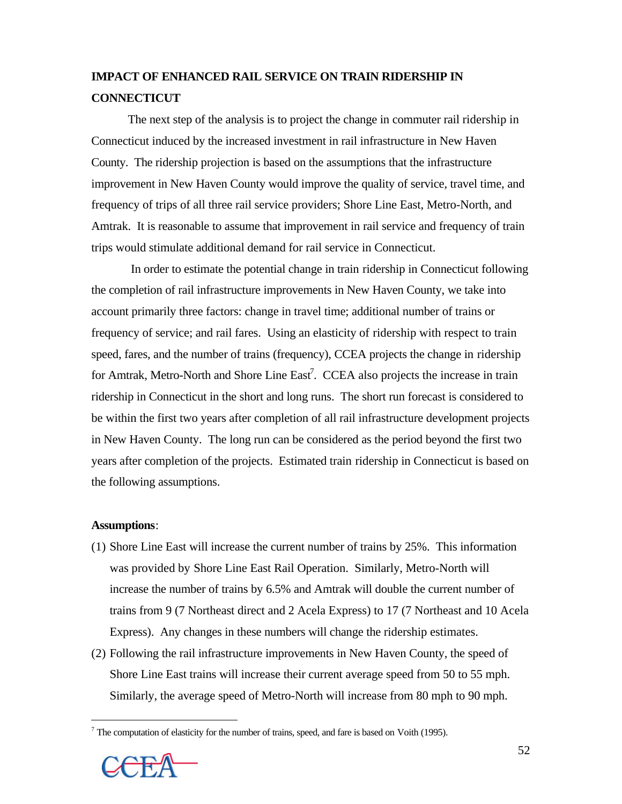# **IMPACT OF ENHANCED RAIL SERVICE ON TRAIN RIDERSHIP IN CONNECTICUT**

The next step of the analysis is to project the change in commuter rail ridership in Connecticut induced by the increased investment in rail infrastructure in New Haven County. The ridership projection is based on the assumptions that the infrastructure improvement in New Haven County would improve the quality of service, travel time, and frequency of trips of all three rail service providers; Shore Line East, Metro-North, and Amtrak. It is reasonable to assume that improvement in rail service and frequency of train trips would stimulate additional demand for rail service in Connecticut.

 In order to estimate the potential change in train ridership in Connecticut following the completion of rail infrastructure improvements in New Haven County, we take into account primarily three factors: change in travel time; additional number of trains or frequency of service; and rail fares. Using an elasticity of ridership with respect to train speed, fares, and the number of trains (frequency), CCEA projects the change in ridership for Amtrak, Metro-North and Shore Line East<sup>7</sup>. CCEA also projects the increase in train ridership in Connecticut in the short and long runs. The short run forecast is considered to be within the first two years after completion of all rail infrastructure development projects in New Haven County. The long run can be considered as the period beyond the first two years after completion of the projects. Estimated train ridership in Connecticut is based on the following assumptions.

#### **Assumptions**:

- (1) Shore Line East will increase the current number of trains by 25%. This information was provided by Shore Line East Rail Operation. Similarly, Metro-North will increase the number of trains by 6.5% and Amtrak will double the current number of trains from 9 (7 Northeast direct and 2 Acela Express) to 17 (7 Northeast and 10 Acela Express). Any changes in these numbers will change the ridership estimates.
- (2) Following the rail infrastructure improvements in New Haven County, the speed of Shore Line East trains will increase their current average speed from 50 to 55 mph. Similarly, the average speed of Metro-North will increase from 80 mph to 90 mph.

 $<sup>7</sup>$  The computation of elasticity for the number of trains, speed, and fare is based on Voith (1995).</sup>



<u>.</u>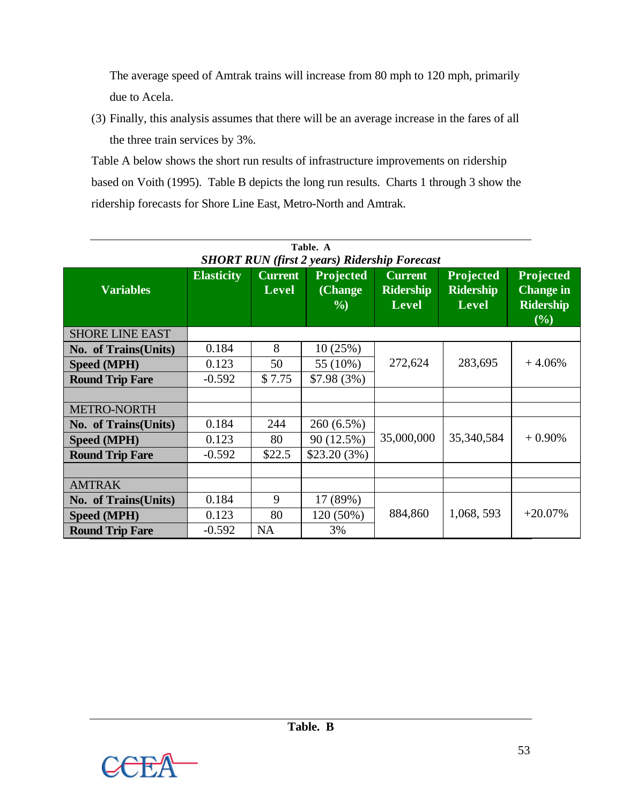The average speed of Amtrak trains will increase from 80 mph to 120 mph, primarily due to Acela.

(3) Finally, this analysis assumes that there will be an average increase in the fares of all the three train services by 3%.

Table A below shows the short run results of infrastructure improvements on ridership based on Voith (1995). Table B depicts the long run results. Charts 1 through 3 show the ridership forecasts for Shore Line East, Metro-North and Amtrak.

| Table. A                                                                                                                                                                                                                                                                                                                          |          |           |              |            |            |            |  |  |  |  |
|-----------------------------------------------------------------------------------------------------------------------------------------------------------------------------------------------------------------------------------------------------------------------------------------------------------------------------------|----------|-----------|--------------|------------|------------|------------|--|--|--|--|
| <b>SHORT RUN (first 2 years) Ridership Forecast</b><br>Projected<br><b>Current</b><br>Projected<br>Projected<br><b>Elasticity</b><br><b>Current</b><br><b>Change in</b><br><b>Variables</b><br>(Change<br><b>Ridership</b><br><b>Ridership</b><br><b>Level</b><br><b>Ridership</b><br><b>Level</b><br><b>Level</b><br>$\%$<br>(%) |          |           |              |            |            |            |  |  |  |  |
| <b>SHORE LINE EAST</b>                                                                                                                                                                                                                                                                                                            |          |           |              |            |            |            |  |  |  |  |
| No. of Trains(Units)                                                                                                                                                                                                                                                                                                              | 0.184    | 8         | 10(25%)      |            |            |            |  |  |  |  |
| <b>Speed (MPH)</b>                                                                                                                                                                                                                                                                                                                | 0.123    | 50        | 55 (10%)     | 272,624    | 283,695    | $+4.06%$   |  |  |  |  |
| <b>Round Trip Fare</b>                                                                                                                                                                                                                                                                                                            | $-0.592$ | \$7.75    | $$7.98(3\%)$ |            |            |            |  |  |  |  |
|                                                                                                                                                                                                                                                                                                                                   |          |           |              |            |            |            |  |  |  |  |
| <b>METRO-NORTH</b>                                                                                                                                                                                                                                                                                                                |          |           |              |            |            |            |  |  |  |  |
| No. of Trains(Units)                                                                                                                                                                                                                                                                                                              | 0.184    | 244       | 260 (6.5%)   |            |            |            |  |  |  |  |
| Speed (MPH)                                                                                                                                                                                                                                                                                                                       | 0.123    | 80        | 90 (12.5%)   | 35,000,000 | 35,340,584 | $+0.90\%$  |  |  |  |  |
| <b>Round Trip Fare</b>                                                                                                                                                                                                                                                                                                            | $-0.592$ | \$22.5    | \$23.20(3%)  |            |            |            |  |  |  |  |
|                                                                                                                                                                                                                                                                                                                                   |          |           |              |            |            |            |  |  |  |  |
| <b>AMTRAK</b>                                                                                                                                                                                                                                                                                                                     |          |           |              |            |            |            |  |  |  |  |
| No. of Trains(Units)                                                                                                                                                                                                                                                                                                              | 0.184    | 9         | 17 (89%)     |            |            |            |  |  |  |  |
| <b>Speed (MPH)</b>                                                                                                                                                                                                                                                                                                                | 0.123    | 80        | 120 (50%)    | 884,860    | 1,068,593  | $+20.07\%$ |  |  |  |  |
| <b>Round Trip Fare</b>                                                                                                                                                                                                                                                                                                            | $-0.592$ | <b>NA</b> | 3%           |            |            |            |  |  |  |  |

53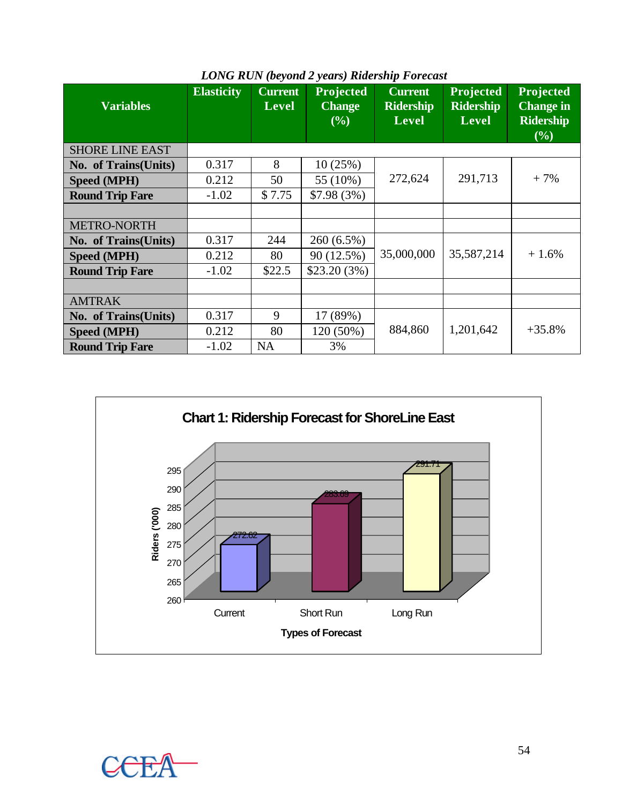| <b>Variables</b>       | <b>Elasticity</b> | <b>Current</b><br><b>Level</b> | Projected<br><b>Change</b><br>(%) | <b>Current</b><br><b>Ridership</b><br><b>Level</b> | Projected<br><b>Ridership</b><br><b>Level</b> | Projected<br><b>Change</b> in<br><b>Ridership</b><br>(%) |  |
|------------------------|-------------------|--------------------------------|-----------------------------------|----------------------------------------------------|-----------------------------------------------|----------------------------------------------------------|--|
| <b>SHORE LINE EAST</b> |                   |                                |                                   |                                                    |                                               |                                                          |  |
| No. of Trains(Units)   | 0.317             | 8                              | 10(25%)                           |                                                    |                                               |                                                          |  |
| <b>Speed (MPH)</b>     | 0.212             | 50                             | 55 (10%)                          | 272,624                                            | 291,713                                       | $+7%$                                                    |  |
| <b>Round Trip Fare</b> | $-1.02$           | \$7.75                         | $$7.98(3\%)$                      |                                                    |                                               |                                                          |  |
|                        |                   |                                |                                   |                                                    |                                               |                                                          |  |
| <b>METRO-NORTH</b>     |                   |                                |                                   |                                                    |                                               |                                                          |  |
| No. of Trains(Units)   | 0.317             | 244                            | 260 (6.5%)                        |                                                    |                                               |                                                          |  |
| <b>Speed (MPH)</b>     | 0.212             | 80                             | 90 (12.5%)                        | 35,000,000                                         | 35,587,214                                    | $+1.6%$                                                  |  |
| <b>Round Trip Fare</b> | $-1.02$           | \$22.5                         | \$23.20(3%)                       |                                                    |                                               |                                                          |  |
|                        |                   |                                |                                   |                                                    |                                               |                                                          |  |
| <b>AMTRAK</b>          |                   |                                |                                   |                                                    |                                               |                                                          |  |
| No. of Trains(Units)   | 0.317             | 9                              | 17 (89%)                          |                                                    |                                               |                                                          |  |
| Speed (MPH)            | 0.212             | 80                             | 120 (50%)                         | 884,860                                            | 1,201,642                                     | $+35.8%$                                                 |  |
| <b>Round Trip Fare</b> | $-1.02$           | <b>NA</b>                      | 3%                                |                                                    |                                               |                                                          |  |

# *LONG RUN (beyond 2 years) Ridership Forecast*

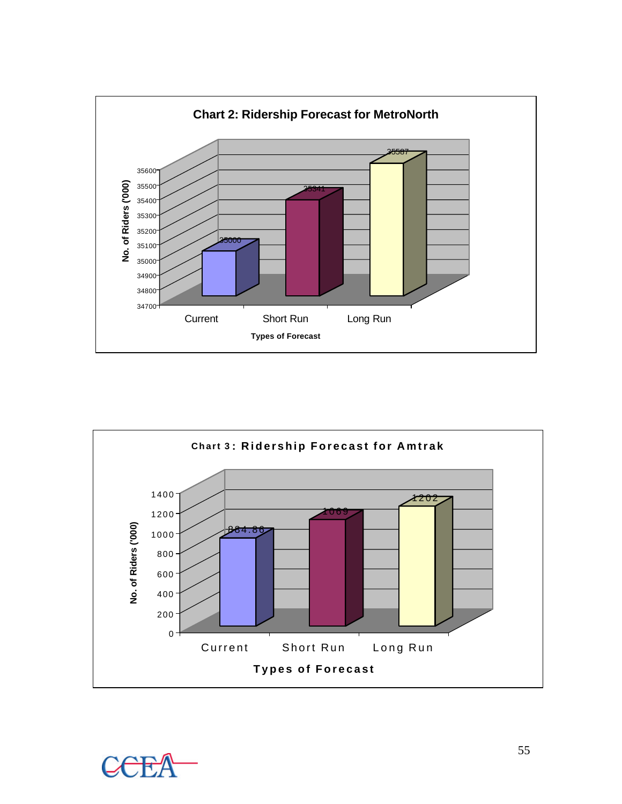



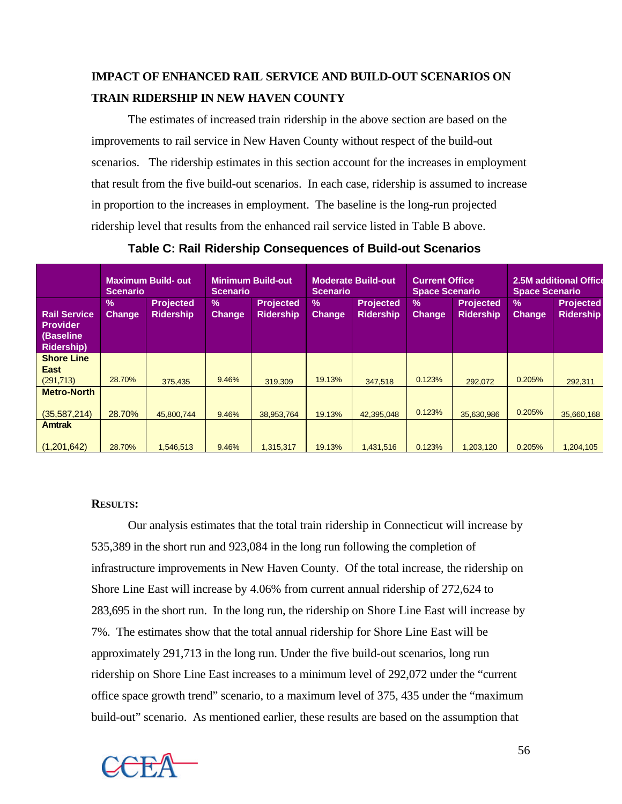# **IMPACT OF ENHANCED RAIL SERVICE AND BUILD-OUT SCENARIOS ON TRAIN RIDERSHIP IN NEW HAVEN COUNTY**

The estimates of increased train ridership in the above section are based on the improvements to rail service in New Haven County without respect of the build-out scenarios. The ridership estimates in this section account for the increases in employment that result from the five build-out scenarios. In each case, ridership is assumed to increase in proportion to the increases in employment. The baseline is the long-run projected ridership level that results from the enhanced rail service listed in Table B above.

|                                                                          | <b>Scenario</b>       | <b>Maximum Build-out</b>             | <b>Scenario</b>       | <b>Minimum Build-out</b>             | <b>Scenario</b>                | <b>Moderate Build-out</b>            | <b>Current Office</b><br><b>Space Scenario</b> |                                      | <b>Space Scenario</b>          | 2.5M additional Office               |
|--------------------------------------------------------------------------|-----------------------|--------------------------------------|-----------------------|--------------------------------------|--------------------------------|--------------------------------------|------------------------------------------------|--------------------------------------|--------------------------------|--------------------------------------|
| <b>Rail Service</b><br><b>Provider</b><br>(Baseline<br><b>Ridership)</b> | $\%$<br><b>Change</b> | <b>Projected</b><br><b>Ridership</b> | $\%$<br><b>Change</b> | <b>Projected</b><br><b>Ridership</b> | $\frac{9}{6}$<br><b>Change</b> | <b>Projected</b><br><b>Ridership</b> | $\frac{9}{6}$<br>Change                        | <b>Projected</b><br><b>Ridership</b> | $\frac{9}{6}$<br><b>Change</b> | <b>Projected</b><br><b>Ridership</b> |
| <b>Shore Line</b>                                                        |                       |                                      |                       |                                      |                                |                                      |                                                |                                      |                                |                                      |
| <b>East</b><br>(291,713)                                                 | 28.70%                | 375.435                              | 9.46%                 | 319.309                              | 19.13%                         | 347.518                              | 0.123%                                         | 292.072                              | 0.205%                         | 292,311                              |
| <b>Metro-North</b>                                                       |                       |                                      |                       |                                      |                                |                                      |                                                |                                      |                                |                                      |
| (35, 587, 214)                                                           | 28.70%                | 45,800,744                           | 9.46%                 | 38,953,764                           | 19.13%                         | 42,395,048                           | 0.123%                                         | 35,630,986                           | 0.205%                         | 35,660,168                           |
| <b>Amtrak</b>                                                            |                       |                                      |                       |                                      |                                |                                      |                                                |                                      |                                |                                      |
| (1.201.642)                                                              | 28.70%                | 1.546.513                            | 9.46%                 | 1.315.317                            | 19.13%                         | 1,431,516                            | 0.123%                                         | 1.203.120                            | 0.205%                         | 1,204,105                            |

**Table C: Rail Ridership Consequences of Build-out Scenarios**

## **RESULTS:**

Our analysis estimates that the total train ridership in Connecticut will increase by 535,389 in the short run and 923,084 in the long run following the completion of infrastructure improvements in New Haven County. Of the total increase, the ridership on Shore Line East will increase by 4.06% from current annual ridership of 272,624 to 283,695 in the short run. In the long run, the ridership on Shore Line East will increase by 7%. The estimates show that the total annual ridership for Shore Line East will be approximately 291,713 in the long run. Under the five build-out scenarios, long run ridership on Shore Line East increases to a minimum level of 292,072 under the "current office space growth trend" scenario, to a maximum level of 375, 435 under the "maximum build-out" scenario. As mentioned earlier, these results are based on the assumption that

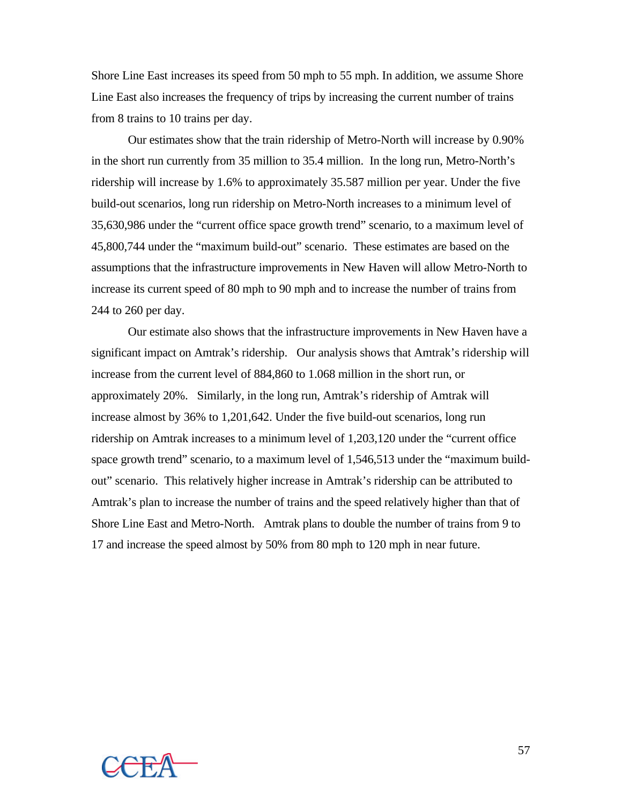Shore Line East increases its speed from 50 mph to 55 mph. In addition, we assume Shore Line East also increases the frequency of trips by increasing the current number of trains from 8 trains to 10 trains per day.

Our estimates show that the train ridership of Metro-North will increase by 0.90% in the short run currently from 35 million to 35.4 million. In the long run, Metro-North's ridership will increase by 1.6% to approximately 35.587 million per year. Under the five build-out scenarios, long run ridership on Metro-North increases to a minimum level of 35,630,986 under the "current office space growth trend" scenario, to a maximum level of 45,800,744 under the "maximum build-out" scenario. These estimates are based on the assumptions that the infrastructure improvements in New Haven will allow Metro-North to increase its current speed of 80 mph to 90 mph and to increase the number of trains from 244 to 260 per day.

Our estimate also shows that the infrastructure improvements in New Haven have a significant impact on Amtrak's ridership. Our analysis shows that Amtrak's ridership will increase from the current level of 884,860 to 1.068 million in the short run, or approximately 20%. Similarly, in the long run, Amtrak's ridership of Amtrak will increase almost by 36% to 1,201,642. Under the five build-out scenarios, long run ridership on Amtrak increases to a minimum level of 1,203,120 under the "current office space growth trend" scenario, to a maximum level of 1,546,513 under the "maximum buildout" scenario. This relatively higher increase in Amtrak's ridership can be attributed to Amtrak's plan to increase the number of trains and the speed relatively higher than that of Shore Line East and Metro-North. Amtrak plans to double the number of trains from 9 to 17 and increase the speed almost by 50% from 80 mph to 120 mph in near future.

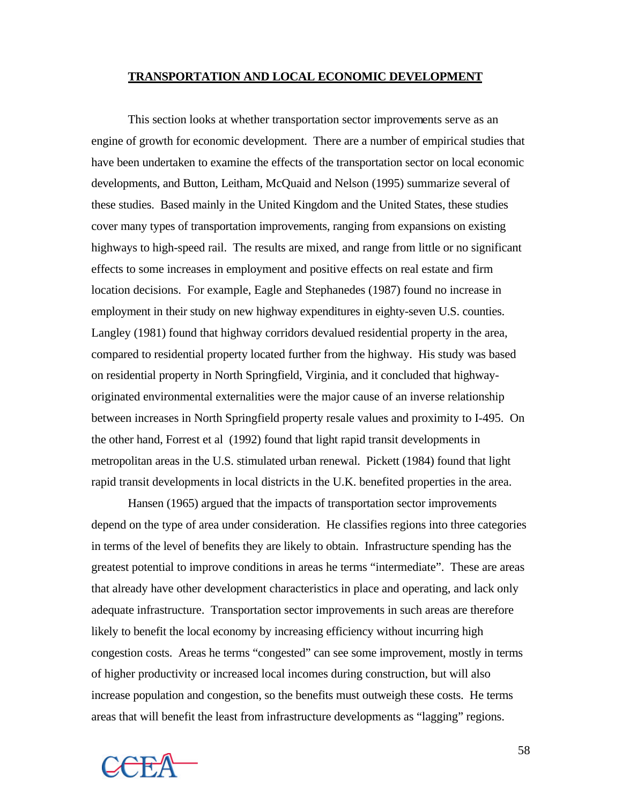#### **TRANSPORTATION AND LOCAL ECONOMIC DEVELOPMENT**

This section looks at whether transportation sector improvements serve as an engine of growth for economic development. There are a number of empirical studies that have been undertaken to examine the effects of the transportation sector on local economic developments, and Button, Leitham, McQuaid and Nelson (1995) summarize several of these studies. Based mainly in the United Kingdom and the United States, these studies cover many types of transportation improvements, ranging from expansions on existing highways to high-speed rail. The results are mixed, and range from little or no significant effects to some increases in employment and positive effects on real estate and firm location decisions. For example, Eagle and Stephanedes (1987) found no increase in employment in their study on new highway expenditures in eighty-seven U.S. counties. Langley (1981) found that highway corridors devalued residential property in the area, compared to residential property located further from the highway. His study was based on residential property in North Springfield, Virginia, and it concluded that highwayoriginated environmental externalities were the major cause of an inverse relationship between increases in North Springfield property resale values and proximity to I-495. On the other hand, Forrest et al (1992) found that light rapid transit developments in metropolitan areas in the U.S. stimulated urban renewal. Pickett (1984) found that light rapid transit developments in local districts in the U.K. benefited properties in the area.

Hansen (1965) argued that the impacts of transportation sector improvements depend on the type of area under consideration. He classifies regions into three categories in terms of the level of benefits they are likely to obtain. Infrastructure spending has the greatest potential to improve conditions in areas he terms "intermediate". These are areas that already have other development characteristics in place and operating, and lack only adequate infrastructure. Transportation sector improvements in such areas are therefore likely to benefit the local economy by increasing efficiency without incurring high congestion costs. Areas he terms "congested" can see some improvement, mostly in terms of higher productivity or increased local incomes during construction, but will also increase population and congestion, so the benefits must outweigh these costs. He terms areas that will benefit the least from infrastructure developments as "lagging" regions.



58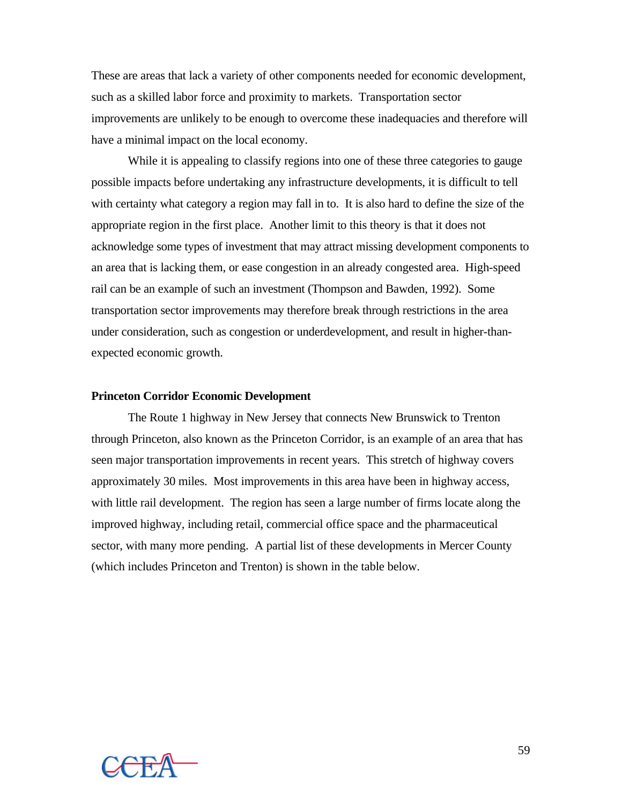These are areas that lack a variety of other components needed for economic development, such as a skilled labor force and proximity to markets. Transportation sector improvements are unlikely to be enough to overcome these inadequacies and therefore will have a minimal impact on the local economy.

While it is appealing to classify regions into one of these three categories to gauge possible impacts before undertaking any infrastructure developments, it is difficult to tell with certainty what category a region may fall in to. It is also hard to define the size of the appropriate region in the first place. Another limit to this theory is that it does not acknowledge some types of investment that may attract missing development components to an area that is lacking them, or ease congestion in an already congested area. High-speed rail can be an example of such an investment (Thompson and Bawden, 1992). Some transportation sector improvements may therefore break through restrictions in the area under consideration, such as congestion or underdevelopment, and result in higher-thanexpected economic growth.

#### **Princeton Corridor Economic Development**

The Route 1 highway in New Jersey that connects New Brunswick to Trenton through Princeton, also known as the Princeton Corridor, is an example of an area that has seen major transportation improvements in recent years. This stretch of highway covers approximately 30 miles. Most improvements in this area have been in highway access, with little rail development. The region has seen a large number of firms locate along the improved highway, including retail, commercial office space and the pharmaceutical sector, with many more pending. A partial list of these developments in Mercer County (which includes Princeton and Trenton) is shown in the table below.

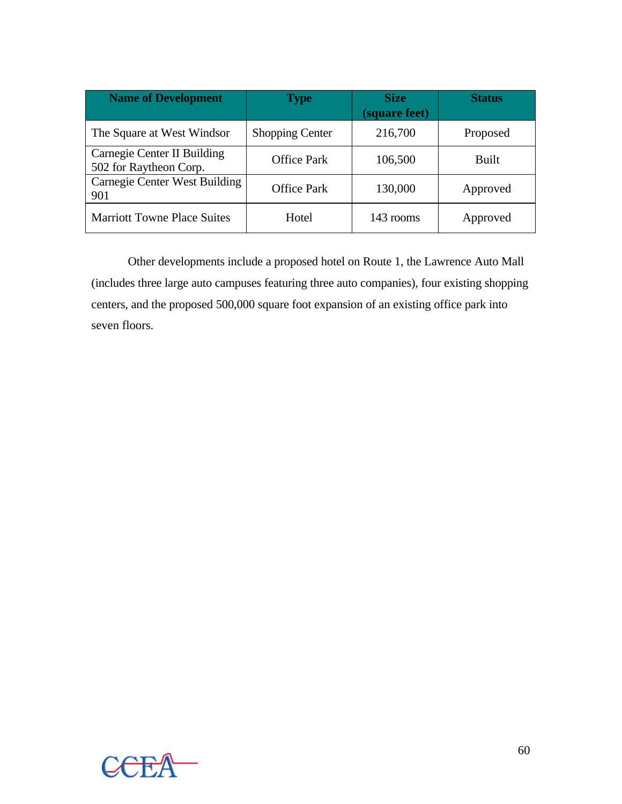| <b>Name of Development</b>                            | <b>Type</b>            | <b>Size</b><br>(square feet) | <b>Status</b> |
|-------------------------------------------------------|------------------------|------------------------------|---------------|
| The Square at West Windsor                            | <b>Shopping Center</b> | 216,700                      | Proposed      |
| Carnegie Center II Building<br>502 for Raytheon Corp. | <b>Office Park</b>     | 106,500                      | Built         |
| Carnegie Center West Building<br>901                  | <b>Office Park</b>     | 130,000                      | Approved      |
| <b>Marriott Towne Place Suites</b>                    | Hotel                  | 143 rooms                    | Approved      |

Other developments include a proposed hotel on Route 1, the Lawrence Auto Mall (includes three large auto campuses featuring three auto companies), four existing shopping centers, and the proposed 500,000 square foot expansion of an existing office park into seven floors.

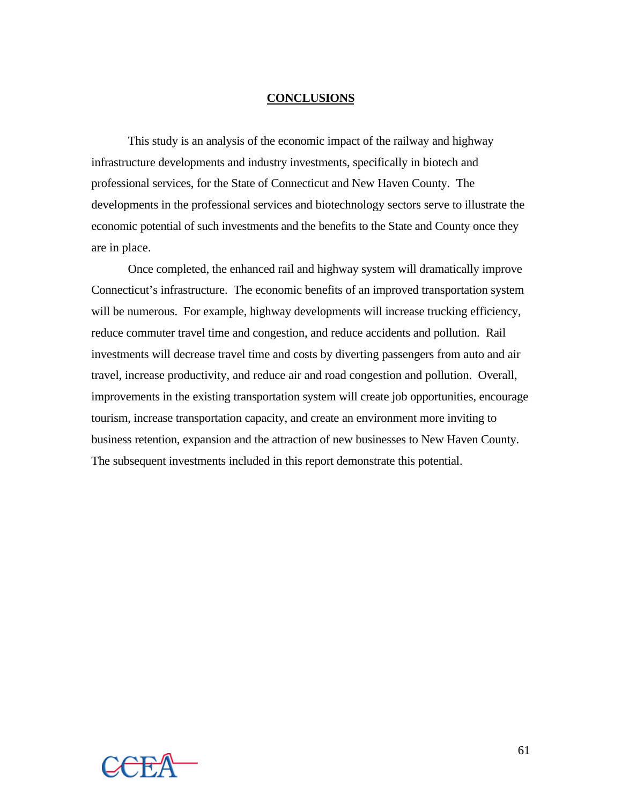## **CONCLUSIONS**

This study is an analysis of the economic impact of the railway and highway infrastructure developments and industry investments, specifically in biotech and professional services, for the State of Connecticut and New Haven County. The developments in the professional services and biotechnology sectors serve to illustrate the economic potential of such investments and the benefits to the State and County once they are in place.

Once completed, the enhanced rail and highway system will dramatically improve Connecticut's infrastructure. The economic benefits of an improved transportation system will be numerous. For example, highway developments will increase trucking efficiency, reduce commuter travel time and congestion, and reduce accidents and pollution. Rail investments will decrease travel time and costs by diverting passengers from auto and air travel, increase productivity, and reduce air and road congestion and pollution. Overall, improvements in the existing transportation system will create job opportunities, encourage tourism, increase transportation capacity, and create an environment more inviting to business retention, expansion and the attraction of new businesses to New Haven County. The subsequent investments included in this report demonstrate this potential.

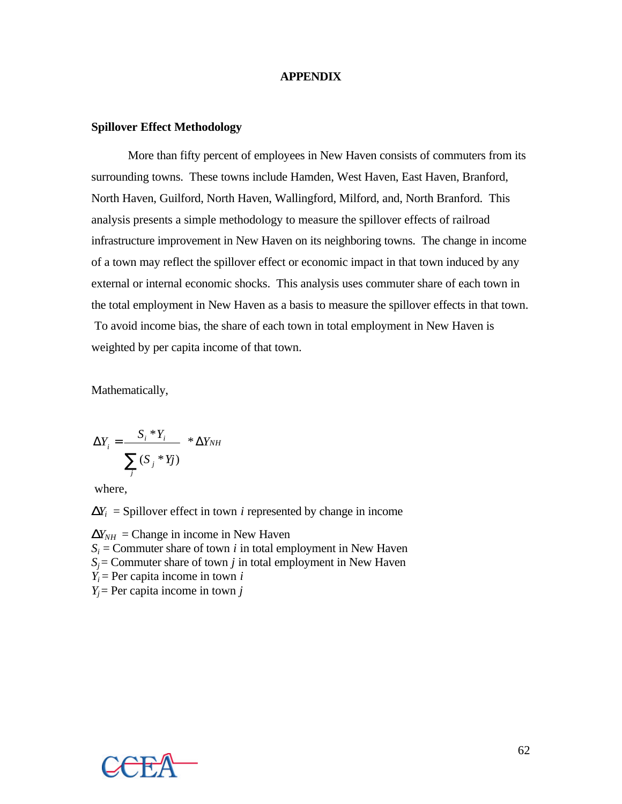## **APPENDIX**

## **Spillover Effect Methodology**

More than fifty percent of employees in New Haven consists of commuters from its surrounding towns. These towns include Hamden, West Haven, East Haven, Branford, North Haven, Guilford, North Haven, Wallingford, Milford, and, North Branford. This analysis presents a simple methodology to measure the spillover effects of railroad infrastructure improvement in New Haven on its neighboring towns. The change in income of a town may reflect the spillover effect or economic impact in that town induced by any external or internal economic shocks. This analysis uses commuter share of each town in the total employment in New Haven as a basis to measure the spillover effects in that town. To avoid income bias, the share of each town in total employment in New Haven is weighted by per capita income of that town.

Mathematically,

$$
\Delta Y_i = \frac{S_i * Y_i}{\sum_j (S_j * Y_j)} * \Delta Y_{NH}
$$

where,

 $D\mathbf{Y}_i$  = Spillover effect in town *i* represented by change in income

 $D\mathbf{Y}_{NH} = \text{Change in income in New Haven}$  $S_i$  = Commuter share of town *i* in total employment in New Haven  $S_i$  = Commuter share of town *j* in total employment in New Haven  $Y_i$  = Per capita income in town *i*  $Y_i$ = Per capita income in town *j* 

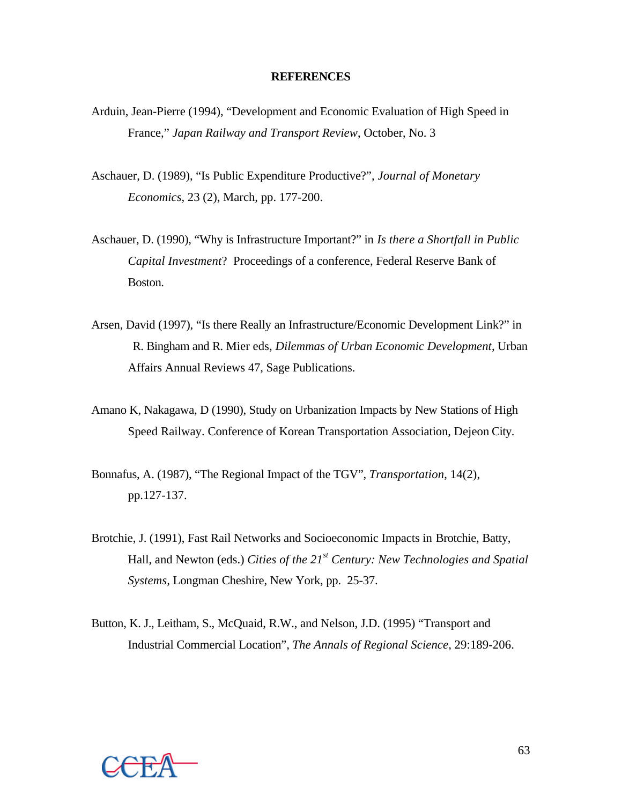## **REFERENCES**

- Arduin, Jean-Pierre (1994), "Development and Economic Evaluation of High Speed in France," *Japan Railway and Transport Review*, October, No. 3
- Aschauer, D. (1989), "Is Public Expenditure Productive?", *Journal of Monetary Economics*, 23 (2), March, pp. 177-200.
- Aschauer, D. (1990), "Why is Infrastructure Important?" in *Is there a Shortfall in Public Capital Investment*? Proceedings of a conference, Federal Reserve Bank of Boston.
- Arsen, David (1997), "Is there Really an Infrastructure/Economic Development Link?" in R. Bingham and R. Mier eds, *Dilemmas of Urban Economic Development*, Urban Affairs Annual Reviews 47, Sage Publications.
- Amano K, Nakagawa, D (1990), Study on Urbanization Impacts by New Stations of High Speed Railway. Conference of Korean Transportation Association, Dejeon City.
- Bonnafus, A. (1987), "The Regional Impact of the TGV", *Transportation*, 14(2), pp.127-137.
- Brotchie, J. (1991), Fast Rail Networks and Socioeconomic Impacts in Brotchie, Batty, Hall, and Newton (eds.) *Cities of the 21st Century: New Technologies and Spatial Systems,* Longman Cheshire, New York, pp. 25-37.
- Button, K. J., Leitham, S., McQuaid, R.W., and Nelson, J.D. (1995) "Transport and Industrial Commercial Location", *The Annals of Regional Science,* 29:189-206.

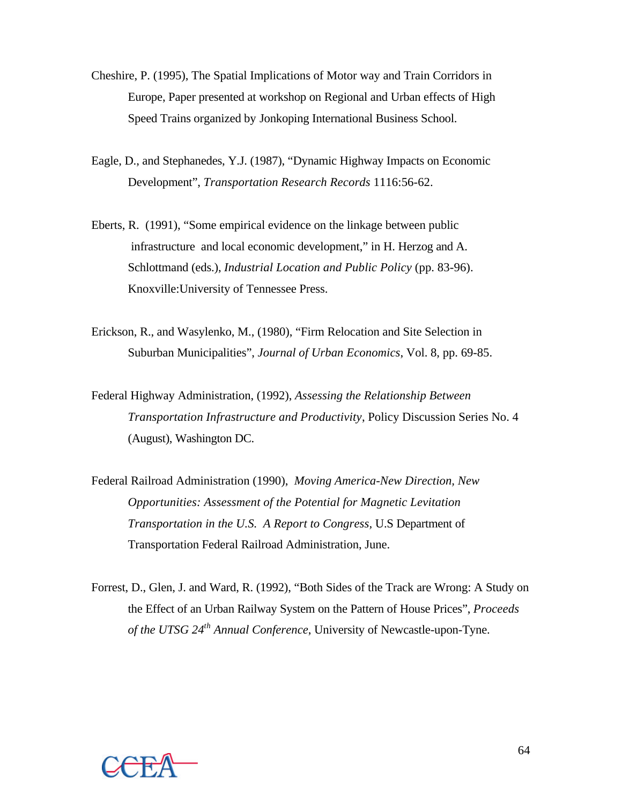- Cheshire, P. (1995), The Spatial Implications of Motor way and Train Corridors in Europe, Paper presented at workshop on Regional and Urban effects of High Speed Trains organized by Jonkoping International Business School.
- Eagle, D., and Stephanedes, Y.J. (1987), "Dynamic Highway Impacts on Economic Development", *Transportation Research Records* 1116:56-62.
- Eberts, R. (1991), "Some empirical evidence on the linkage between public infrastructure and local economic development," in H. Herzog and A. Schlottmand (eds.), *Industrial Location and Public Policy* (pp. 83-96). Knoxville:University of Tennessee Press.
- Erickson, R., and Wasylenko, M., (1980), "Firm Relocation and Site Selection in Suburban Municipalities", *Journal of Urban Economics*, Vol. 8, pp. 69-85.
- Federal Highway Administration, (1992), *Assessing the Relationship Between Transportation Infrastructure and Productivity*, Policy Discussion Series No. 4 (August), Washington DC.
- Federal Railroad Administration (1990), *Moving America-New Direction, New Opportunities: Assessment of the Potential for Magnetic Levitation Transportation in the U.S. A Report to Congress,* U.S Department of Transportation Federal Railroad Administration, June.
- Forrest, D., Glen, J. and Ward, R. (1992), "Both Sides of the Track are Wrong: A Study on the Effect of an Urban Railway System on the Pattern of House Prices", *Proceeds of the UTSG 24th Annual Conference*, University of Newcastle-upon-Tyne.

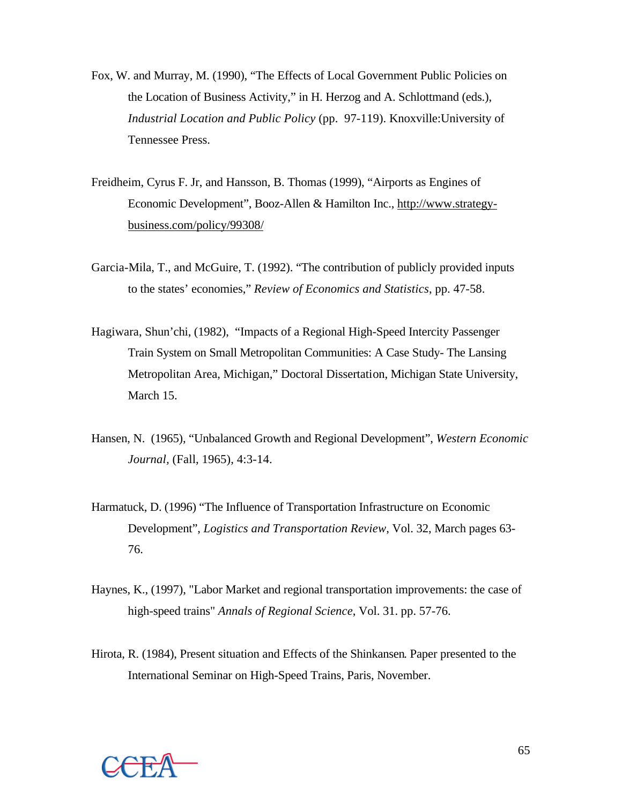- Fox, W. and Murray, M. (1990), "The Effects of Local Government Public Policies on the Location of Business Activity," in H. Herzog and A. Schlottmand (eds.), *Industrial Location and Public Policy* (pp. 97-119). Knoxville:University of Tennessee Press.
- Freidheim, Cyrus F. Jr, and Hansson, B. Thomas (1999), "Airports as Engines of Economic Development", Booz-Allen & Hamilton Inc., http://www.strategybusiness.com/policy/99308/
- Garcia-Mila, T., and McGuire, T. (1992). "The contribution of publicly provided inputs to the states' economies," *Review of Economics and Statistics*, pp. 47-58.
- Hagiwara, Shun'chi, (1982), "Impacts of a Regional High-Speed Intercity Passenger Train System on Small Metropolitan Communities: A Case Study- The Lansing Metropolitan Area, Michigan," Doctoral Dissertation, Michigan State University, March 15.
- Hansen, N. (1965), "Unbalanced Growth and Regional Development", *Western Economic Journal,* (Fall, 1965), 4:3-14.
- Harmatuck, D. (1996) "The Influence of Transportation Infrastructure on Economic Development", *Logistics and Transportation Review*, Vol. 32, March pages 63- 76.
- Haynes, K., (1997), "Labor Market and regional transportation improvements: the case of high-speed trains" *Annals of Regional Science*, Vol. 31. pp. 57-76.
- Hirota, R. (1984), Present situation and Effects of the Shinkansen. Paper presented to the International Seminar on High-Speed Trains, Paris, November.

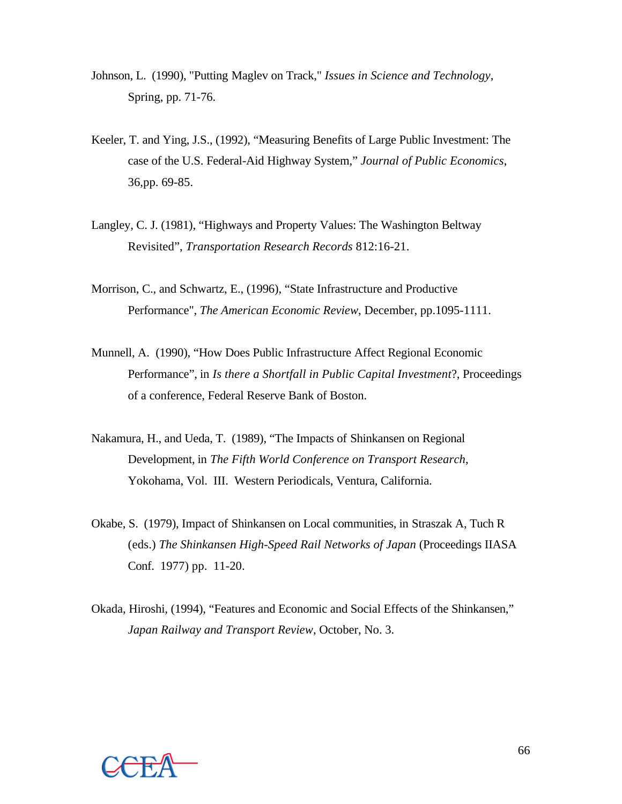- Johnson, L. (1990), "Putting Maglev on Track," *Issues in Science and Technology*, Spring, pp. 71-76.
- Keeler, T. and Ying, J.S., (1992), "Measuring Benefits of Large Public Investment: The case of the U.S. Federal-Aid Highway System," *Journal of Public Economics*, 36,pp. 69-85.
- Langley, C. J. (1981), "Highways and Property Values: The Washington Beltway Revisited", *Transportation Research Records* 812:16-21.
- Morrison, C., and Schwartz, E., (1996), "State Infrastructure and Productive Performance", *The American Economic Review*, December, pp.1095-1111.
- Munnell, A. (1990), "How Does Public Infrastructure Affect Regional Economic Performance", in *Is there a Shortfall in Public Capital Investment*?, Proceedings of a conference, Federal Reserve Bank of Boston.
- Nakamura, H., and Ueda, T. (1989), "The Impacts of Shinkansen on Regional Development, in *The Fifth World Conference on Transport Research*, Yokohama, Vol. III. Western Periodicals, Ventura, California.
- Okabe, S. (1979), Impact of Shinkansen on Local communities, in Straszak A, Tuch R (eds.) *The Shinkansen High-Speed Rail Networks of Japan* (Proceedings IIASA Conf. 1977) pp. 11-20.
- Okada, Hiroshi, (1994), "Features and Economic and Social Effects of the Shinkansen," *Japan Railway and Transport Review*, October, No. 3.